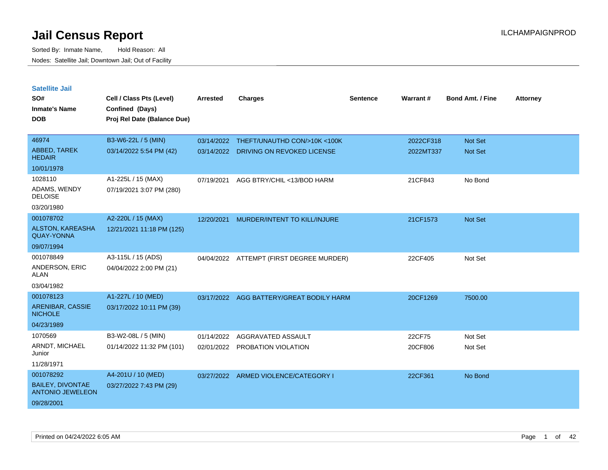| <b>Satellite Jail</b>                              |                             |                 |                               |                 |           |                         |                 |
|----------------------------------------------------|-----------------------------|-----------------|-------------------------------|-----------------|-----------|-------------------------|-----------------|
| SO#                                                | Cell / Class Pts (Level)    | <b>Arrested</b> | <b>Charges</b>                | <b>Sentence</b> | Warrant#  | <b>Bond Amt. / Fine</b> | <b>Attorney</b> |
| Inmate's Name                                      | Confined (Days)             |                 |                               |                 |           |                         |                 |
| <b>DOB</b>                                         | Proj Rel Date (Balance Due) |                 |                               |                 |           |                         |                 |
|                                                    |                             |                 |                               |                 |           |                         |                 |
| 46974                                              | B3-W6-22L / 5 (MIN)         | 03/14/2022      | THEFT/UNAUTHD CON/>10K <100K  |                 | 2022CF318 | <b>Not Set</b>          |                 |
| <b>ABBED, TAREK</b><br><b>HEDAIR</b>               | 03/14/2022 5:54 PM (42)     | 03/14/2022      | DRIVING ON REVOKED LICENSE    |                 | 2022MT337 | <b>Not Set</b>          |                 |
| 10/01/1978                                         |                             |                 |                               |                 |           |                         |                 |
| 1028110                                            | A1-225L / 15 (MAX)          | 07/19/2021      | AGG BTRY/CHIL <13/BOD HARM    |                 | 21CF843   | No Bond                 |                 |
| ADAMS, WENDY<br><b>DELOISE</b>                     | 07/19/2021 3:07 PM (280)    |                 |                               |                 |           |                         |                 |
| 03/20/1980                                         |                             |                 |                               |                 |           |                         |                 |
| 001078702                                          | A2-220L / 15 (MAX)          | 12/20/2021      | MURDER/INTENT TO KILL/INJURE  |                 | 21CF1573  | <b>Not Set</b>          |                 |
| <b>ALSTON, KAREASHA</b><br><b>QUAY-YONNA</b>       | 12/21/2021 11:18 PM (125)   |                 |                               |                 |           |                         |                 |
| 09/07/1994                                         |                             |                 |                               |                 |           |                         |                 |
| 001078849                                          | A3-115L / 15 (ADS)          | 04/04/2022      | ATTEMPT (FIRST DEGREE MURDER) |                 | 22CF405   | Not Set                 |                 |
| ANDERSON, ERIC<br>ALAN                             | 04/04/2022 2:00 PM (21)     |                 |                               |                 |           |                         |                 |
| 03/04/1982                                         |                             |                 |                               |                 |           |                         |                 |
| 001078123                                          | A1-227L / 10 (MED)          | 03/17/2022      | AGG BATTERY/GREAT BODILY HARM |                 | 20CF1269  | 7500.00                 |                 |
| ARENIBAR, CASSIE<br><b>NICHOLE</b>                 | 03/17/2022 10:11 PM (39)    |                 |                               |                 |           |                         |                 |
| 04/23/1989                                         |                             |                 |                               |                 |           |                         |                 |
| 1070569                                            | B3-W2-08L / 5 (MIN)         | 01/14/2022      | AGGRAVATED ASSAULT            |                 | 22CF75    | Not Set                 |                 |
| ARNDT, MICHAEL<br>Junior                           | 01/14/2022 11:32 PM (101)   | 02/01/2022      | PROBATION VIOLATION           |                 | 20CF806   | Not Set                 |                 |
| 11/28/1971                                         |                             |                 |                               |                 |           |                         |                 |
| 001078292                                          | A4-201U / 10 (MED)          | 03/27/2022      | ARMED VIOLENCE/CATEGORY I     |                 | 22CF361   | No Bond                 |                 |
| <b>BAILEY, DIVONTAE</b><br><b>ANTONIO JEWELEON</b> | 03/27/2022 7:43 PM (29)     |                 |                               |                 |           |                         |                 |
| 09/28/2001                                         |                             |                 |                               |                 |           |                         |                 |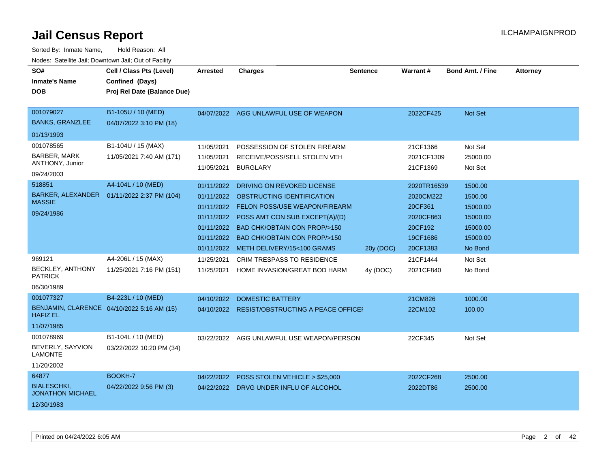| SO#<br><b>Inmate's Name</b><br><b>DOB</b>                                   | Cell / Class Pts (Level)<br>Confined (Days)<br>Proj Rel Date (Balance Due) | <b>Arrested</b>                                                                  | <b>Charges</b>                                                                                                                                                                                                  | <b>Sentence</b> | <b>Warrant#</b>                                                      | <b>Bond Amt. / Fine</b>                                            | <b>Attorney</b> |
|-----------------------------------------------------------------------------|----------------------------------------------------------------------------|----------------------------------------------------------------------------------|-----------------------------------------------------------------------------------------------------------------------------------------------------------------------------------------------------------------|-----------------|----------------------------------------------------------------------|--------------------------------------------------------------------|-----------------|
| 001079027<br><b>BANKS, GRANZLEE</b><br>01/13/1993                           | B1-105U / 10 (MED)<br>04/07/2022 3:10 PM (18)                              | 04/07/2022                                                                       | AGG UNLAWFUL USE OF WEAPON                                                                                                                                                                                      |                 | 2022CF425                                                            | <b>Not Set</b>                                                     |                 |
| 001078565<br><b>BARBER, MARK</b><br>ANTHONY, Junior<br>09/24/2003<br>518851 | B1-104U / 15 (MAX)<br>11/05/2021 7:40 AM (171)<br>A4-104L / 10 (MED)       | 11/05/2021<br>11/05/2021<br>11/05/2021<br>01/11/2022                             | POSSESSION OF STOLEN FIREARM<br>RECEIVE/POSS/SELL STOLEN VEH<br><b>BURGLARY</b><br>DRIVING ON REVOKED LICENSE                                                                                                   |                 | 21CF1366<br>2021CF1309<br>21CF1369<br>2020TR16539                    | Not Set<br>25000.00<br>Not Set<br>1500.00                          |                 |
| <b>BARKER, ALEXANDER</b><br><b>MASSIE</b><br>09/24/1986                     | 01/11/2022 2:37 PM (104)                                                   | 01/11/2022<br>01/11/2022<br>01/11/2022<br>01/11/2022<br>01/11/2022<br>01/11/2022 | OBSTRUCTING IDENTIFICATION<br>FELON POSS/USE WEAPON/FIREARM<br>POSS AMT CON SUB EXCEPT(A)/(D)<br><b>BAD CHK/OBTAIN CON PROP/&gt;150</b><br><b>BAD CHK/OBTAIN CON PROP/&gt;150</b><br>METH DELIVERY/15<100 GRAMS | 20y (DOC)       | 2020CM222<br>20CF361<br>2020CF863<br>20CF192<br>19CF1686<br>20CF1383 | 1500.00<br>15000.00<br>15000.00<br>15000.00<br>15000.00<br>No Bond |                 |
| 969121<br>BECKLEY, ANTHONY<br><b>PATRICK</b><br>06/30/1989                  | A4-206L / 15 (MAX)<br>11/25/2021 7:16 PM (151)                             | 11/25/2021<br>11/25/2021                                                         | <b>CRIM TRESPASS TO RESIDENCE</b><br>HOME INVASION/GREAT BOD HARM                                                                                                                                               | 4y (DOC)        | 21CF1444<br>2021CF840                                                | Not Set<br>No Bond                                                 |                 |
| 001077327<br><b>HAFIZ EL</b><br>11/07/1985                                  | B4-223L / 10 (MED)<br>BENJAMIN, CLARENCE 04/10/2022 5:16 AM (15)           | 04/10/2022                                                                       | <b>DOMESTIC BATTERY</b><br>04/10/2022 RESIST/OBSTRUCTING A PEACE OFFICEF                                                                                                                                        |                 | 21CM826<br>22CM102                                                   | 1000.00<br>100.00                                                  |                 |
| 001078969<br>BEVERLY, SAYVION<br><b>LAMONTE</b><br>11/20/2002               | B1-104L / 10 (MED)<br>03/22/2022 10:20 PM (34)                             | 03/22/2022                                                                       | AGG UNLAWFUL USE WEAPON/PERSON                                                                                                                                                                                  |                 | 22CF345                                                              | Not Set                                                            |                 |
| 64877<br><b>BIALESCHKI,</b><br><b>JONATHON MICHAEL</b><br>12/30/1983        | BOOKH-7<br>04/22/2022 9:56 PM (3)                                          | 04/22/2022                                                                       | POSS STOLEN VEHICLE > \$25,000<br>04/22/2022 DRVG UNDER INFLU OF ALCOHOL                                                                                                                                        |                 | 2022CF268<br>2022DT86                                                | 2500.00<br>2500.00                                                 |                 |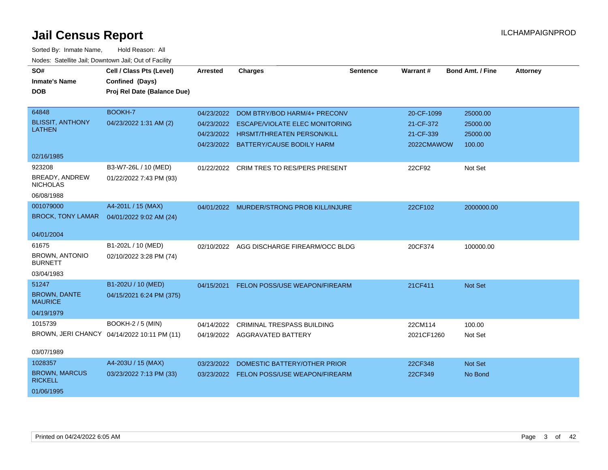| SO#                                      | Cell / Class Pts (Level)                    | <b>Arrested</b> |                                          | <b>Sentence</b> | Warrant#   | Bond Amt. / Fine | <b>Attorney</b> |
|------------------------------------------|---------------------------------------------|-----------------|------------------------------------------|-----------------|------------|------------------|-----------------|
|                                          |                                             |                 | <b>Charges</b>                           |                 |            |                  |                 |
| <b>Inmate's Name</b>                     | Confined (Days)                             |                 |                                          |                 |            |                  |                 |
| <b>DOB</b>                               | Proj Rel Date (Balance Due)                 |                 |                                          |                 |            |                  |                 |
|                                          |                                             |                 |                                          |                 |            |                  |                 |
| 64848                                    | BOOKH-7                                     | 04/23/2022      | DOM BTRY/BOD HARM/4+ PRECONV             |                 | 20-CF-1099 | 25000.00         |                 |
| <b>BLISSIT, ANTHONY</b>                  | 04/23/2022 1:31 AM (2)                      | 04/23/2022      | <b>ESCAPE/VIOLATE ELEC MONITORING</b>    |                 | 21-CF-372  | 25000.00         |                 |
| <b>LATHEN</b>                            |                                             | 04/23/2022      | <b>HRSMT/THREATEN PERSON/KILL</b>        |                 | 21-CF-339  | 25000.00         |                 |
|                                          |                                             |                 | 04/23/2022 BATTERY/CAUSE BODILY HARM     |                 | 2022CMAWOW | 100.00           |                 |
| 02/16/1985                               |                                             |                 |                                          |                 |            |                  |                 |
| 923208                                   | B3-W7-26L / 10 (MED)                        |                 | 01/22/2022 CRIM TRES TO RES/PERS PRESENT |                 | 22CF92     | Not Set          |                 |
| <b>BREADY, ANDREW</b><br><b>NICHOLAS</b> | 01/22/2022 7:43 PM (93)                     |                 |                                          |                 |            |                  |                 |
| 06/08/1988                               |                                             |                 |                                          |                 |            |                  |                 |
| 001079000                                | A4-201L / 15 (MAX)                          | 04/01/2022      | <b>MURDER/STRONG PROB KILL/INJURE</b>    |                 | 22CF102    | 2000000.00       |                 |
| <b>BROCK, TONY LAMAR</b>                 | 04/01/2022 9:02 AM (24)                     |                 |                                          |                 |            |                  |                 |
| 04/01/2004                               |                                             |                 |                                          |                 |            |                  |                 |
| 61675                                    | B1-202L / 10 (MED)                          | 02/10/2022      | AGG DISCHARGE FIREARM/OCC BLDG           |                 | 20CF374    | 100000.00        |                 |
| <b>BROWN, ANTONIO</b><br><b>BURNETT</b>  | 02/10/2022 3:28 PM (74)                     |                 |                                          |                 |            |                  |                 |
| 03/04/1983                               |                                             |                 |                                          |                 |            |                  |                 |
| 51247                                    | B1-202U / 10 (MED)                          | 04/15/2021      | FELON POSS/USE WEAPON/FIREARM            |                 | 21CF411    | Not Set          |                 |
| <b>BROWN, DANTE</b><br><b>MAURICE</b>    | 04/15/2021 6:24 PM (375)                    |                 |                                          |                 |            |                  |                 |
| 04/19/1979                               |                                             |                 |                                          |                 |            |                  |                 |
| 1015739                                  | <b>BOOKH-2 / 5 (MIN)</b>                    | 04/14/2022      | <b>CRIMINAL TRESPASS BUILDING</b>        |                 | 22CM114    | 100.00           |                 |
|                                          | BROWN, JERI CHANCY 04/14/2022 10:11 PM (11) |                 | 04/19/2022 AGGRAVATED BATTERY            |                 | 2021CF1260 | Not Set          |                 |
| 03/07/1989                               |                                             |                 |                                          |                 |            |                  |                 |
| 1028357                                  | A4-203U / 15 (MAX)                          | 03/23/2022      | DOMESTIC BATTERY/OTHER PRIOR             |                 | 22CF348    | <b>Not Set</b>   |                 |
| <b>BROWN, MARCUS</b><br><b>RICKELL</b>   | 03/23/2022 7:13 PM (33)                     |                 | 03/23/2022 FELON POSS/USE WEAPON/FIREARM |                 | 22CF349    | No Bond          |                 |
| 01/06/1995                               |                                             |                 |                                          |                 |            |                  |                 |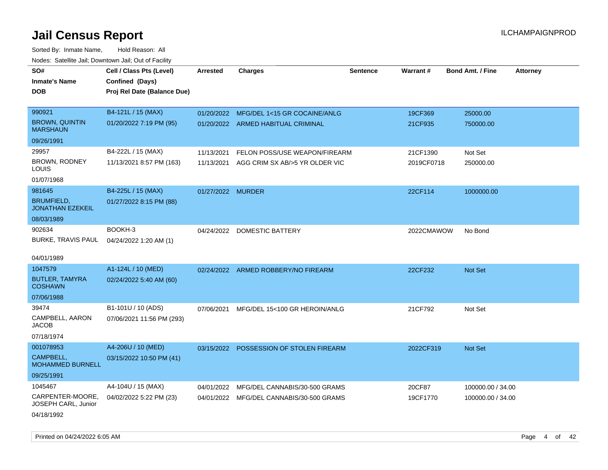| SO#                                          | Cell / Class Pts (Level)    | <b>Arrested</b>   | <b>Charges</b>                            | <b>Sentence</b> | Warrant#   | <b>Bond Amt. / Fine</b> | <b>Attorney</b> |
|----------------------------------------------|-----------------------------|-------------------|-------------------------------------------|-----------------|------------|-------------------------|-----------------|
| <b>Inmate's Name</b>                         | Confined (Days)             |                   |                                           |                 |            |                         |                 |
| <b>DOB</b>                                   | Proj Rel Date (Balance Due) |                   |                                           |                 |            |                         |                 |
|                                              |                             |                   |                                           |                 |            |                         |                 |
| 990921                                       | B4-121L / 15 (MAX)          |                   | 01/20/2022 MFG/DEL 1<15 GR COCAINE/ANLG   |                 | 19CF369    | 25000.00                |                 |
| <b>BROWN, QUINTIN</b><br><b>MARSHAUN</b>     | 01/20/2022 7:19 PM (95)     |                   | 01/20/2022 ARMED HABITUAL CRIMINAL        |                 | 21CF935    | 750000.00               |                 |
| 09/26/1991                                   |                             |                   |                                           |                 |            |                         |                 |
| 29957                                        | B4-222L / 15 (MAX)          | 11/13/2021        | FELON POSS/USE WEAPON/FIREARM             |                 | 21CF1390   | Not Set                 |                 |
| BROWN, RODNEY<br>LOUIS                       | 11/13/2021 8:57 PM (163)    |                   | 11/13/2021 AGG CRIM SX AB/>5 YR OLDER VIC |                 | 2019CF0718 | 250000.00               |                 |
| 01/07/1968                                   |                             |                   |                                           |                 |            |                         |                 |
| 981645                                       | B4-225L / 15 (MAX)          | 01/27/2022 MURDER |                                           |                 | 22CF114    | 1000000.00              |                 |
| <b>BRUMFIELD,</b><br><b>JONATHAN EZEKEIL</b> | 01/27/2022 8:15 PM (88)     |                   |                                           |                 |            |                         |                 |
| 08/03/1989                                   |                             |                   |                                           |                 |            |                         |                 |
| 902634                                       | BOOKH-3                     |                   | 04/24/2022 DOMESTIC BATTERY               |                 | 2022CMAWOW | No Bond                 |                 |
| BURKE, TRAVIS PAUL                           | 04/24/2022 1:20 AM (1)      |                   |                                           |                 |            |                         |                 |
|                                              |                             |                   |                                           |                 |            |                         |                 |
| 04/01/1989                                   |                             |                   |                                           |                 |            |                         |                 |
| 1047579                                      | A1-124L / 10 (MED)          |                   | 02/24/2022 ARMED ROBBERY/NO FIREARM       |                 | 22CF232    | Not Set                 |                 |
| <b>BUTLER, TAMYRA</b><br><b>COSHAWN</b>      | 02/24/2022 5:40 AM (60)     |                   |                                           |                 |            |                         |                 |
| 07/06/1988                                   |                             |                   |                                           |                 |            |                         |                 |
| 39474                                        | B1-101U / 10 (ADS)          | 07/06/2021        | MFG/DEL 15<100 GR HEROIN/ANLG             |                 | 21CF792    | Not Set                 |                 |
| CAMPBELL, AARON<br><b>JACOB</b>              | 07/06/2021 11:56 PM (293)   |                   |                                           |                 |            |                         |                 |
| 07/18/1974                                   |                             |                   |                                           |                 |            |                         |                 |
| 001078953                                    | A4-206U / 10 (MED)          |                   | 03/15/2022 POSSESSION OF STOLEN FIREARM   |                 | 2022CF319  | Not Set                 |                 |
| CAMPBELL,<br><b>MOHAMMED BURNELL</b>         | 03/15/2022 10:50 PM (41)    |                   |                                           |                 |            |                         |                 |
| 09/25/1991                                   |                             |                   |                                           |                 |            |                         |                 |
| 1045467                                      | A4-104U / 15 (MAX)          | 04/01/2022        | MFG/DEL CANNABIS/30-500 GRAMS             |                 | 20CF87     | 100000.00 / 34.00       |                 |
| CARPENTER-MOORE,<br>JOSEPH CARL, Junior      | 04/02/2022 5:22 PM (23)     |                   | 04/01/2022 MFG/DEL CANNABIS/30-500 GRAMS  |                 | 19CF1770   | 100000.00 / 34.00       |                 |
| 04/18/1992                                   |                             |                   |                                           |                 |            |                         |                 |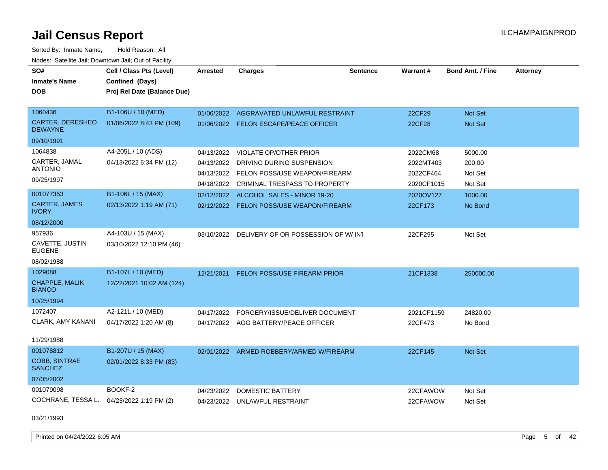| SO#<br><b>Inmate's Name</b><br><b>DOB</b> | Cell / Class Pts (Level)<br>Confined (Days)<br>Proj Rel Date (Balance Due) | <b>Arrested</b> | <b>Charges</b>                                | <b>Sentence</b> | Warrant#   | Bond Amt. / Fine | <b>Attorney</b> |
|-------------------------------------------|----------------------------------------------------------------------------|-----------------|-----------------------------------------------|-----------------|------------|------------------|-----------------|
| 1060436                                   | B1-106U / 10 (MED)                                                         | 01/06/2022      | AGGRAVATED UNLAWFUL RESTRAINT                 |                 | 22CF29     | Not Set          |                 |
| <b>CARTER, DERESHEO</b><br><b>DEWAYNE</b> | 01/06/2022 8:43 PM (109)                                                   |                 | 01/06/2022 FELON ESCAPE/PEACE OFFICER         |                 | 22CF28     | Not Set          |                 |
| 09/10/1991                                |                                                                            |                 |                                               |                 |            |                  |                 |
| 1064838                                   | A4-205L / 10 (ADS)                                                         | 04/13/2022      | <b>VIOLATE OP/OTHER PRIOR</b>                 |                 | 2022CM68   | 5000.00          |                 |
| CARTER, JAMAL                             | 04/13/2022 6:34 PM (12)                                                    | 04/13/2022      | DRIVING DURING SUSPENSION                     |                 | 2022MT403  | 200.00           |                 |
| <b>ANTONIO</b>                            |                                                                            | 04/13/2022      | FELON POSS/USE WEAPON/FIREARM                 |                 | 2022CF464  | Not Set          |                 |
| 09/25/1997                                |                                                                            | 04/18/2022      | CRIMINAL TRESPASS TO PROPERTY                 |                 | 2020CF1015 | Not Set          |                 |
| 001077353                                 | B1-106L / 15 (MAX)                                                         | 02/12/2022      | ALCOHOL SALES - MINOR 19-20                   |                 | 2020OV127  | 1000.00          |                 |
| <b>CARTER, JAMES</b><br><b>IVORY</b>      | 02/13/2022 1:19 AM (71)                                                    | 02/12/2022      | FELON POSS/USE WEAPON/FIREARM                 |                 | 22CF173    | No Bond          |                 |
| 08/12/2000                                |                                                                            |                 |                                               |                 |            |                  |                 |
| 957936                                    | A4-103U / 15 (MAX)                                                         |                 | 03/10/2022 DELIVERY OF OR POSSESSION OF W/INT |                 | 22CF295    | Not Set          |                 |
| CAVETTE, JUSTIN<br><b>EUGENE</b>          | 03/10/2022 12:10 PM (46)                                                   |                 |                                               |                 |            |                  |                 |
| 08/02/1988                                |                                                                            |                 |                                               |                 |            |                  |                 |
| 1029088                                   | B1-107L / 10 (MED)                                                         | 12/21/2021      | FELON POSS/USE FIREARM PRIOR                  |                 | 21CF1338   | 250000.00        |                 |
| <b>CHAPPLE, MALIK</b><br><b>BIANCO</b>    | 12/22/2021 10:02 AM (124)                                                  |                 |                                               |                 |            |                  |                 |
| 10/25/1994                                |                                                                            |                 |                                               |                 |            |                  |                 |
| 1072407                                   | A2-121L / 10 (MED)                                                         | 04/17/2022      | FORGERY/ISSUE/DELIVER DOCUMENT                |                 | 2021CF1159 | 24820.00         |                 |
| CLARK, AMY KANANI                         | 04/17/2022 1:20 AM (8)                                                     |                 | 04/17/2022 AGG BATTERY/PEACE OFFICER          |                 | 22CF473    | No Bond          |                 |
| 11/29/1988                                |                                                                            |                 |                                               |                 |            |                  |                 |
| 001078812                                 | B1-207U / 15 (MAX)                                                         |                 | 02/01/2022 ARMED ROBBERY/ARMED W/FIREARM      |                 | 22CF145    | Not Set          |                 |
| <b>COBB, SINTRAE</b><br><b>SANCHEZ</b>    | 02/01/2022 8:33 PM (83)                                                    |                 |                                               |                 |            |                  |                 |
| 07/05/2002                                |                                                                            |                 |                                               |                 |            |                  |                 |
| 001079098                                 | BOOKF-2                                                                    | 04/23/2022      | DOMESTIC BATTERY                              |                 | 22CFAWOW   | Not Set          |                 |
| COCHRANE, TESSA L.                        | 04/23/2022 1:19 PM (2)                                                     | 04/23/2022      | UNLAWFUL RESTRAINT                            |                 | 22CFAWOW   | Not Set          |                 |
| 03/21/1993                                |                                                                            |                 |                                               |                 |            |                  |                 |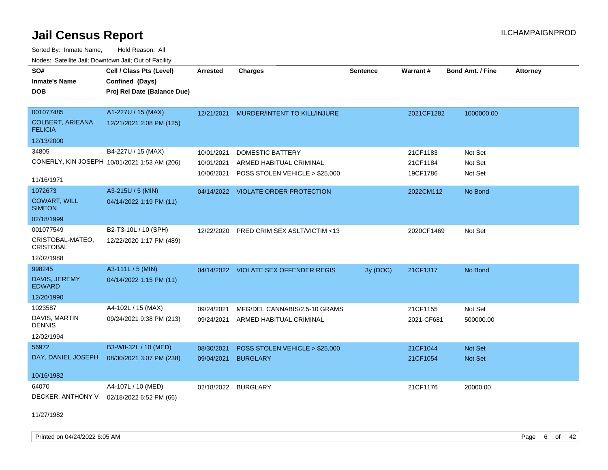Sorted By: Inmate Name, Hold Reason: All Nodes: Satellite Jail; Downtown Jail; Out of Facility

| SO#                                       | Cell / Class Pts (Level)                     | <b>Arrested</b> | <b>Charges</b>                        | <b>Sentence</b> | <b>Warrant#</b> | <b>Bond Amt. / Fine</b> | <b>Attorney</b> |
|-------------------------------------------|----------------------------------------------|-----------------|---------------------------------------|-----------------|-----------------|-------------------------|-----------------|
| <b>Inmate's Name</b>                      | Confined (Days)                              |                 |                                       |                 |                 |                         |                 |
| <b>DOB</b>                                | Proj Rel Date (Balance Due)                  |                 |                                       |                 |                 |                         |                 |
|                                           |                                              |                 |                                       |                 |                 |                         |                 |
| 001077485                                 | A1-227U / 15 (MAX)                           | 12/21/2021      | MURDER/INTENT TO KILL/INJURE          |                 | 2021CF1282      | 1000000.00              |                 |
| <b>COLBERT, ARIEANA</b><br><b>FELICIA</b> | 12/21/2021 2:08 PM (125)                     |                 |                                       |                 |                 |                         |                 |
| 12/13/2000                                |                                              |                 |                                       |                 |                 |                         |                 |
| 34805                                     | B4-227U / 15 (MAX)                           | 10/01/2021      | <b>DOMESTIC BATTERY</b>               |                 | 21CF1183        | Not Set                 |                 |
|                                           | CONERLY, KIN JOSEPH 10/01/2021 1:53 AM (206) | 10/01/2021      | ARMED HABITUAL CRIMINAL               |                 | 21CF1184        | Not Set                 |                 |
|                                           |                                              | 10/06/2021      | POSS STOLEN VEHICLE > \$25,000        |                 | 19CF1786        | Not Set                 |                 |
| 11/16/1971                                |                                              |                 |                                       |                 |                 |                         |                 |
| 1072673                                   | A3-215U / 5 (MIN)                            | 04/14/2022      | <b>VIOLATE ORDER PROTECTION</b>       |                 | 2022CM112       | No Bond                 |                 |
| <b>COWART, WILL</b><br><b>SIMEON</b>      | 04/14/2022 1:19 PM (11)                      |                 |                                       |                 |                 |                         |                 |
| 02/18/1999                                |                                              |                 |                                       |                 |                 |                         |                 |
| 001077549                                 | B2-T3-10L / 10 (SPH)                         | 12/22/2020      | PRED CRIM SEX ASLT/VICTIM <13         |                 | 2020CF1469      | Not Set                 |                 |
| CRISTOBAL-MATEO,<br><b>CRISTOBAL</b>      | 12/22/2020 1:17 PM (489)                     |                 |                                       |                 |                 |                         |                 |
| 12/02/1988                                |                                              |                 |                                       |                 |                 |                         |                 |
| 998245                                    | A3-111L / 5 (MIN)                            |                 | 04/14/2022 VIOLATE SEX OFFENDER REGIS | 3y (DOC)        | 21CF1317        | No Bond                 |                 |
| DAVIS, JEREMY<br><b>EDWARD</b>            | 04/14/2022 1:15 PM (11)                      |                 |                                       |                 |                 |                         |                 |
| 12/20/1990                                |                                              |                 |                                       |                 |                 |                         |                 |
| 1023587                                   | A4-102L / 15 (MAX)                           | 09/24/2021      | MFG/DEL CANNABIS/2.5-10 GRAMS         |                 | 21CF1155        | Not Set                 |                 |
| DAVIS, MARTIN<br><b>DENNIS</b>            | 09/24/2021 9:38 PM (213)                     | 09/24/2021      | ARMED HABITUAL CRIMINAL               |                 | 2021-CF681      | 500000.00               |                 |
| 12/02/1994                                |                                              |                 |                                       |                 |                 |                         |                 |
| 56972                                     | B3-W8-32L / 10 (MED)                         | 08/30/2021      | POSS STOLEN VEHICLE > \$25,000        |                 | 21CF1044        | <b>Not Set</b>          |                 |
| DAY, DANIEL JOSEPH                        | 08/30/2021 3:07 PM (238)                     | 09/04/2021      | <b>BURGLARY</b>                       |                 | 21CF1054        | Not Set                 |                 |
|                                           |                                              |                 |                                       |                 |                 |                         |                 |
| 10/16/1982                                |                                              |                 |                                       |                 |                 |                         |                 |
| 64070                                     | A4-107L / 10 (MED)                           | 02/18/2022      | <b>BURGLARY</b>                       |                 | 21CF1176        | 20000.00                |                 |
| DECKER, ANTHONY V                         | 02/18/2022 6:52 PM (66)                      |                 |                                       |                 |                 |                         |                 |

11/27/1982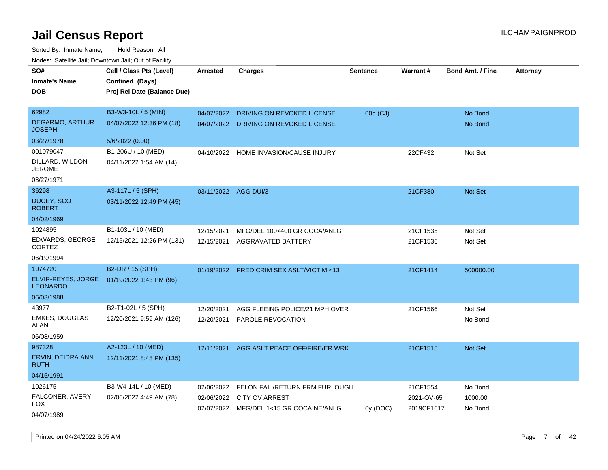Sorted By: Inmate Name, Hold Reason: All Nodes: Satellite Jail; Downtown Jail; Out of Facility

| SO#<br><b>Inmate's Name</b><br><b>DOB</b> | Cell / Class Pts (Level)<br>Confined (Days)<br>Proj Rel Date (Balance Due) | <b>Arrested</b>      | <b>Charges</b>                                                   | <b>Sentence</b> | Warrant#                 | <b>Bond Amt. / Fine</b> | <b>Attorney</b> |
|-------------------------------------------|----------------------------------------------------------------------------|----------------------|------------------------------------------------------------------|-----------------|--------------------------|-------------------------|-----------------|
| 62982                                     | B3-W3-10L / 5 (MIN)                                                        | 04/07/2022           | DRIVING ON REVOKED LICENSE                                       | 60d (CJ)        |                          | No Bond                 |                 |
| <b>DEGARMO, ARTHUR</b><br><b>JOSEPH</b>   | 04/07/2022 12:36 PM (18)                                                   |                      | 04/07/2022 DRIVING ON REVOKED LICENSE                            |                 |                          | No Bond                 |                 |
| 03/27/1978                                | 5/6/2022 (0.00)                                                            |                      |                                                                  |                 |                          |                         |                 |
| 001079047                                 | B1-206U / 10 (MED)                                                         |                      | 04/10/2022 HOME INVASION/CAUSE INJURY                            |                 | 22CF432                  | Not Set                 |                 |
| DILLARD, WILDON<br><b>JEROME</b>          | 04/11/2022 1:54 AM (14)                                                    |                      |                                                                  |                 |                          |                         |                 |
| 03/27/1971                                |                                                                            |                      |                                                                  |                 |                          |                         |                 |
| 36298                                     | A3-117L / 5 (SPH)                                                          | 03/11/2022 AGG DUI/3 |                                                                  |                 | 21CF380                  | <b>Not Set</b>          |                 |
| <b>DUCEY, SCOTT</b><br><b>ROBERT</b>      | 03/11/2022 12:49 PM (45)                                                   |                      |                                                                  |                 |                          |                         |                 |
| 04/02/1969                                |                                                                            |                      |                                                                  |                 |                          |                         |                 |
| 1024895                                   | B1-103L / 10 (MED)                                                         | 12/15/2021           | MFG/DEL 100<400 GR COCA/ANLG                                     |                 | 21CF1535                 | Not Set                 |                 |
| EDWARDS, GEORGE<br><b>CORTEZ</b>          | 12/15/2021 12:26 PM (131)                                                  | 12/15/2021           | AGGRAVATED BATTERY                                               |                 | 21CF1536                 | Not Set                 |                 |
| 06/19/1994                                |                                                                            |                      |                                                                  |                 |                          |                         |                 |
| 1074720                                   | B2-DR / 15 (SPH)                                                           |                      | 01/19/2022 PRED CRIM SEX ASLT/VICTIM <13                         |                 | 21CF1414                 | 500000.00               |                 |
| ELVIR-REYES, JORGE<br><b>LEONARDO</b>     | 01/19/2022 1:43 PM (96)                                                    |                      |                                                                  |                 |                          |                         |                 |
| 06/03/1988                                |                                                                            |                      |                                                                  |                 |                          |                         |                 |
| 43977                                     | B2-T1-02L / 5 (SPH)                                                        | 12/20/2021           | AGG FLEEING POLICE/21 MPH OVER                                   |                 | 21CF1566                 | Not Set                 |                 |
| <b>EMKES, DOUGLAS</b><br>ALAN             | 12/20/2021 9:59 AM (126)                                                   | 12/20/2021           | PAROLE REVOCATION                                                |                 |                          | No Bond                 |                 |
| 06/08/1959                                |                                                                            |                      |                                                                  |                 |                          |                         |                 |
| 987328                                    | A2-123L / 10 (MED)                                                         | 12/11/2021           | AGG ASLT PEACE OFF/FIRE/ER WRK                                   |                 | 21CF1515                 | <b>Not Set</b>          |                 |
| ERVIN, DEIDRA ANN<br><b>RUTH</b>          | 12/11/2021 8:48 PM (135)                                                   |                      |                                                                  |                 |                          |                         |                 |
| 04/15/1991                                |                                                                            |                      |                                                                  |                 |                          |                         |                 |
| 1026175                                   | B3-W4-14L / 10 (MED)                                                       | 02/06/2022           | FELON FAIL/RETURN FRM FURLOUGH                                   |                 | 21CF1554                 | No Bond                 |                 |
| FALCONER, AVERY<br>FOX.                   | 02/06/2022 4:49 AM (78)                                                    | 02/06/2022           | <b>CITY OV ARREST</b><br>02/07/2022 MFG/DEL 1<15 GR COCAINE/ANLG | 6y (DOC)        | 2021-OV-65<br>2019CF1617 | 1000.00<br>No Bond      |                 |
| 04/07/1989                                |                                                                            |                      |                                                                  |                 |                          |                         |                 |

Printed on 04/24/2022 6:05 AM Page 7 of 42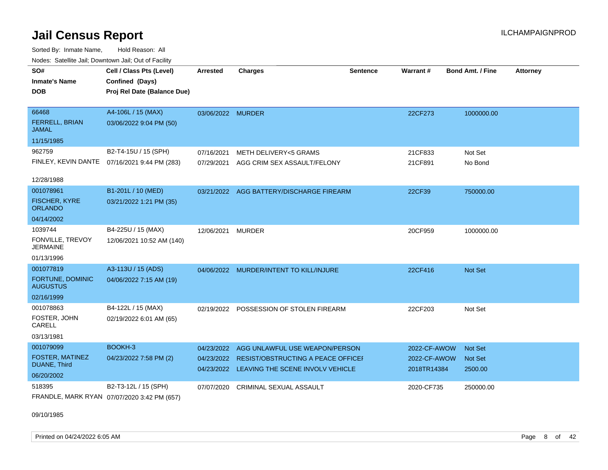Sorted By: Inmate Name, Hold Reason: All Nodes: Satellite Jail; Downtown Jail; Out of Facility

| <u>Houce.</u> Catoling bail, Downtown bail, Out of Fability |                                              |                   |                                                                               |                 |                             |                         |                 |
|-------------------------------------------------------------|----------------------------------------------|-------------------|-------------------------------------------------------------------------------|-----------------|-----------------------------|-------------------------|-----------------|
| SO#                                                         | Cell / Class Pts (Level)                     | <b>Arrested</b>   | <b>Charges</b>                                                                | <b>Sentence</b> | Warrant#                    | <b>Bond Amt. / Fine</b> | <b>Attorney</b> |
| <b>Inmate's Name</b>                                        | Confined (Days)                              |                   |                                                                               |                 |                             |                         |                 |
| <b>DOB</b>                                                  | Proj Rel Date (Balance Due)                  |                   |                                                                               |                 |                             |                         |                 |
|                                                             |                                              |                   |                                                                               |                 |                             |                         |                 |
| 66468                                                       | A4-106L / 15 (MAX)                           | 03/06/2022 MURDER |                                                                               |                 | 22CF273                     | 1000000.00              |                 |
| FERRELL, BRIAN<br>JAMAL                                     | 03/06/2022 9:04 PM (50)                      |                   |                                                                               |                 |                             |                         |                 |
| 11/15/1985                                                  |                                              |                   |                                                                               |                 |                             |                         |                 |
| 962759                                                      | B2-T4-15U / 15 (SPH)                         | 07/16/2021        | METH DELIVERY<5 GRAMS                                                         |                 | 21CF833                     | Not Set                 |                 |
|                                                             | FINLEY, KEVIN DANTE 07/16/2021 9:44 PM (283) | 07/29/2021        | AGG CRIM SEX ASSAULT/FELONY                                                   |                 | 21CF891                     | No Bond                 |                 |
|                                                             |                                              |                   |                                                                               |                 |                             |                         |                 |
| 12/28/1988                                                  |                                              |                   |                                                                               |                 |                             |                         |                 |
| 001078961                                                   | B1-201L / 10 (MED)                           | 03/21/2022        | AGG BATTERY/DISCHARGE FIREARM                                                 |                 | 22CF39                      | 750000.00               |                 |
| <b>FISCHER, KYRE</b><br><b>ORLANDO</b>                      | 03/21/2022 1:21 PM (35)                      |                   |                                                                               |                 |                             |                         |                 |
| 04/14/2002                                                  |                                              |                   |                                                                               |                 |                             |                         |                 |
| 1039744                                                     | B4-225U / 15 (MAX)                           | 12/06/2021        | <b>MURDER</b>                                                                 |                 | 20CF959                     | 1000000.00              |                 |
| FONVILLE, TREVOY<br><b>JERMAINE</b>                         | 12/06/2021 10:52 AM (140)                    |                   |                                                                               |                 |                             |                         |                 |
| 01/13/1996                                                  |                                              |                   |                                                                               |                 |                             |                         |                 |
| 001077819                                                   | A3-113U / 15 (ADS)                           |                   | 04/06/2022 MURDER/INTENT TO KILL/INJURE                                       |                 | 22CF416                     | <b>Not Set</b>          |                 |
| FORTUNE, DOMINIC<br><b>AUGUSTUS</b>                         | 04/06/2022 7:15 AM (19)                      |                   |                                                                               |                 |                             |                         |                 |
| 02/16/1999                                                  |                                              |                   |                                                                               |                 |                             |                         |                 |
| 001078863                                                   | B4-122L / 15 (MAX)                           | 02/19/2022        | POSSESSION OF STOLEN FIREARM                                                  |                 | 22CF203                     | Not Set                 |                 |
| FOSTER, JOHN<br>CARELL                                      | 02/19/2022 6:01 AM (65)                      |                   |                                                                               |                 |                             |                         |                 |
| 03/13/1981                                                  |                                              |                   |                                                                               |                 |                             |                         |                 |
| 001079099                                                   | BOOKH-3                                      | 04/23/2022        | AGG UNLAWFUL USE WEAPON/PERSON                                                |                 | 2022-CF-AWOW                | <b>Not Set</b>          |                 |
| FOSTER, MATINEZ<br>DUANE, Third                             | 04/23/2022 7:58 PM (2)                       | 04/23/2022        | <b>RESIST/OBSTRUCTING A PEACE OFFICEF</b><br>LEAVING THE SCENE INVOLV VEHICLE |                 | 2022-CF-AWOW<br>2018TR14384 | <b>Not Set</b>          |                 |
| 06/20/2002                                                  |                                              | 04/23/2022        |                                                                               |                 |                             | 2500.00                 |                 |
| 518395                                                      | B2-T3-12L / 15 (SPH)                         | 07/07/2020        | CRIMINAL SEXUAL ASSAULT                                                       |                 | 2020-CF735                  | 250000.00               |                 |
|                                                             | FRANDLE, MARK RYAN 07/07/2020 3:42 PM (657)  |                   |                                                                               |                 |                             |                         |                 |

09/10/1985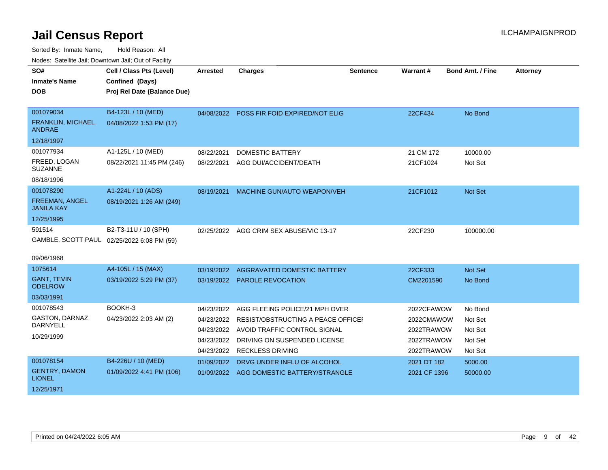| SO#<br><b>Inmate's Name</b>                | Cell / Class Pts (Level)<br>Confined (Days) | <b>Arrested</b> | <b>Charges</b>                            | <b>Sentence</b> | Warrant#     | <b>Bond Amt. / Fine</b> | <b>Attorney</b> |
|--------------------------------------------|---------------------------------------------|-----------------|-------------------------------------------|-----------------|--------------|-------------------------|-----------------|
| <b>DOB</b>                                 | Proj Rel Date (Balance Due)                 |                 |                                           |                 |              |                         |                 |
| 001079034                                  | B4-123L / 10 (MED)                          |                 | 04/08/2022 POSS FIR FOID EXPIRED/NOT ELIG |                 | 22CF434      | No Bond                 |                 |
| <b>FRANKLIN, MICHAEL</b><br>ANDRAE         | 04/08/2022 1:53 PM (17)                     |                 |                                           |                 |              |                         |                 |
| 12/18/1997                                 |                                             |                 |                                           |                 |              |                         |                 |
| 001077934                                  | A1-125L / 10 (MED)                          | 08/22/2021      | <b>DOMESTIC BATTERY</b>                   |                 | 21 CM 172    | 10000.00                |                 |
| FREED, LOGAN<br><b>SUZANNE</b>             | 08/22/2021 11:45 PM (246)                   | 08/22/2021      | AGG DUI/ACCIDENT/DEATH                    |                 | 21CF1024     | Not Set                 |                 |
| 08/18/1996                                 |                                             |                 |                                           |                 |              |                         |                 |
| 001078290                                  | A1-224L / 10 (ADS)                          | 08/19/2021      | <b>MACHINE GUN/AUTO WEAPON/VEH</b>        |                 | 21CF1012     | Not Set                 |                 |
| <b>FREEMAN, ANGEL</b><br><b>JANILA KAY</b> | 08/19/2021 1:26 AM (249)                    |                 |                                           |                 |              |                         |                 |
| 12/25/1995                                 |                                             |                 |                                           |                 |              |                         |                 |
| 591514                                     | B2-T3-11U / 10 (SPH)                        | 02/25/2022      | AGG CRIM SEX ABUSE/VIC 13-17              |                 | 22CF230      | 100000.00               |                 |
|                                            | GAMBLE, SCOTT PAUL 02/25/2022 6:08 PM (59)  |                 |                                           |                 |              |                         |                 |
| 09/06/1968                                 |                                             |                 |                                           |                 |              |                         |                 |
| 1075614                                    | A4-105L / 15 (MAX)                          | 03/19/2022      | AGGRAVATED DOMESTIC BATTERY               |                 | 22CF333      | Not Set                 |                 |
| <b>GANT, TEVIN</b><br><b>ODELROW</b>       | 03/19/2022 5:29 PM (37)                     |                 | 03/19/2022 PAROLE REVOCATION              |                 | CM2201590    | No Bond                 |                 |
| 03/03/1991                                 |                                             |                 |                                           |                 |              |                         |                 |
| 001078543                                  | BOOKH-3                                     | 04/23/2022      | AGG FLEEING POLICE/21 MPH OVER            |                 | 2022CFAWOW   | No Bond                 |                 |
| <b>GASTON, DARNAZ</b>                      | 04/23/2022 2:03 AM (2)                      | 04/23/2022      | RESIST/OBSTRUCTING A PEACE OFFICEI        |                 | 2022CMAWOW   | Not Set                 |                 |
| <b>DARNYELL</b>                            |                                             | 04/23/2022      | AVOID TRAFFIC CONTROL SIGNAL              |                 | 2022TRAWOW   | Not Set                 |                 |
| 10/29/1999                                 |                                             | 04/23/2022      | DRIVING ON SUSPENDED LICENSE              |                 | 2022TRAWOW   | Not Set                 |                 |
|                                            |                                             | 04/23/2022      | <b>RECKLESS DRIVING</b>                   |                 | 2022TRAWOW   | Not Set                 |                 |
| 001078154                                  | B4-226U / 10 (MED)                          | 01/09/2022      | DRVG UNDER INFLU OF ALCOHOL               |                 | 2021 DT 182  | 5000.00                 |                 |
| <b>GENTRY, DAMON</b><br><b>LIONEL</b>      | 01/09/2022 4:41 PM (106)                    |                 | 01/09/2022 AGG DOMESTIC BATTERY/STRANGLE  |                 | 2021 CF 1396 | 50000.00                |                 |
| 12/25/1971                                 |                                             |                 |                                           |                 |              |                         |                 |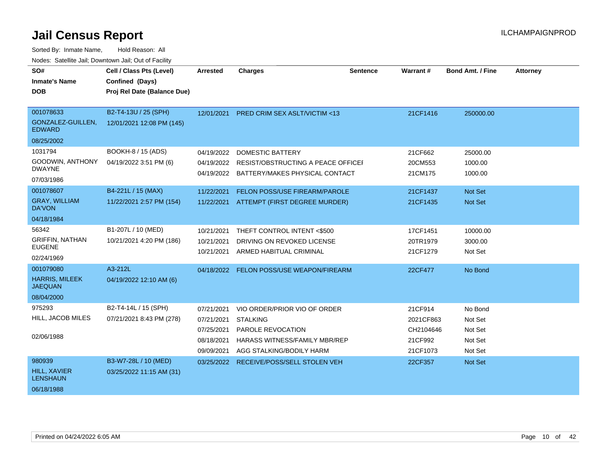| SO#<br><b>Inmate's Name</b><br><b>DOB</b>                          | Cell / Class Pts (Level)<br>Confined (Days)<br>Proj Rel Date (Balance Due) | Arrested                                                           | <b>Charges</b>                                                                                                                           | <b>Sentence</b> | <b>Warrant#</b>                                          | <b>Bond Amt. / Fine</b>                             | <b>Attorney</b> |
|--------------------------------------------------------------------|----------------------------------------------------------------------------|--------------------------------------------------------------------|------------------------------------------------------------------------------------------------------------------------------------------|-----------------|----------------------------------------------------------|-----------------------------------------------------|-----------------|
| 001078633<br>GONZALEZ-GUILLEN,<br><b>EDWARD</b><br>08/25/2002      | B2-T4-13U / 25 (SPH)<br>12/01/2021 12:08 PM (145)                          | 12/01/2021                                                         | <b>PRED CRIM SEX ASLT/VICTIM &lt;13</b>                                                                                                  |                 | 21CF1416                                                 | 250000.00                                           |                 |
| 1031794<br>GOODWIN, ANTHONY<br><b>DWAYNE</b><br>07/03/1986         | BOOKH-8 / 15 (ADS)<br>04/19/2022 3:51 PM (6)                               | 04/19/2022<br>04/19/2022                                           | <b>DOMESTIC BATTERY</b><br>RESIST/OBSTRUCTING A PEACE OFFICEI<br>04/19/2022 BATTERY/MAKES PHYSICAL CONTACT                               |                 | 21CF662<br>20CM553<br>21CM175                            | 25000.00<br>1000.00<br>1000.00                      |                 |
| 001078607<br><b>GRAY, WILLIAM</b><br>DA'VON<br>04/18/1984          | B4-221L / 15 (MAX)<br>11/22/2021 2:57 PM (154)                             | 11/22/2021                                                         | FELON POSS/USE FIREARM/PAROLE<br>11/22/2021 ATTEMPT (FIRST DEGREE MURDER)                                                                |                 | 21CF1437<br>21CF1435                                     | <b>Not Set</b><br>Not Set                           |                 |
| 56342<br><b>GRIFFIN, NATHAN</b><br><b>EUGENE</b><br>02/24/1969     | B1-207L / 10 (MED)<br>10/21/2021 4:20 PM (186)                             | 10/21/2021<br>10/21/2021<br>10/21/2021                             | THEFT CONTROL INTENT <\$500<br>DRIVING ON REVOKED LICENSE<br>ARMED HABITUAL CRIMINAL                                                     |                 | 17CF1451<br>20TR1979<br>21CF1279                         | 10000.00<br>3000.00<br>Not Set                      |                 |
| 001079080<br><b>HARRIS, MILEEK</b><br><b>JAEQUAN</b><br>08/04/2000 | A3-212L<br>04/19/2022 12:10 AM (6)                                         | 04/18/2022                                                         | FELON POSS/USE WEAPON/FIREARM                                                                                                            |                 | 22CF477                                                  | No Bond                                             |                 |
| 975293<br>HILL, JACOB MILES<br>02/06/1988                          | B2-T4-14L / 15 (SPH)<br>07/21/2021 8:43 PM (278)                           | 07/21/2021<br>07/21/2021<br>07/25/2021<br>08/18/2021<br>09/09/2021 | VIO ORDER/PRIOR VIO OF ORDER<br><b>STALKING</b><br>PAROLE REVOCATION<br><b>HARASS WITNESS/FAMILY MBR/REP</b><br>AGG STALKING/BODILY HARM |                 | 21CF914<br>2021CF863<br>CH2104646<br>21CF992<br>21CF1073 | No Bond<br>Not Set<br>Not Set<br>Not Set<br>Not Set |                 |
| 980939<br><b>HILL, XAVIER</b><br><b>LENSHAUN</b><br>06/18/1988     | B3-W7-28L / 10 (MED)<br>03/25/2022 11:15 AM (31)                           | 03/25/2022                                                         | <b>RECEIVE/POSS/SELL STOLEN VEH</b>                                                                                                      |                 | 22CF357                                                  | <b>Not Set</b>                                      |                 |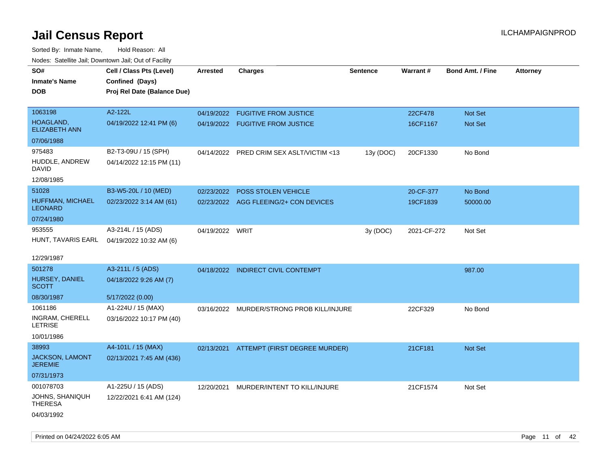| rouco. Calcillo Jali, Downtown Jali, Out of Facility |                                             |                 |                                           |                 |             |                         |                 |
|------------------------------------------------------|---------------------------------------------|-----------------|-------------------------------------------|-----------------|-------------|-------------------------|-----------------|
| SO#<br><b>Inmate's Name</b>                          | Cell / Class Pts (Level)<br>Confined (Days) | <b>Arrested</b> | <b>Charges</b>                            | <b>Sentence</b> | Warrant#    | <b>Bond Amt. / Fine</b> | <b>Attorney</b> |
| DOB                                                  | Proj Rel Date (Balance Due)                 |                 |                                           |                 |             |                         |                 |
|                                                      |                                             |                 |                                           |                 |             |                         |                 |
| 1063198                                              | A2-122L                                     |                 | 04/19/2022 FUGITIVE FROM JUSTICE          |                 | 22CF478     | Not Set                 |                 |
| HOAGLAND,<br><b>ELIZABETH ANN</b>                    | 04/19/2022 12:41 PM (6)                     |                 | 04/19/2022 FUGITIVE FROM JUSTICE          |                 | 16CF1167    | Not Set                 |                 |
| 07/06/1988                                           |                                             |                 |                                           |                 |             |                         |                 |
| 975483                                               | B2-T3-09U / 15 (SPH)                        | 04/14/2022      | PRED CRIM SEX ASLT/VICTIM <13             | 13y (DOC)       | 20CF1330    | No Bond                 |                 |
| HUDDLE, ANDREW<br>DAVID                              | 04/14/2022 12:15 PM (11)                    |                 |                                           |                 |             |                         |                 |
| 12/08/1985                                           |                                             |                 |                                           |                 |             |                         |                 |
| 51028                                                | B3-W5-20L / 10 (MED)                        | 02/23/2022      | <b>POSS STOLEN VEHICLE</b>                |                 | 20-CF-377   | No Bond                 |                 |
| HUFFMAN, MICHAEL<br>LEONARD                          | 02/23/2022 3:14 AM (61)                     |                 | 02/23/2022 AGG FLEEING/2+ CON DEVICES     |                 | 19CF1839    | 50000.00                |                 |
| 07/24/1980                                           |                                             |                 |                                           |                 |             |                         |                 |
| 953555                                               | A3-214L / 15 (ADS)                          | 04/19/2022 WRIT |                                           | 3y (DOC)        | 2021-CF-272 | Not Set                 |                 |
|                                                      | HUNT, TAVARIS EARL 04/19/2022 10:32 AM (6)  |                 |                                           |                 |             |                         |                 |
| 12/29/1987                                           |                                             |                 |                                           |                 |             |                         |                 |
| 501278                                               | A3-211L / 5 (ADS)                           |                 | 04/18/2022 INDIRECT CIVIL CONTEMPT        |                 |             | 987.00                  |                 |
| HURSEY, DANIEL<br>SCOTT                              | 04/18/2022 9:26 AM (7)                      |                 |                                           |                 |             |                         |                 |
| 08/30/1987                                           | 5/17/2022 (0.00)                            |                 |                                           |                 |             |                         |                 |
| 1061186                                              | A1-224U / 15 (MAX)                          |                 | 03/16/2022 MURDER/STRONG PROB KILL/INJURE |                 | 22CF329     | No Bond                 |                 |
| INGRAM, CHERELL<br>LETRISE                           | 03/16/2022 10:17 PM (40)                    |                 |                                           |                 |             |                         |                 |
| 10/01/1986                                           |                                             |                 |                                           |                 |             |                         |                 |
| 38993                                                | A4-101L / 15 (MAX)                          |                 | 02/13/2021 ATTEMPT (FIRST DEGREE MURDER)  |                 | 21CF181     | Not Set                 |                 |
| <b>JACKSON, LAMONT</b><br>JEREMIE                    | 02/13/2021 7:45 AM (436)                    |                 |                                           |                 |             |                         |                 |
| 07/31/1973                                           |                                             |                 |                                           |                 |             |                         |                 |
| 001078703                                            | A1-225U / 15 (ADS)                          | 12/20/2021      | MURDER/INTENT TO KILL/INJURE              |                 | 21CF1574    | Not Set                 |                 |
| JOHNS, SHANIQUH<br>THERESA                           | 12/22/2021 6:41 AM (124)                    |                 |                                           |                 |             |                         |                 |
| 04/03/1992                                           |                                             |                 |                                           |                 |             |                         |                 |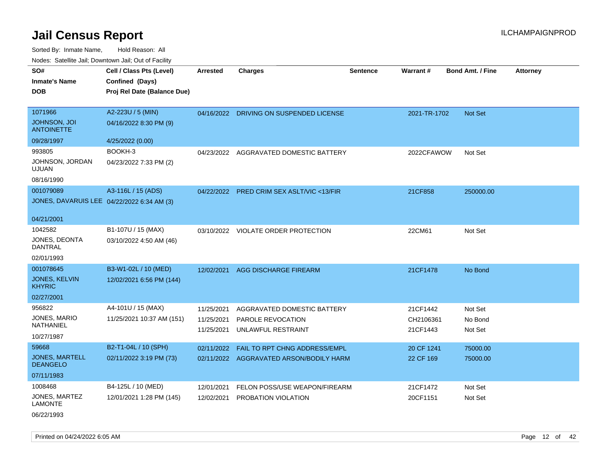Sorted By: Inmate Name, Hold Reason: All Nodes: Satellite Jail; Downtown Jail; Out of Facility

| SO#                                      | Cell / Class Pts (Level)                   | <b>Arrested</b> | <b>Charges</b>                            | <b>Sentence</b> | Warrant #    | <b>Bond Amt. / Fine</b> | <b>Attorney</b> |
|------------------------------------------|--------------------------------------------|-----------------|-------------------------------------------|-----------------|--------------|-------------------------|-----------------|
| <b>Inmate's Name</b>                     | Confined (Days)                            |                 |                                           |                 |              |                         |                 |
| <b>DOB</b>                               | Proj Rel Date (Balance Due)                |                 |                                           |                 |              |                         |                 |
|                                          |                                            |                 |                                           |                 |              |                         |                 |
| 1071966                                  | A2-223U / 5 (MIN)                          |                 | 04/16/2022 DRIVING ON SUSPENDED LICENSE   |                 | 2021-TR-1702 | Not Set                 |                 |
| <b>JOHNSON, JOI</b><br><b>ANTOINETTE</b> | 04/16/2022 8:30 PM (9)                     |                 |                                           |                 |              |                         |                 |
| 09/28/1997                               | 4/25/2022 (0.00)                           |                 |                                           |                 |              |                         |                 |
| 993805                                   | BOOKH-3                                    | 04/23/2022      | AGGRAVATED DOMESTIC BATTERY               |                 | 2022CFAWOW   | Not Set                 |                 |
| JOHNSON, JORDAN<br><b>UJUAN</b>          | 04/23/2022 7:33 PM (2)                     |                 |                                           |                 |              |                         |                 |
| 08/16/1990                               |                                            |                 |                                           |                 |              |                         |                 |
| 001079089                                | A3-116L / 15 (ADS)                         |                 | 04/22/2022 PRED CRIM SEX ASLT/VIC <13/FIR |                 | 21CF858      | 250000.00               |                 |
|                                          | JONES, DAVARUIS LEE 04/22/2022 6:34 AM (3) |                 |                                           |                 |              |                         |                 |
|                                          |                                            |                 |                                           |                 |              |                         |                 |
| 04/21/2001                               |                                            |                 |                                           |                 |              |                         |                 |
| 1042582                                  | B1-107U / 15 (MAX)                         | 03/10/2022      | <b>VIOLATE ORDER PROTECTION</b>           |                 | 22CM61       | Not Set                 |                 |
| JONES, DEONTA<br><b>DANTRAL</b>          | 03/10/2022 4:50 AM (46)                    |                 |                                           |                 |              |                         |                 |
| 02/01/1993                               |                                            |                 |                                           |                 |              |                         |                 |
| 001078645                                | B3-W1-02L / 10 (MED)                       | 12/02/2021      | <b>AGG DISCHARGE FIREARM</b>              |                 | 21CF1478     | No Bond                 |                 |
| JONES, KELVIN<br><b>KHYRIC</b>           | 12/02/2021 6:56 PM (144)                   |                 |                                           |                 |              |                         |                 |
| 02/27/2001                               |                                            |                 |                                           |                 |              |                         |                 |
| 956822                                   | A4-101U / 15 (MAX)                         | 11/25/2021      | AGGRAVATED DOMESTIC BATTERY               |                 | 21CF1442     | Not Set                 |                 |
| JONES, MARIO                             | 11/25/2021 10:37 AM (151)                  | 11/25/2021      | <b>PAROLE REVOCATION</b>                  |                 | CH2106361    | No Bond                 |                 |
| NATHANIEL                                |                                            | 11/25/2021      | UNLAWFUL RESTRAINT                        |                 | 21CF1443     | Not Set                 |                 |
| 10/27/1987                               |                                            |                 |                                           |                 |              |                         |                 |
| 59668                                    | B2-T1-04L / 10 (SPH)                       | 02/11/2022      | FAIL TO RPT CHNG ADDRESS/EMPL             |                 | 20 CF 1241   | 75000.00                |                 |
| <b>JONES, MARTELL</b><br><b>DEANGELO</b> | 02/11/2022 3:19 PM (73)                    |                 | 02/11/2022 AGGRAVATED ARSON/BODILY HARM   |                 | 22 CF 169    | 75000.00                |                 |
| 07/11/1983                               |                                            |                 |                                           |                 |              |                         |                 |
| 1008468                                  | B4-125L / 10 (MED)                         | 12/01/2021      | FELON POSS/USE WEAPON/FIREARM             |                 | 21CF1472     | Not Set                 |                 |
| JONES, MARTEZ<br><b>LAMONTE</b>          | 12/01/2021 1:28 PM (145)                   | 12/02/2021      | PROBATION VIOLATION                       |                 | 20CF1151     | Not Set                 |                 |

06/22/1993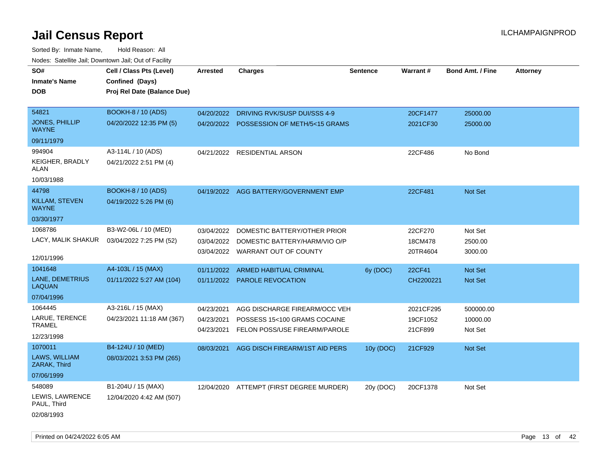Sorted By: Inmate Name, Hold Reason: All Nodes: Satellite Jail; Downtown Jail; Out of Facility

| SO#                                   | Cell / Class Pts (Level)    | Arrested   | <b>Charges</b>                           | <b>Sentence</b> | Warrant#  | <b>Bond Amt. / Fine</b> | <b>Attorney</b> |
|---------------------------------------|-----------------------------|------------|------------------------------------------|-----------------|-----------|-------------------------|-----------------|
| <b>Inmate's Name</b>                  | Confined (Days)             |            |                                          |                 |           |                         |                 |
| <b>DOB</b>                            | Proj Rel Date (Balance Due) |            |                                          |                 |           |                         |                 |
|                                       |                             |            |                                          |                 |           |                         |                 |
| 54821                                 | <b>BOOKH-8 / 10 (ADS)</b>   | 04/20/2022 | DRIVING RVK/SUSP DUI/SSS 4-9             |                 | 20CF1477  | 25000.00                |                 |
| <b>JONES, PHILLIP</b><br><b>WAYNE</b> | 04/20/2022 12:35 PM (5)     |            | 04/20/2022 POSSESSION OF METH/5<15 GRAMS |                 | 2021CF30  | 25000.00                |                 |
| 09/11/1979                            |                             |            |                                          |                 |           |                         |                 |
| 994904                                | A3-114L / 10 (ADS)          |            | 04/21/2022 RESIDENTIAL ARSON             |                 | 22CF486   | No Bond                 |                 |
| <b>KEIGHER, BRADLY</b><br>ALAN        | 04/21/2022 2:51 PM (4)      |            |                                          |                 |           |                         |                 |
| 10/03/1988                            |                             |            |                                          |                 |           |                         |                 |
| 44798                                 | <b>BOOKH-8 / 10 (ADS)</b>   |            | 04/19/2022 AGG BATTERY/GOVERNMENT EMP    |                 | 22CF481   | Not Set                 |                 |
| KILLAM, STEVEN<br><b>WAYNE</b>        | 04/19/2022 5:26 PM (6)      |            |                                          |                 |           |                         |                 |
| 03/30/1977                            |                             |            |                                          |                 |           |                         |                 |
| 1068786                               | B3-W2-06L / 10 (MED)        | 03/04/2022 | DOMESTIC BATTERY/OTHER PRIOR             |                 | 22CF270   | Not Set                 |                 |
| LACY, MALIK SHAKUR                    | 03/04/2022 7:25 PM (52)     | 03/04/2022 | DOMESTIC BATTERY/HARM/VIO O/P            |                 | 18CM478   | 2500.00                 |                 |
|                                       |                             |            | 03/04/2022 WARRANT OUT OF COUNTY         |                 | 20TR4604  | 3000.00                 |                 |
| 12/01/1996                            |                             |            |                                          |                 |           |                         |                 |
| 1041648                               | A4-103L / 15 (MAX)          | 01/11/2022 | <b>ARMED HABITUAL CRIMINAL</b>           | 6y (DOC)        | 22CF41    | Not Set                 |                 |
| <b>LANE, DEMETRIUS</b><br>LAQUAN      | 01/11/2022 5:27 AM (104)    |            | 01/11/2022 PAROLE REVOCATION             |                 | CH2200221 | Not Set                 |                 |
| 07/04/1996                            |                             |            |                                          |                 |           |                         |                 |
| 1064445                               | A3-216L / 15 (MAX)          | 04/23/2021 | AGG DISCHARGE FIREARM/OCC VEH            |                 | 2021CF295 | 500000.00               |                 |
| LARUE, TERENCE                        | 04/23/2021 11:18 AM (367)   | 04/23/2021 | POSSESS 15<100 GRAMS COCAINE             |                 | 19CF1052  | 10000.00                |                 |
| <b>TRAMEL</b>                         |                             | 04/23/2021 | FELON POSS/USE FIREARM/PAROLE            |                 | 21CF899   | Not Set                 |                 |
| 12/23/1998                            |                             |            |                                          |                 |           |                         |                 |
| 1070011                               | B4-124U / 10 (MED)          | 08/03/2021 | AGG DISCH FIREARM/1ST AID PERS           | 10y (DOC)       | 21CF929   | Not Set                 |                 |
| LAWS, WILLIAM<br>ZARAK, Third         | 08/03/2021 3:53 PM (265)    |            |                                          |                 |           |                         |                 |
| 07/06/1999                            |                             |            |                                          |                 |           |                         |                 |
| 548089                                | B1-204U / 15 (MAX)          |            | 12/04/2020 ATTEMPT (FIRST DEGREE MURDER) | 20y (DOC)       | 20CF1378  | Not Set                 |                 |
| LEWIS, LAWRENCE<br>PAUL, Third        | 12/04/2020 4:42 AM (507)    |            |                                          |                 |           |                         |                 |
| 02/08/1993                            |                             |            |                                          |                 |           |                         |                 |

Printed on 04/24/2022 6:05 AM Page 13 of 42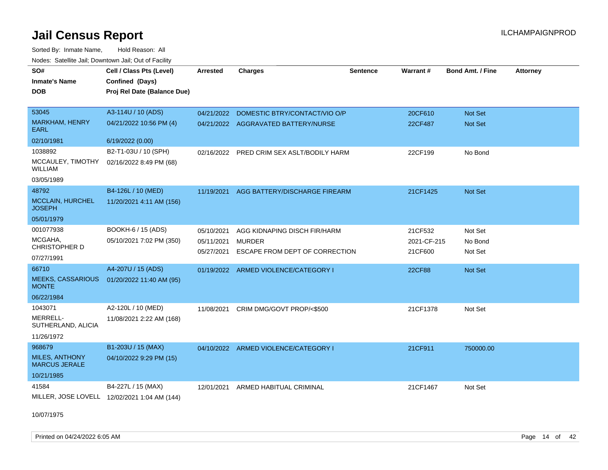Sorted By: Inmate Name, Hold Reason: All Nodes: Satellite Jail; Downtown Jail; Out of Facility

| SO#                                           | Cell / Class Pts (Level)                     | <b>Arrested</b> | <b>Charges</b>                            | <b>Sentence</b> | Warrant#      | <b>Bond Amt. / Fine</b> | Attorney |
|-----------------------------------------------|----------------------------------------------|-----------------|-------------------------------------------|-----------------|---------------|-------------------------|----------|
| <b>Inmate's Name</b>                          | Confined (Days)                              |                 |                                           |                 |               |                         |          |
| <b>DOB</b>                                    | Proj Rel Date (Balance Due)                  |                 |                                           |                 |               |                         |          |
|                                               |                                              |                 |                                           |                 |               |                         |          |
| 53045                                         | A3-114U / 10 (ADS)                           | 04/21/2022      | DOMESTIC BTRY/CONTACT/VIO O/P             |                 | 20CF610       | Not Set                 |          |
| <b>MARKHAM, HENRY</b><br><b>EARL</b>          | 04/21/2022 10:56 PM (4)                      |                 | 04/21/2022 AGGRAVATED BATTERY/NURSE       |                 | 22CF487       | <b>Not Set</b>          |          |
| 02/10/1981                                    | 6/19/2022 (0.00)                             |                 |                                           |                 |               |                         |          |
| 1038892                                       | B2-T1-03U / 10 (SPH)                         |                 | 02/16/2022 PRED CRIM SEX ASLT/BODILY HARM |                 | 22CF199       | No Bond                 |          |
| MCCAULEY, TIMOTHY<br><b>WILLIAM</b>           | 02/16/2022 8:49 PM (68)                      |                 |                                           |                 |               |                         |          |
| 03/05/1989                                    |                                              |                 |                                           |                 |               |                         |          |
| 48792                                         | B4-126L / 10 (MED)                           |                 | 11/19/2021 AGG BATTERY/DISCHARGE FIREARM  |                 | 21CF1425      | Not Set                 |          |
| <b>MCCLAIN, HURCHEL</b><br><b>JOSEPH</b>      | 11/20/2021 4:11 AM (156)                     |                 |                                           |                 |               |                         |          |
| 05/01/1979                                    |                                              |                 |                                           |                 |               |                         |          |
| 001077938                                     | BOOKH-6 / 15 (ADS)                           | 05/10/2021      | AGG KIDNAPING DISCH FIR/HARM              |                 | 21CF532       | Not Set                 |          |
| MCGAHA,                                       | 05/10/2021 7:02 PM (350)                     | 05/11/2021      | <b>MURDER</b>                             |                 | 2021-CF-215   | No Bond                 |          |
| <b>CHRISTOPHER D</b>                          |                                              | 05/27/2021      | ESCAPE FROM DEPT OF CORRECTION            |                 | 21CF600       | Not Set                 |          |
| 07/27/1991                                    |                                              |                 |                                           |                 |               |                         |          |
| 66710                                         | A4-207U / 15 (ADS)                           |                 | 01/19/2022 ARMED VIOLENCE/CATEGORY I      |                 | <b>22CF88</b> | Not Set                 |          |
| <b>MEEKS, CASSARIOUS</b><br><b>MONTE</b>      | 01/20/2022 11:40 AM (95)                     |                 |                                           |                 |               |                         |          |
| 06/22/1984                                    |                                              |                 |                                           |                 |               |                         |          |
| 1043071                                       | A2-120L / 10 (MED)                           | 11/08/2021      | CRIM DMG/GOVT PROP/<\$500                 |                 | 21CF1378      | Not Set                 |          |
| MERRELL-<br>SUTHERLAND, ALICIA                | 11/08/2021 2:22 AM (168)                     |                 |                                           |                 |               |                         |          |
| 11/26/1972                                    |                                              |                 |                                           |                 |               |                         |          |
| 968679                                        | B1-203U / 15 (MAX)                           |                 | 04/10/2022 ARMED VIOLENCE/CATEGORY I      |                 | 21CF911       | 750000.00               |          |
| <b>MILES, ANTHONY</b><br><b>MARCUS JERALE</b> | 04/10/2022 9:29 PM (15)                      |                 |                                           |                 |               |                         |          |
| 10/21/1985                                    |                                              |                 |                                           |                 |               |                         |          |
| 41584                                         | B4-227L / 15 (MAX)                           | 12/01/2021      | ARMED HABITUAL CRIMINAL                   |                 | 21CF1467      | Not Set                 |          |
|                                               | MILLER, JOSE LOVELL 12/02/2021 1:04 AM (144) |                 |                                           |                 |               |                         |          |

10/07/1975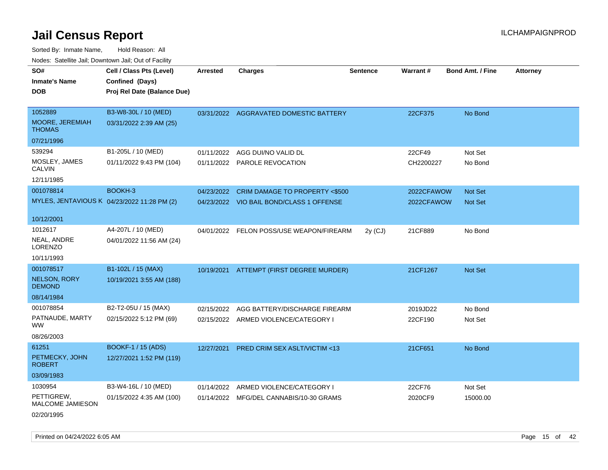Sorted By: Inmate Name, Hold Reason: All Nodes: Satellite Jail; Downtown Jail; Out of Facility

| SO#                                     | Cell / Class Pts (Level)                    | <b>Arrested</b> | <b>Charges</b>                           | <b>Sentence</b> | <b>Warrant#</b> | <b>Bond Amt. / Fine</b> | <b>Attorney</b> |
|-----------------------------------------|---------------------------------------------|-----------------|------------------------------------------|-----------------|-----------------|-------------------------|-----------------|
|                                         |                                             |                 |                                          |                 |                 |                         |                 |
| <b>Inmate's Name</b>                    | Confined (Days)                             |                 |                                          |                 |                 |                         |                 |
| <b>DOB</b>                              | Proj Rel Date (Balance Due)                 |                 |                                          |                 |                 |                         |                 |
| 1052889                                 | B3-W8-30L / 10 (MED)                        |                 |                                          |                 |                 |                         |                 |
|                                         |                                             |                 | 03/31/2022 AGGRAVATED DOMESTIC BATTERY   |                 | 22CF375         | No Bond                 |                 |
| <b>MOORE, JEREMIAH</b><br><b>THOMAS</b> | 03/31/2022 2:39 AM (25)                     |                 |                                          |                 |                 |                         |                 |
| 07/21/1996                              |                                             |                 |                                          |                 |                 |                         |                 |
| 539294                                  | B1-205L / 10 (MED)                          | 01/11/2022      | AGG DUI/NO VALID DL                      |                 | 22CF49          | Not Set                 |                 |
| MOSLEY, JAMES<br><b>CALVIN</b>          | 01/11/2022 9:43 PM (104)                    |                 | 01/11/2022 PAROLE REVOCATION             |                 | CH2200227       | No Bond                 |                 |
| 12/11/1985                              |                                             |                 |                                          |                 |                 |                         |                 |
| 001078814                               | BOOKH-3                                     | 04/23/2022      | CRIM DAMAGE TO PROPERTY <\$500           |                 | 2022CFAWOW      | Not Set                 |                 |
|                                         | MYLES, JENTAVIOUS K 04/23/2022 11:28 PM (2) |                 | 04/23/2022 VIO BAIL BOND/CLASS 1 OFFENSE |                 | 2022CFAWOW      | Not Set                 |                 |
|                                         |                                             |                 |                                          |                 |                 |                         |                 |
| 10/12/2001                              |                                             |                 |                                          |                 |                 |                         |                 |
| 1012617                                 | A4-207L / 10 (MED)                          |                 | 04/01/2022 FELON POSS/USE WEAPON/FIREARM | $2y$ (CJ)       | 21CF889         | No Bond                 |                 |
| NEAL, ANDRE<br>LORENZO                  | 04/01/2022 11:56 AM (24)                    |                 |                                          |                 |                 |                         |                 |
| 10/11/1993                              |                                             |                 |                                          |                 |                 |                         |                 |
| 001078517                               | B1-102L / 15 (MAX)                          |                 | 10/19/2021 ATTEMPT (FIRST DEGREE MURDER) |                 | 21CF1267        | Not Set                 |                 |
| <b>NELSON, RORY</b><br><b>DEMOND</b>    | 10/19/2021 3:55 AM (188)                    |                 |                                          |                 |                 |                         |                 |
| 08/14/1984                              |                                             |                 |                                          |                 |                 |                         |                 |
| 001078854                               | B2-T2-05U / 15 (MAX)                        | 02/15/2022      | AGG BATTERY/DISCHARGE FIREARM            |                 | 2019JD22        | No Bond                 |                 |
| PATNAUDE, MARTY<br><b>WW</b>            | 02/15/2022 5:12 PM (69)                     |                 | 02/15/2022 ARMED VIOLENCE/CATEGORY I     |                 | 22CF190         | Not Set                 |                 |
| 08/26/2003                              |                                             |                 |                                          |                 |                 |                         |                 |
| 61251                                   | BOOKF-1 / 15 (ADS)                          | 12/27/2021      | <b>PRED CRIM SEX ASLT/VICTIM &lt;13</b>  |                 | 21CF651         | No Bond                 |                 |
| PETMECKY, JOHN<br><b>ROBERT</b>         | 12/27/2021 1:52 PM (119)                    |                 |                                          |                 |                 |                         |                 |
| 03/09/1983                              |                                             |                 |                                          |                 |                 |                         |                 |
| 1030954                                 | B3-W4-16L / 10 (MED)                        | 01/14/2022      | ARMED VIOLENCE/CATEGORY I                |                 | 22CF76          | Not Set                 |                 |
| PETTIGREW,<br>MALCOME JAMIESON          | 01/15/2022 4:35 AM (100)                    |                 | 01/14/2022 MFG/DEL CANNABIS/10-30 GRAMS  |                 | 2020CF9         | 15000.00                |                 |
| 02/20/1995                              |                                             |                 |                                          |                 |                 |                         |                 |

Printed on 04/24/2022 6:05 AM Page 15 of 42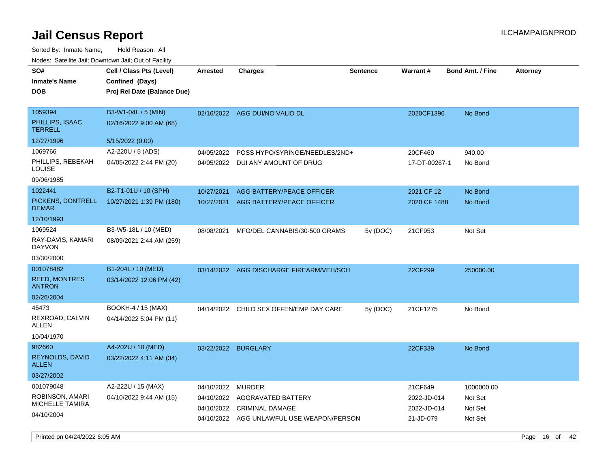| SO#<br><b>Inmate's Name</b><br><b>DOB</b>                            | Cell / Class Pts (Level)<br>Confined (Days)<br>Proj Rel Date (Balance Due) | <b>Arrested</b>     | <b>Charges</b>                                                               | <b>Sentence</b> | Warrant#                              | <b>Bond Amt. / Fine</b>          | <b>Attorney</b> |
|----------------------------------------------------------------------|----------------------------------------------------------------------------|---------------------|------------------------------------------------------------------------------|-----------------|---------------------------------------|----------------------------------|-----------------|
| 1059394<br>PHILLIPS, ISAAC<br><b>TERRELL</b>                         | B3-W1-04L / 5 (MIN)<br>02/16/2022 9:00 AM (68)                             |                     | 02/16/2022 AGG DUI/NO VALID DL                                               |                 | 2020CF1396                            | No Bond                          |                 |
| 12/27/1996                                                           | 5/15/2022 (0.00)                                                           |                     |                                                                              |                 |                                       |                                  |                 |
| 1069766                                                              | A2-220U / 5 (ADS)                                                          | 04/05/2022          | POSS HYPO/SYRINGE/NEEDLES/2ND+                                               |                 | 20CF460                               | 940.00                           |                 |
| PHILLIPS, REBEKAH<br>LOUISE                                          | 04/05/2022 2:44 PM (20)                                                    |                     | 04/05/2022 DUI ANY AMOUNT OF DRUG                                            |                 | 17-DT-00267-1                         | No Bond                          |                 |
| 09/06/1985                                                           |                                                                            |                     |                                                                              |                 |                                       |                                  |                 |
| 1022441                                                              | B2-T1-01U / 10 (SPH)                                                       | 10/27/2021          | AGG BATTERY/PEACE OFFICER                                                    |                 | 2021 CF 12                            | No Bond                          |                 |
| PICKENS, DONTRELL<br><b>DEMAR</b>                                    | 10/27/2021 1:39 PM (180)                                                   | 10/27/2021          | AGG BATTERY/PEACE OFFICER                                                    |                 | 2020 CF 1488                          | No Bond                          |                 |
| 12/10/1993                                                           |                                                                            |                     |                                                                              |                 |                                       |                                  |                 |
| 1069524                                                              | B3-W5-18L / 10 (MED)                                                       | 08/08/2021          | MFG/DEL CANNABIS/30-500 GRAMS                                                | 5y(DOC)         | 21CF953                               | Not Set                          |                 |
| RAY-DAVIS, KAMARI<br><b>DAYVON</b>                                   | 08/09/2021 2:44 AM (259)                                                   |                     |                                                                              |                 |                                       |                                  |                 |
| 03/30/2000                                                           |                                                                            |                     |                                                                              |                 |                                       |                                  |                 |
| 001078482                                                            | B1-204L / 10 (MED)                                                         |                     | 03/14/2022 AGG DISCHARGE FIREARM/VEH/SCH                                     |                 | 22CF299                               | 250000.00                        |                 |
| <b>REED, MONTRES</b><br><b>ANTRON</b>                                | 03/14/2022 12:06 PM (42)                                                   |                     |                                                                              |                 |                                       |                                  |                 |
| 02/26/2004                                                           |                                                                            |                     |                                                                              |                 |                                       |                                  |                 |
| 45473                                                                | BOOKH-4 / 15 (MAX)                                                         |                     | 04/14/2022 CHILD SEX OFFEN/EMP DAY CARE                                      | 5y (DOC)        | 21CF1275                              | No Bond                          |                 |
| REXROAD, CALVIN<br>ALLEN                                             | 04/14/2022 5:04 PM (11)                                                    |                     |                                                                              |                 |                                       |                                  |                 |
| 10/04/1970                                                           |                                                                            |                     |                                                                              |                 |                                       |                                  |                 |
| 982660                                                               | A4-202U / 10 (MED)                                                         | 03/22/2022 BURGLARY |                                                                              |                 | 22CF339                               | No Bond                          |                 |
| REYNOLDS, DAVID<br><b>ALLEN</b>                                      | 03/22/2022 4:11 AM (34)                                                    |                     |                                                                              |                 |                                       |                                  |                 |
| 03/27/2002                                                           |                                                                            |                     |                                                                              |                 |                                       |                                  |                 |
| 001079048<br>ROBINSON, AMARI<br><b>MICHELLE TAMIRA</b><br>04/10/2004 | A2-222U / 15 (MAX)<br>04/10/2022 9:44 AM (15)                              | 04/10/2022          | <b>MURDER</b><br>04/10/2022 AGGRAVATED BATTERY<br>04/10/2022 CRIMINAL DAMAGE |                 | 21CF649<br>2022-JD-014<br>2022-JD-014 | 1000000.00<br>Not Set<br>Not Set |                 |
|                                                                      |                                                                            |                     | 04/10/2022 AGG UNLAWFUL USE WEAPON/PERSON                                    |                 | 21-JD-079                             | Not Set                          |                 |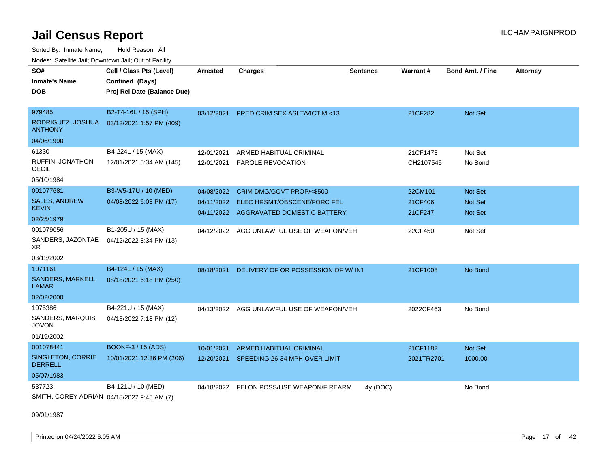Sorted By: Inmate Name, Hold Reason: All Nodes: Satellite Jail; Downtown Jail; Out of Facility

| SO#<br><b>Inmate's Name</b><br><b>DOB</b>  | Cell / Class Pts (Level)<br>Confined (Days)<br>Proj Rel Date (Balance Due) | Arrested   | <b>Charges</b>                            | <b>Sentence</b> | <b>Warrant#</b> | <b>Bond Amt. / Fine</b> | <b>Attorney</b> |
|--------------------------------------------|----------------------------------------------------------------------------|------------|-------------------------------------------|-----------------|-----------------|-------------------------|-----------------|
|                                            |                                                                            |            |                                           |                 |                 |                         |                 |
| 979485                                     | B2-T4-16L / 15 (SPH)                                                       | 03/12/2021 | PRED CRIM SEX ASLT/VICTIM <13             |                 | 21CF282         | Not Set                 |                 |
| RODRIGUEZ, JOSHUA<br><b>ANTHONY</b>        | 03/12/2021 1:57 PM (409)                                                   |            |                                           |                 |                 |                         |                 |
| 04/06/1990                                 |                                                                            |            |                                           |                 |                 |                         |                 |
| 61330                                      | B4-224L / 15 (MAX)                                                         | 12/01/2021 | ARMED HABITUAL CRIMINAL                   |                 | 21CF1473        | Not Set                 |                 |
| RUFFIN, JONATHON<br><b>CECIL</b>           | 12/01/2021 5:34 AM (145)                                                   | 12/01/2021 | PAROLE REVOCATION                         |                 | CH2107545       | No Bond                 |                 |
| 05/10/1984                                 |                                                                            |            |                                           |                 |                 |                         |                 |
| 001077681                                  | B3-W5-17U / 10 (MED)                                                       | 04/08/2022 | CRIM DMG/GOVT PROP/<\$500                 |                 | 22CM101         | <b>Not Set</b>          |                 |
| <b>SALES, ANDREW</b>                       | 04/08/2022 6:03 PM (17)                                                    | 04/11/2022 | ELEC HRSMT/OBSCENE/FORC FEL               |                 | 21CF406         | <b>Not Set</b>          |                 |
| <b>KEVIN</b><br>02/25/1979                 |                                                                            |            | 04/11/2022 AGGRAVATED DOMESTIC BATTERY    |                 | 21CF247         | <b>Not Set</b>          |                 |
| 001079056                                  | B1-205U / 15 (MAX)                                                         |            |                                           |                 |                 |                         |                 |
| SANDERS, JAZONTAE<br>XR.                   | 04/12/2022 8:34 PM (13)                                                    | 04/12/2022 | AGG UNLAWFUL USE OF WEAPON/VEH            |                 | 22CF450         | Not Set                 |                 |
| 03/13/2002                                 |                                                                            |            |                                           |                 |                 |                         |                 |
| 1071161                                    | B4-124L / 15 (MAX)                                                         | 08/18/2021 | DELIVERY OF OR POSSESSION OF W/ INT       |                 | 21CF1008        | No Bond                 |                 |
| <b>SANDERS, MARKELL</b><br>LAMAR           | 08/18/2021 6:18 PM (250)                                                   |            |                                           |                 |                 |                         |                 |
| 02/02/2000                                 |                                                                            |            |                                           |                 |                 |                         |                 |
| 1075386                                    | B4-221U / 15 (MAX)                                                         |            | 04/13/2022 AGG UNLAWFUL USE OF WEAPON/VEH |                 | 2022CF463       | No Bond                 |                 |
| SANDERS, MARQUIS<br><b>JOVON</b>           | 04/13/2022 7:18 PM (12)                                                    |            |                                           |                 |                 |                         |                 |
| 01/19/2002                                 |                                                                            |            |                                           |                 |                 |                         |                 |
| 001078441                                  | <b>BOOKF-3 / 15 (ADS)</b>                                                  | 10/01/2021 | <b>ARMED HABITUAL CRIMINAL</b>            |                 | 21CF1182        | <b>Not Set</b>          |                 |
| <b>SINGLETON, CORRIE</b><br><b>DERRELL</b> | 10/01/2021 12:36 PM (206)                                                  | 12/20/2021 | SPEEDING 26-34 MPH OVER LIMIT             |                 | 2021TR2701      | 1000.00                 |                 |
| 05/07/1983                                 |                                                                            |            |                                           |                 |                 |                         |                 |
| 537723                                     | B4-121U / 10 (MED)                                                         | 04/18/2022 | FELON POSS/USE WEAPON/FIREARM             | 4y (DOC)        |                 | No Bond                 |                 |
| SMITH, COREY ADRIAN 04/18/2022 9:45 AM (7) |                                                                            |            |                                           |                 |                 |                         |                 |

09/01/1987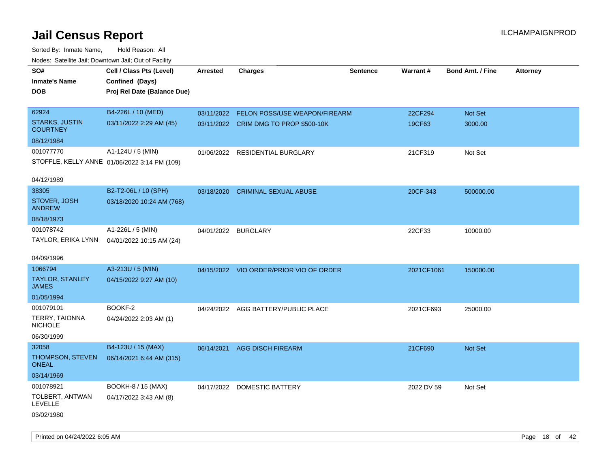| <b>Nouse.</b> Sutcline sail, Downtown sail, Sut of Fability |                                              |                 |                                          |                 |                 |                         |                 |
|-------------------------------------------------------------|----------------------------------------------|-----------------|------------------------------------------|-----------------|-----------------|-------------------------|-----------------|
| SO#                                                         | Cell / Class Pts (Level)                     | <b>Arrested</b> | <b>Charges</b>                           | <b>Sentence</b> | <b>Warrant#</b> | <b>Bond Amt. / Fine</b> | <b>Attorney</b> |
| <b>Inmate's Name</b>                                        | Confined (Days)                              |                 |                                          |                 |                 |                         |                 |
| <b>DOB</b>                                                  | Proj Rel Date (Balance Due)                  |                 |                                          |                 |                 |                         |                 |
|                                                             |                                              |                 |                                          |                 |                 |                         |                 |
| 62924                                                       | B4-226L / 10 (MED)                           |                 | 03/11/2022 FELON POSS/USE WEAPON/FIREARM |                 | 22CF294         | Not Set                 |                 |
| <b>STARKS, JUSTIN</b><br><b>COURTNEY</b>                    | 03/11/2022 2:29 AM (45)                      |                 | 03/11/2022 CRIM DMG TO PROP \$500-10K    |                 | 19CF63          | 3000.00                 |                 |
| 08/12/1984                                                  |                                              |                 |                                          |                 |                 |                         |                 |
| 001077770                                                   | A1-124U / 5 (MIN)                            |                 | 01/06/2022 RESIDENTIAL BURGLARY          |                 | 21CF319         | Not Set                 |                 |
|                                                             | STOFFLE, KELLY ANNE 01/06/2022 3:14 PM (109) |                 |                                          |                 |                 |                         |                 |
|                                                             |                                              |                 |                                          |                 |                 |                         |                 |
| 04/12/1989                                                  |                                              |                 |                                          |                 |                 |                         |                 |
| 38305                                                       | B2-T2-06L / 10 (SPH)                         | 03/18/2020      | <b>CRIMINAL SEXUAL ABUSE</b>             |                 | 20CF-343        | 500000.00               |                 |
| STOVER, JOSH<br><b>ANDREW</b>                               | 03/18/2020 10:24 AM (768)                    |                 |                                          |                 |                 |                         |                 |
| 08/18/1973                                                  |                                              |                 |                                          |                 |                 |                         |                 |
| 001078742                                                   | A1-226L / 5 (MIN)                            | 04/01/2022      | <b>BURGLARY</b>                          |                 | 22CF33          | 10000.00                |                 |
| TAYLOR, ERIKA LYNN                                          | 04/01/2022 10:15 AM (24)                     |                 |                                          |                 |                 |                         |                 |
|                                                             |                                              |                 |                                          |                 |                 |                         |                 |
| 04/09/1996                                                  |                                              |                 |                                          |                 |                 |                         |                 |
| 1066794                                                     | A3-213U / 5 (MIN)                            |                 | 04/15/2022 VIO ORDER/PRIOR VIO OF ORDER  |                 | 2021CF1061      | 150000.00               |                 |
| <b>TAYLOR, STANLEY</b><br><b>JAMES</b>                      | 04/15/2022 9:27 AM (10)                      |                 |                                          |                 |                 |                         |                 |
| 01/05/1994                                                  |                                              |                 |                                          |                 |                 |                         |                 |
| 001079101                                                   | BOOKF-2                                      |                 | 04/24/2022 AGG BATTERY/PUBLIC PLACE      |                 | 2021CF693       | 25000.00                |                 |
| TERRY, TAIONNA<br><b>NICHOLE</b>                            | 04/24/2022 2:03 AM (1)                       |                 |                                          |                 |                 |                         |                 |
| 06/30/1999                                                  |                                              |                 |                                          |                 |                 |                         |                 |
| 32058                                                       | B4-123U / 15 (MAX)                           | 06/14/2021      | <b>AGG DISCH FIREARM</b>                 |                 | 21CF690         | Not Set                 |                 |
| THOMPSON, STEVEN<br><b>ONEAL</b>                            | 06/14/2021 6:44 AM (315)                     |                 |                                          |                 |                 |                         |                 |
| 03/14/1969                                                  |                                              |                 |                                          |                 |                 |                         |                 |
| 001078921                                                   | BOOKH-8 / 15 (MAX)                           |                 | 04/17/2022 DOMESTIC BATTERY              |                 | 2022 DV 59      | Not Set                 |                 |
| TOLBERT, ANTWAN<br><b>LEVELLE</b>                           | 04/17/2022 3:43 AM (8)                       |                 |                                          |                 |                 |                         |                 |
| 03/02/1980                                                  |                                              |                 |                                          |                 |                 |                         |                 |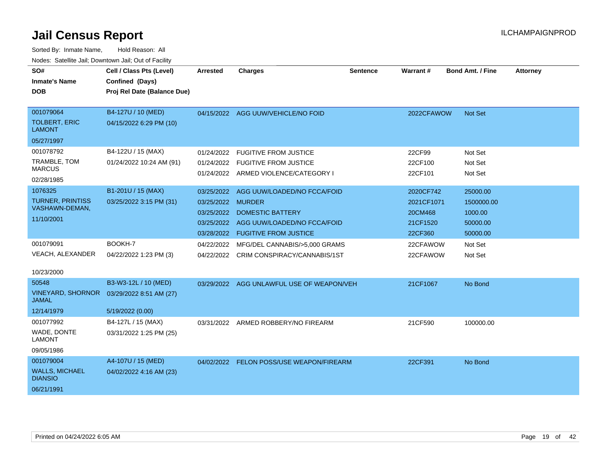| SO#<br><b>Inmate's Name</b><br><b>DOB</b> | Cell / Class Pts (Level)<br>Confined (Days)<br>Proj Rel Date (Balance Due) | <b>Arrested</b>   | <b>Charges</b>                            | <b>Sentence</b> | Warrant#   | <b>Bond Amt. / Fine</b> | <b>Attorney</b> |
|-------------------------------------------|----------------------------------------------------------------------------|-------------------|-------------------------------------------|-----------------|------------|-------------------------|-----------------|
|                                           |                                                                            |                   |                                           |                 |            |                         |                 |
| 001079064                                 | B4-127U / 10 (MED)                                                         |                   | 04/15/2022 AGG UUW/VEHICLE/NO FOID        |                 | 2022CFAWOW | <b>Not Set</b>          |                 |
| <b>TOLBERT, ERIC</b><br><b>LAMONT</b>     | 04/15/2022 6:29 PM (10)                                                    |                   |                                           |                 |            |                         |                 |
| 05/27/1997                                |                                                                            |                   |                                           |                 |            |                         |                 |
| 001078792                                 | B4-122U / 15 (MAX)                                                         | 01/24/2022        | <b>FUGITIVE FROM JUSTICE</b>              |                 | 22CF99     | Not Set                 |                 |
| TRAMBLE, TOM<br><b>MARCUS</b>             | 01/24/2022 10:24 AM (91)                                                   | 01/24/2022        | <b>FUGITIVE FROM JUSTICE</b>              |                 | 22CF100    | Not Set                 |                 |
| 02/28/1985                                |                                                                            |                   | 01/24/2022 ARMED VIOLENCE/CATEGORY I      |                 | 22CF101    | Not Set                 |                 |
| 1076325                                   | B1-201U / 15 (MAX)                                                         | 03/25/2022        | AGG UUW/LOADED/NO FCCA/FOID               |                 | 2020CF742  | 25000.00                |                 |
| <b>TURNER, PRINTISS</b>                   | 03/25/2022 3:15 PM (31)                                                    | 03/25/2022 MURDER |                                           |                 | 2021CF1071 | 1500000.00              |                 |
| VASHAWN-DEMAN,                            |                                                                            | 03/25/2022        | <b>DOMESTIC BATTERY</b>                   |                 | 20CM468    | 1000.00                 |                 |
| 11/10/2001                                |                                                                            | 03/25/2022        | AGG UUW/LOADED/NO FCCA/FOID               |                 | 21CF1520   | 50000.00                |                 |
|                                           |                                                                            |                   | 03/28/2022 FUGITIVE FROM JUSTICE          |                 | 22CF360    | 50000.00                |                 |
| 001079091                                 | BOOKH-7                                                                    | 04/22/2022        | MFG/DEL CANNABIS/>5,000 GRAMS             |                 | 22CFAWOW   | Not Set                 |                 |
| VEACH, ALEXANDER                          | 04/22/2022 1:23 PM (3)                                                     |                   | 04/22/2022 CRIM CONSPIRACY/CANNABIS/1ST   |                 | 22CFAWOW   | Not Set                 |                 |
|                                           |                                                                            |                   |                                           |                 |            |                         |                 |
| 10/23/2000                                |                                                                            |                   |                                           |                 |            |                         |                 |
| 50548                                     | B3-W3-12L / 10 (MED)                                                       |                   | 03/29/2022 AGG UNLAWFUL USE OF WEAPON/VEH |                 | 21CF1067   | No Bond                 |                 |
| <b>VINEYARD, SHORNOR</b><br><b>JAMAL</b>  | 03/29/2022 8:51 AM (27)                                                    |                   |                                           |                 |            |                         |                 |
| 12/14/1979                                | 5/19/2022 (0.00)                                                           |                   |                                           |                 |            |                         |                 |
| 001077992                                 | B4-127L / 15 (MAX)                                                         | 03/31/2022        | ARMED ROBBERY/NO FIREARM                  |                 | 21CF590    | 100000.00               |                 |
| WADE, DONTE<br><b>LAMONT</b>              | 03/31/2022 1:25 PM (25)                                                    |                   |                                           |                 |            |                         |                 |
| 09/05/1986                                |                                                                            |                   |                                           |                 |            |                         |                 |
| 001079004                                 | A4-107U / 15 (MED)                                                         |                   | 04/02/2022 FELON POSS/USE WEAPON/FIREARM  |                 | 22CF391    | No Bond                 |                 |
| <b>WALLS, MICHAEL</b><br><b>DIANSIO</b>   | 04/02/2022 4:16 AM (23)                                                    |                   |                                           |                 |            |                         |                 |
| 06/21/1991                                |                                                                            |                   |                                           |                 |            |                         |                 |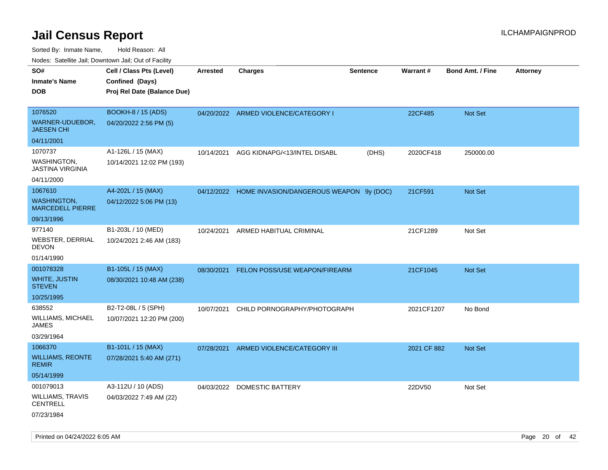Sorted By: Inmate Name, Hold Reason: All

|                                               | Nodes: Satellite Jail; Downtown Jail; Out of Facility |                 |                                                    |                 |                 |                  |                 |
|-----------------------------------------------|-------------------------------------------------------|-----------------|----------------------------------------------------|-----------------|-----------------|------------------|-----------------|
| SO#                                           | Cell / Class Pts (Level)                              | <b>Arrested</b> | <b>Charges</b>                                     | <b>Sentence</b> | <b>Warrant#</b> | Bond Amt. / Fine | <b>Attorney</b> |
| <b>Inmate's Name</b>                          | Confined (Days)                                       |                 |                                                    |                 |                 |                  |                 |
| <b>DOB</b>                                    | Proj Rel Date (Balance Due)                           |                 |                                                    |                 |                 |                  |                 |
|                                               |                                                       |                 |                                                    |                 |                 |                  |                 |
| 1076520                                       | <b>BOOKH-8 / 15 (ADS)</b>                             |                 | 04/20/2022 ARMED VIOLENCE/CATEGORY I               |                 | 22CF485         | Not Set          |                 |
| WARNER-UDUEBOR,<br><b>JAESEN CHI</b>          | 04/20/2022 2:56 PM (5)                                |                 |                                                    |                 |                 |                  |                 |
| 04/11/2001                                    |                                                       |                 |                                                    |                 |                 |                  |                 |
| 1070737                                       | A1-126L / 15 (MAX)                                    | 10/14/2021      | AGG KIDNAPG/<13/INTEL DISABL                       | (DHS)           | 2020CF418       | 250000.00        |                 |
| <b>WASHINGTON,</b><br><b>JASTINA VIRGINIA</b> | 10/14/2021 12:02 PM (193)                             |                 |                                                    |                 |                 |                  |                 |
| 04/11/2000                                    |                                                       |                 |                                                    |                 |                 |                  |                 |
| 1067610                                       | A4-202L / 15 (MAX)                                    |                 | 04/12/2022 HOME INVASION/DANGEROUS WEAPON 9y (DOC) |                 | 21CF591         | Not Set          |                 |
| <b>WASHINGTON,</b><br><b>MARCEDELL PIERRE</b> | 04/12/2022 5:06 PM (13)                               |                 |                                                    |                 |                 |                  |                 |
| 09/13/1996                                    |                                                       |                 |                                                    |                 |                 |                  |                 |
| 977140                                        | B1-203L / 10 (MED)                                    | 10/24/2021      | ARMED HABITUAL CRIMINAL                            |                 | 21CF1289        | Not Set          |                 |
| WEBSTER, DERRIAL<br><b>DEVON</b>              | 10/24/2021 2:46 AM (183)                              |                 |                                                    |                 |                 |                  |                 |
| 01/14/1990                                    |                                                       |                 |                                                    |                 |                 |                  |                 |
| 001078328                                     | B1-105L / 15 (MAX)                                    | 08/30/2021      | FELON POSS/USE WEAPON/FIREARM                      |                 | 21CF1045        | Not Set          |                 |
| <b>WHITE, JUSTIN</b><br><b>STEVEN</b>         | 08/30/2021 10:48 AM (238)                             |                 |                                                    |                 |                 |                  |                 |
| 10/25/1995                                    |                                                       |                 |                                                    |                 |                 |                  |                 |
| 638552                                        | B2-T2-08L / 5 (SPH)                                   | 10/07/2021      | CHILD PORNOGRAPHY/PHOTOGRAPH                       |                 | 2021CF1207      | No Bond          |                 |
| WILLIAMS, MICHAEL<br><b>JAMES</b>             | 10/07/2021 12:20 PM (200)                             |                 |                                                    |                 |                 |                  |                 |
| 03/29/1964                                    |                                                       |                 |                                                    |                 |                 |                  |                 |
| 1066370                                       | B1-101L / 15 (MAX)                                    | 07/28/2021      | ARMED VIOLENCE/CATEGORY III                        |                 | 2021 CF 882     | Not Set          |                 |
| <b>WILLIAMS, REONTE</b><br><b>REMIR</b>       | 07/28/2021 5:40 AM (271)                              |                 |                                                    |                 |                 |                  |                 |
| 05/14/1999                                    |                                                       |                 |                                                    |                 |                 |                  |                 |
| 001079013                                     | A3-112U / 10 (ADS)                                    | 04/03/2022      | DOMESTIC BATTERY                                   |                 | 22DV50          | Not Set          |                 |
| <b>WILLIAMS, TRAVIS</b><br><b>CENTRELL</b>    | 04/03/2022 7:49 AM (22)                               |                 |                                                    |                 |                 |                  |                 |
| 07/23/1984                                    |                                                       |                 |                                                    |                 |                 |                  |                 |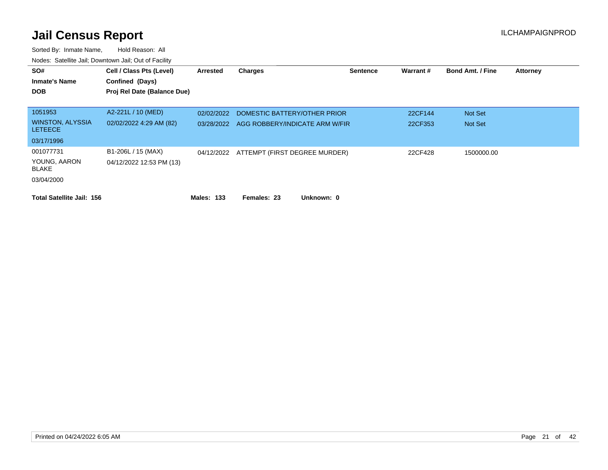| SO#<br><b>Inmate's Name</b><br><b>DOB</b> | Cell / Class Pts (Level)<br>Confined (Days)<br>Proj Rel Date (Balance Due) | Arrested          | <b>Charges</b>                           | <b>Sentence</b> | Warrant# | <b>Bond Amt. / Fine</b> | <b>Attorney</b> |
|-------------------------------------------|----------------------------------------------------------------------------|-------------------|------------------------------------------|-----------------|----------|-------------------------|-----------------|
| 1051953                                   | A2-221L / 10 (MED)                                                         | 02/02/2022        | DOMESTIC BATTERY/OTHER PRIOR             |                 | 22CF144  | Not Set                 |                 |
| <b>WINSTON, ALYSSIA</b><br><b>LETEECE</b> | 02/02/2022 4:29 AM (82)                                                    | 03/28/2022        | AGG ROBBERY/INDICATE ARM W/FIR           |                 | 22CF353  | Not Set                 |                 |
| 03/17/1996                                |                                                                            |                   |                                          |                 |          |                         |                 |
| 001077731<br>YOUNG, AARON<br>BLAKE        | B1-206L / 15 (MAX)<br>04/12/2022 12:53 PM (13)                             |                   | 04/12/2022 ATTEMPT (FIRST DEGREE MURDER) |                 | 22CF428  | 1500000.00              |                 |
| 03/04/2000                                |                                                                            |                   |                                          |                 |          |                         |                 |
| <b>Total Satellite Jail: 156</b>          |                                                                            | <b>Males: 133</b> | Females: 23<br>Unknown: 0                |                 |          |                         |                 |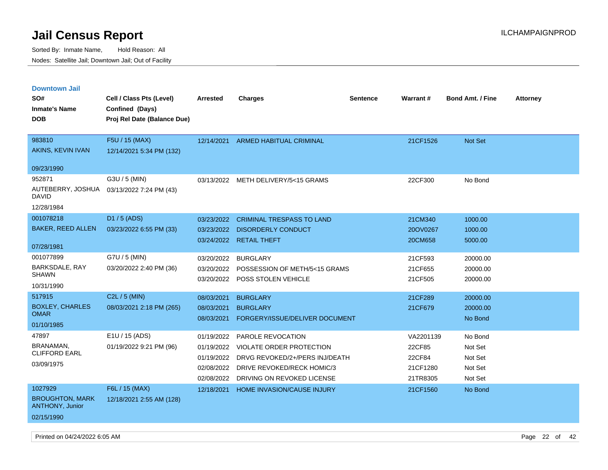| <b>Downtown Jail</b>                             |                             |                 |                                     |                 |                 |                         |                 |
|--------------------------------------------------|-----------------------------|-----------------|-------------------------------------|-----------------|-----------------|-------------------------|-----------------|
| SO#                                              | Cell / Class Pts (Level)    | <b>Arrested</b> | <b>Charges</b>                      | <b>Sentence</b> | <b>Warrant#</b> | <b>Bond Amt. / Fine</b> | <b>Attorney</b> |
| <b>Inmate's Name</b>                             | Confined (Days)             |                 |                                     |                 |                 |                         |                 |
| <b>DOB</b>                                       | Proj Rel Date (Balance Due) |                 |                                     |                 |                 |                         |                 |
|                                                  |                             |                 |                                     |                 |                 |                         |                 |
| 983810                                           | F5U / 15 (MAX)              | 12/14/2021      | <b>ARMED HABITUAL CRIMINAL</b>      |                 | 21CF1526        | <b>Not Set</b>          |                 |
| AKINS, KEVIN IVAN                                | 12/14/2021 5:34 PM (132)    |                 |                                     |                 |                 |                         |                 |
| 09/23/1990                                       |                             |                 |                                     |                 |                 |                         |                 |
| 952871                                           | G3U / 5 (MIN)               |                 | 03/13/2022 METH DELIVERY/5<15 GRAMS |                 | 22CF300         | No Bond                 |                 |
| AUTEBERRY, JOSHUA<br><b>DAVID</b>                | 03/13/2022 7:24 PM (43)     |                 |                                     |                 |                 |                         |                 |
| 12/28/1984                                       |                             |                 |                                     |                 |                 |                         |                 |
| 001078218                                        | D1 / 5 (ADS)                | 03/23/2022      | <b>CRIMINAL TRESPASS TO LAND</b>    |                 | 21CM340         | 1000.00                 |                 |
| <b>BAKER, REED ALLEN</b>                         | 03/23/2022 6:55 PM (33)     | 03/23/2022      | <b>DISORDERLY CONDUCT</b>           |                 | 20OV0267        | 1000.00                 |                 |
|                                                  |                             | 03/24/2022      | <b>RETAIL THEFT</b>                 |                 | 20CM658         | 5000.00                 |                 |
| 07/28/1981                                       |                             |                 |                                     |                 |                 |                         |                 |
| 001077899                                        | G7U / 5 (MIN)               | 03/20/2022      | <b>BURGLARY</b>                     |                 | 21CF593         | 20000.00                |                 |
| BARKSDALE, RAY<br><b>SHAWN</b>                   | 03/20/2022 2:40 PM (36)     | 03/20/2022      | POSSESSION OF METH/5<15 GRAMS       |                 | 21CF655         | 20000.00                |                 |
|                                                  |                             | 03/20/2022      | POSS STOLEN VEHICLE                 |                 | 21CF505         | 20000.00                |                 |
| 10/31/1990                                       |                             |                 |                                     |                 |                 |                         |                 |
| 517915                                           | C2L / 5 (MIN)               | 08/03/2021      | <b>BURGLARY</b>                     |                 | 21CF289         | 20000.00                |                 |
| <b>BOXLEY, CHARLES</b><br><b>OMAR</b>            | 08/03/2021 2:18 PM (265)    | 08/03/2021      | <b>BURGLARY</b>                     |                 | 21CF679         | 20000.00                |                 |
| 01/10/1985                                       |                             | 08/03/2021      | FORGERY/ISSUE/DELIVER DOCUMENT      |                 |                 | No Bond                 |                 |
| 47897                                            | E1U / 15 (ADS)              | 01/19/2022      | PAROLE REVOCATION                   |                 | VA2201139       | No Bond                 |                 |
| BRANAMAN.                                        | 01/19/2022 9:21 PM (96)     | 01/19/2022      | <b>VIOLATE ORDER PROTECTION</b>     |                 | 22CF85          | Not Set                 |                 |
| <b>CLIFFORD EARL</b>                             |                             | 01/19/2022      | DRVG REVOKED/2+/PERS INJ/DEATH      |                 | 22CF84          | Not Set                 |                 |
| 03/09/1975                                       |                             | 02/08/2022      | DRIVE REVOKED/RECK HOMIC/3          |                 | 21CF1280        | Not Set                 |                 |
|                                                  |                             | 02/08/2022      | DRIVING ON REVOKED LICENSE          |                 | 21TR8305        | Not Set                 |                 |
| 1027929                                          | F6L / 15 (MAX)              | 12/18/2021      | HOME INVASION/CAUSE INJURY          |                 | 21CF1560        | No Bond                 |                 |
| <b>BROUGHTON, MARK</b><br><b>ANTHONY, Junior</b> | 12/18/2021 2:55 AM (128)    |                 |                                     |                 |                 |                         |                 |
| 02/15/1990                                       |                             |                 |                                     |                 |                 |                         |                 |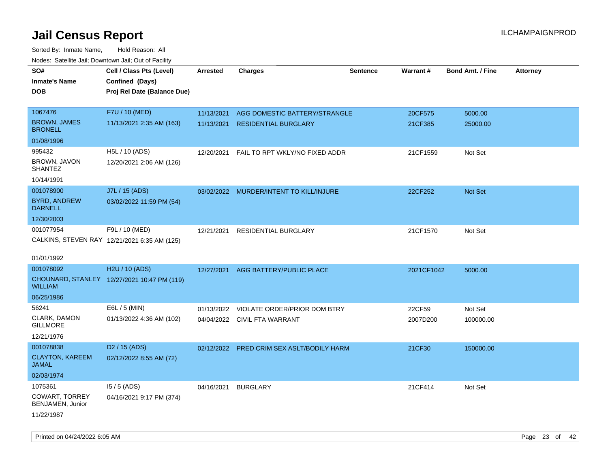| roaco. Oatomto dan, Downtown dan, Oat or Fability |                                              |                 |                                           |                 |            |                         |                 |
|---------------------------------------------------|----------------------------------------------|-----------------|-------------------------------------------|-----------------|------------|-------------------------|-----------------|
| SO#                                               | Cell / Class Pts (Level)                     | <b>Arrested</b> | <b>Charges</b>                            | <b>Sentence</b> | Warrant#   | <b>Bond Amt. / Fine</b> | <b>Attorney</b> |
| <b>Inmate's Name</b>                              | Confined (Days)                              |                 |                                           |                 |            |                         |                 |
| <b>DOB</b>                                        | Proj Rel Date (Balance Due)                  |                 |                                           |                 |            |                         |                 |
|                                                   |                                              |                 |                                           |                 |            |                         |                 |
| 1067476                                           | F7U / 10 (MED)                               | 11/13/2021      | AGG DOMESTIC BATTERY/STRANGLE             |                 | 20CF575    | 5000.00                 |                 |
| <b>BROWN, JAMES</b><br><b>BRONELL</b>             | 11/13/2021 2:35 AM (163)                     | 11/13/2021      | <b>RESIDENTIAL BURGLARY</b>               |                 | 21CF385    | 25000.00                |                 |
| 01/08/1996                                        |                                              |                 |                                           |                 |            |                         |                 |
| 995432                                            | H5L / 10 (ADS)                               | 12/20/2021      | FAIL TO RPT WKLY/NO FIXED ADDR            |                 | 21CF1559   | Not Set                 |                 |
| BROWN, JAVON<br><b>SHANTEZ</b>                    | 12/20/2021 2:06 AM (126)                     |                 |                                           |                 |            |                         |                 |
| 10/14/1991                                        |                                              |                 |                                           |                 |            |                         |                 |
| 001078900                                         | J7L / 15 (ADS)                               |                 | 03/02/2022 MURDER/INTENT TO KILL/INJURE   |                 | 22CF252    | Not Set                 |                 |
| <b>BYRD, ANDREW</b><br><b>DARNELL</b>             | 03/02/2022 11:59 PM (54)                     |                 |                                           |                 |            |                         |                 |
| 12/30/2003                                        |                                              |                 |                                           |                 |            |                         |                 |
| 001077954                                         | F9L / 10 (MED)                               | 12/21/2021      | RESIDENTIAL BURGLARY                      |                 | 21CF1570   | Not Set                 |                 |
|                                                   | CALKINS, STEVEN RAY 12/21/2021 6:35 AM (125) |                 |                                           |                 |            |                         |                 |
|                                                   |                                              |                 |                                           |                 |            |                         |                 |
| 01/01/1992                                        |                                              |                 |                                           |                 |            |                         |                 |
| 001078092                                         | H2U / 10 (ADS)                               | 12/27/2021      | AGG BATTERY/PUBLIC PLACE                  |                 | 2021CF1042 | 5000.00                 |                 |
| <b>WILLIAM</b>                                    | CHOUNARD, STANLEY 12/27/2021 10:47 PM (119)  |                 |                                           |                 |            |                         |                 |
| 06/25/1986                                        |                                              |                 |                                           |                 |            |                         |                 |
| 56241                                             | E6L / 5 (MIN)                                | 01/13/2022      | VIOLATE ORDER/PRIOR DOM BTRY              |                 | 22CF59     | Not Set                 |                 |
| CLARK, DAMON<br><b>GILLMORE</b>                   | 01/13/2022 4:36 AM (102)                     |                 | 04/04/2022 CIVIL FTA WARRANT              |                 | 2007D200   | 100000.00               |                 |
| 12/21/1976                                        |                                              |                 |                                           |                 |            |                         |                 |
| 001078838                                         | D <sub>2</sub> / 15 (ADS)                    |                 | 02/12/2022 PRED CRIM SEX ASLT/BODILY HARM |                 | 21CF30     | 150000.00               |                 |
| <b>CLAYTON, KAREEM</b><br><b>JAMAL</b>            | 02/12/2022 8:55 AM (72)                      |                 |                                           |                 |            |                         |                 |
| 02/03/1974                                        |                                              |                 |                                           |                 |            |                         |                 |
| 1075361                                           | $15/5$ (ADS)                                 | 04/16/2021      | <b>BURGLARY</b>                           |                 | 21CF414    | Not Set                 |                 |
| COWART, TORREY<br>BENJAMEN, Junior                | 04/16/2021 9:17 PM (374)                     |                 |                                           |                 |            |                         |                 |
| 11/22/1987                                        |                                              |                 |                                           |                 |            |                         |                 |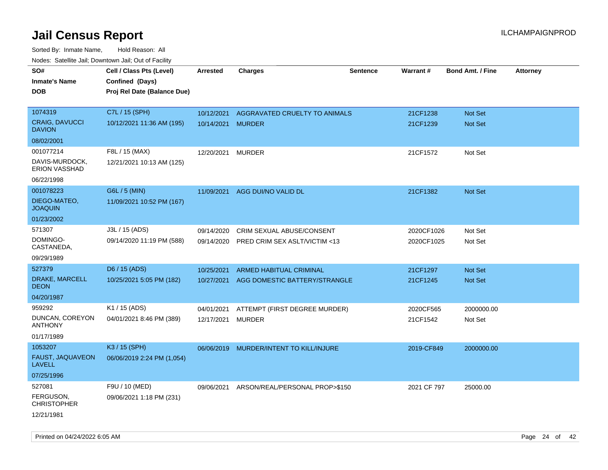| rouco. Calcillo Jali, Downtown Jali, Out of Facility              |                                                                            |                                 |                                                                 |                 |                          |                                  |                 |
|-------------------------------------------------------------------|----------------------------------------------------------------------------|---------------------------------|-----------------------------------------------------------------|-----------------|--------------------------|----------------------------------|-----------------|
| SO#<br>Inmate's Name<br><b>DOB</b>                                | Cell / Class Pts (Level)<br>Confined (Days)<br>Proj Rel Date (Balance Due) | <b>Arrested</b>                 | <b>Charges</b>                                                  | <b>Sentence</b> | Warrant#                 | <b>Bond Amt. / Fine</b>          | <b>Attorney</b> |
| 1074319<br><b>CRAIG, DAVUCCI</b><br><b>DAVION</b>                 | C7L / 15 (SPH)<br>10/12/2021 11:36 AM (195)                                | 10/12/2021<br>10/14/2021 MURDER | AGGRAVATED CRUELTY TO ANIMALS                                   |                 | 21CF1238<br>21CF1239     | Not Set<br><b>Not Set</b>        |                 |
| 08/02/2001                                                        |                                                                            |                                 |                                                                 |                 |                          |                                  |                 |
| 001077214<br>DAVIS-MURDOCK,<br><b>ERION VASSHAD</b><br>06/22/1998 | F8L / 15 (MAX)<br>12/21/2021 10:13 AM (125)                                | 12/20/2021                      | <b>MURDER</b>                                                   |                 | 21CF1572                 | Not Set                          |                 |
| 001078223<br>DIEGO-MATEO,<br><b>JOAQUIN</b><br>01/23/2002         | G6L / 5 (MIN)<br>11/09/2021 10:52 PM (167)                                 | 11/09/2021                      | AGG DUI/NO VALID DL                                             |                 | 21CF1382                 | <b>Not Set</b>                   |                 |
| 571307<br>DOMINGO-<br>CASTANEDA,<br>09/29/1989                    | J3L / 15 (ADS)<br>09/14/2020 11:19 PM (588)                                | 09/14/2020<br>09/14/2020        | CRIM SEXUAL ABUSE/CONSENT<br>PRED CRIM SEX ASLT/VICTIM <13      |                 | 2020CF1026<br>2020CF1025 | Not Set<br>Not Set               |                 |
| 527379<br>DRAKE, MARCELL<br>DEON<br>04/20/1987                    | D6 / 15 (ADS)<br>10/25/2021 5:05 PM (182)                                  | 10/25/2021<br>10/27/2021        | <b>ARMED HABITUAL CRIMINAL</b><br>AGG DOMESTIC BATTERY/STRANGLE |                 | 21CF1297<br>21CF1245     | <b>Not Set</b><br><b>Not Set</b> |                 |
| 959292<br>DUNCAN, COREYON<br><b>ANTHONY</b><br>01/17/1989         | K1 / 15 (ADS)<br>04/01/2021 8:46 PM (389)                                  | 04/01/2021<br>12/17/2021        | ATTEMPT (FIRST DEGREE MURDER)<br>MURDER                         |                 | 2020CF565<br>21CF1542    | 2000000.00<br>Not Set            |                 |
| 1053207<br>FAUST, JAQUAVEON<br>LAVELL<br>07/25/1996               | K3 / 15 (SPH)<br>06/06/2019 2:24 PM (1,054)                                | 06/06/2019                      | MURDER/INTENT TO KILL/INJURE                                    |                 | 2019-CF849               | 2000000.00                       |                 |
| 527081<br>FERGUSON,<br>CHRISTOPHER<br>12/21/1981                  | F9U / 10 (MED)<br>09/06/2021 1:18 PM (231)                                 | 09/06/2021                      | ARSON/REAL/PERSONAL PROP>\$150                                  |                 | 2021 CF 797              | 25000.00                         |                 |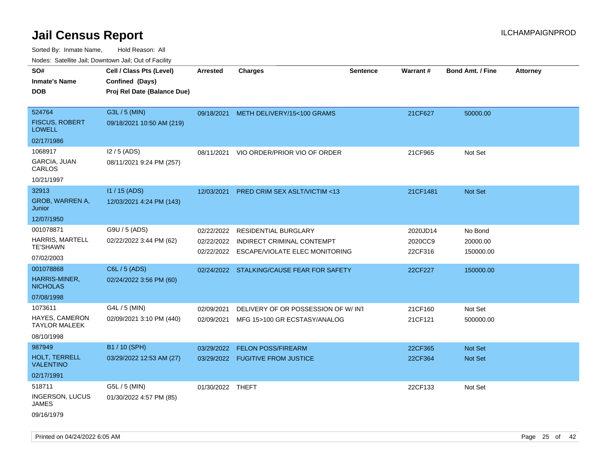|                                        | Nodes: Satellite Jali, Downtown Jali, Out of Facility |                  |                                           |                 |          |                         |                 |
|----------------------------------------|-------------------------------------------------------|------------------|-------------------------------------------|-----------------|----------|-------------------------|-----------------|
| SO#                                    | Cell / Class Pts (Level)                              | <b>Arrested</b>  | <b>Charges</b>                            | <b>Sentence</b> | Warrant# | <b>Bond Amt. / Fine</b> | <b>Attorney</b> |
| <b>Inmate's Name</b>                   | Confined (Days)                                       |                  |                                           |                 |          |                         |                 |
| <b>DOB</b>                             | Proj Rel Date (Balance Due)                           |                  |                                           |                 |          |                         |                 |
|                                        |                                                       |                  |                                           |                 |          |                         |                 |
| 524764                                 | G3L / 5 (MIN)                                         | 09/18/2021       | METH DELIVERY/15<100 GRAMS                |                 | 21CF627  | 50000.00                |                 |
| <b>FISCUS, ROBERT</b><br><b>LOWELL</b> | 09/18/2021 10:50 AM (219)                             |                  |                                           |                 |          |                         |                 |
| 02/17/1986                             |                                                       |                  |                                           |                 |          |                         |                 |
| 1068917                                | I2 / 5 (ADS)                                          | 08/11/2021       | VIO ORDER/PRIOR VIO OF ORDER              |                 | 21CF965  | Not Set                 |                 |
| GARCIA, JUAN<br>CARLOS                 | 08/11/2021 9:24 PM (257)                              |                  |                                           |                 |          |                         |                 |
| 10/21/1997                             |                                                       |                  |                                           |                 |          |                         |                 |
| 32913                                  | I1 / 15 (ADS)                                         | 12/03/2021       | <b>PRED CRIM SEX ASLT/VICTIM &lt;13</b>   |                 | 21CF1481 | <b>Not Set</b>          |                 |
| GROB, WARREN A,<br>Junior              | 12/03/2021 4:24 PM (143)                              |                  |                                           |                 |          |                         |                 |
| 12/07/1950                             |                                                       |                  |                                           |                 |          |                         |                 |
| 001078871                              | G9U / 5 (ADS)                                         | 02/22/2022       | RESIDENTIAL BURGLARY                      |                 | 2020JD14 | No Bond                 |                 |
| <b>HARRIS, MARTELL</b>                 | 02/22/2022 3:44 PM (62)                               | 02/22/2022       | INDIRECT CRIMINAL CONTEMPT                |                 | 2020CC9  | 20000.00                |                 |
| <b>TE'SHAWN</b>                        |                                                       |                  | 02/22/2022 ESCAPE/VIOLATE ELEC MONITORING |                 | 22CF316  | 150000.00               |                 |
| 07/02/2003                             |                                                       |                  |                                           |                 |          |                         |                 |
| 001078868                              | C6L / 5 (ADS)                                         |                  | 02/24/2022 STALKING/CAUSE FEAR FOR SAFETY |                 | 22CF227  | 150000.00               |                 |
| HARRIS-MINER,<br><b>NICHOLAS</b>       | 02/24/2022 3:56 PM (60)                               |                  |                                           |                 |          |                         |                 |
| 07/08/1998                             |                                                       |                  |                                           |                 |          |                         |                 |
| 1073611                                | G4L / 5 (MIN)                                         | 02/09/2021       | DELIVERY OF OR POSSESSION OF W/INT        |                 | 21CF160  | Not Set                 |                 |
| HAYES, CAMERON<br><b>TAYLOR MALEEK</b> | 02/09/2021 3:10 PM (440)                              | 02/09/2021       | MFG 15>100 GR ECSTASY/ANALOG              |                 | 21CF121  | 500000.00               |                 |
| 08/10/1998                             |                                                       |                  |                                           |                 |          |                         |                 |
| 987949                                 | B1 / 10 (SPH)                                         | 03/29/2022       | <b>FELON POSS/FIREARM</b>                 |                 | 22CF365  | Not Set                 |                 |
| HOLT, TERRELL<br><b>VALENTINO</b>      | 03/29/2022 12:53 AM (27)                              |                  | 03/29/2022 FUGITIVE FROM JUSTICE          |                 | 22CF364  | Not Set                 |                 |
| 02/17/1991                             |                                                       |                  |                                           |                 |          |                         |                 |
| 518711                                 | G5L / 5 (MIN)                                         | 01/30/2022 THEFT |                                           |                 | 22CF133  | Not Set                 |                 |
| <b>INGERSON, LUCUS</b><br><b>JAMES</b> | 01/30/2022 4:57 PM (85)                               |                  |                                           |                 |          |                         |                 |
| 09/16/1979                             |                                                       |                  |                                           |                 |          |                         |                 |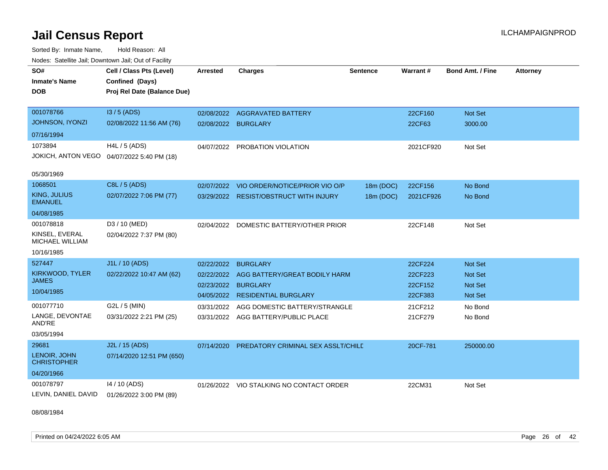Sorted By: Inmate Name, Hold Reason: All Nodes: Satellite Jail; Downtown Jail; Out of Facility

| SO#<br><b>Inmate's Name</b><br><b>DOB</b><br>001078766<br><b>JOHNSON, IYONZI</b> | Cell / Class Pts (Level)<br>Confined (Days)<br>Proj Rel Date (Balance Due)<br>$13/5$ (ADS)<br>02/08/2022 11:56 AM (76) | <b>Arrested</b><br>02/08/2022<br>02/08/2022          | <b>Charges</b><br><b>AGGRAVATED BATTERY</b><br><b>BURGLARY</b>                                     | <b>Sentence</b>        | Warrant#<br>22CF160<br>22CF63            | <b>Bond Amt. / Fine</b><br>Not Set<br>3000.00                 | <b>Attorney</b> |
|----------------------------------------------------------------------------------|------------------------------------------------------------------------------------------------------------------------|------------------------------------------------------|----------------------------------------------------------------------------------------------------|------------------------|------------------------------------------|---------------------------------------------------------------|-----------------|
| 07/16/1994                                                                       |                                                                                                                        |                                                      |                                                                                                    |                        |                                          |                                                               |                 |
| 1073894<br>JOKICH, ANTON VEGO                                                    | $H4L / 5$ (ADS)<br>04/07/2022 5:40 PM (18)                                                                             | 04/07/2022                                           | PROBATION VIOLATION                                                                                |                        | 2021CF920                                | Not Set                                                       |                 |
| 05/30/1969                                                                       |                                                                                                                        |                                                      |                                                                                                    |                        |                                          |                                                               |                 |
| 1068501<br>KING, JULIUS<br><b>EMANUEL</b><br>04/08/1985                          | C8L / 5 (ADS)<br>02/07/2022 7:06 PM (77)                                                                               | 02/07/2022<br>03/29/2022                             | VIO ORDER/NOTICE/PRIOR VIO O/P<br><b>RESIST/OBSTRUCT WITH INJURY</b>                               | 18m (DOC)<br>18m (DOC) | 22CF156<br>2021CF926                     | No Bond<br>No Bond                                            |                 |
| 001078818<br>KINSEL, EVERAL<br>MICHAEL WILLIAM<br>10/16/1985                     | D3 / 10 (MED)<br>02/04/2022 7:37 PM (80)                                                                               | 02/04/2022                                           | DOMESTIC BATTERY/OTHER PRIOR                                                                       |                        | 22CF148                                  | Not Set                                                       |                 |
| 527447<br>KIRKWOOD, TYLER<br><b>JAMES</b><br>10/04/1985                          | J1L / 10 (ADS)<br>02/22/2022 10:47 AM (62)                                                                             | 02/22/2022<br>02/22/2022<br>02/23/2022<br>04/05/2022 | <b>BURGLARY</b><br>AGG BATTERY/GREAT BODILY HARM<br><b>BURGLARY</b><br><b>RESIDENTIAL BURGLARY</b> |                        | 22CF224<br>22CF223<br>22CF152<br>22CF383 | Not Set<br><b>Not Set</b><br><b>Not Set</b><br><b>Not Set</b> |                 |
| 001077710<br>LANGE, DEVONTAE<br>AND'RE<br>03/05/1994                             | G2L / 5 (MIN)<br>03/31/2022 2:21 PM (25)                                                                               | 03/31/2022                                           | AGG DOMESTIC BATTERY/STRANGLE<br>03/31/2022 AGG BATTERY/PUBLIC PLACE                               |                        | 21CF212<br>21CF279                       | No Bond<br>No Bond                                            |                 |
| 29681<br>LENOIR, JOHN<br><b>CHRISTOPHER</b><br>04/20/1966                        | J2L / 15 (ADS)<br>07/14/2020 12:51 PM (650)                                                                            | 07/14/2020                                           | PREDATORY CRIMINAL SEX ASSLT/CHILE                                                                 |                        | 20CF-781                                 | 250000.00                                                     |                 |
| 001078797<br>LEVIN, DANIEL DAVID                                                 | 14 / 10 (ADS)<br>01/26/2022 3:00 PM (89)                                                                               |                                                      | 01/26/2022 VIO STALKING NO CONTACT ORDER                                                           |                        | 22CM31                                   | Not Set                                                       |                 |

08/08/1984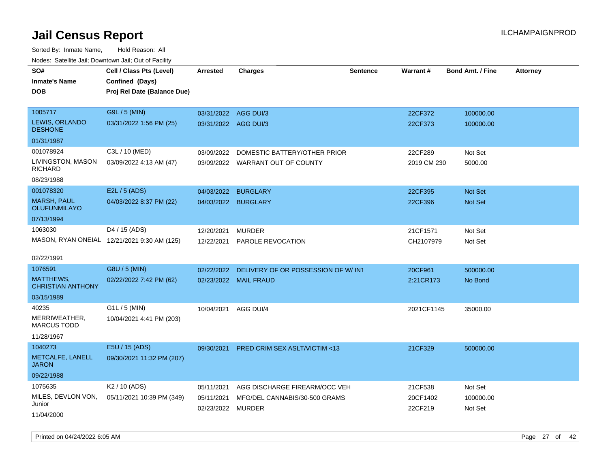Sorted By: Inmate Name, Hold Reason: All Nodes: Satellite Jail; Downtown Jail; Out of Facility

| roaco. Calcinio dan, Domntonn dan, Out or Fability |                                             |                      |                                         |                 |             |                         |                 |
|----------------------------------------------------|---------------------------------------------|----------------------|-----------------------------------------|-----------------|-------------|-------------------------|-----------------|
| SO#                                                | Cell / Class Pts (Level)                    | <b>Arrested</b>      | Charges                                 | <b>Sentence</b> | Warrant#    | <b>Bond Amt. / Fine</b> | <b>Attorney</b> |
| <b>Inmate's Name</b>                               | Confined (Days)                             |                      |                                         |                 |             |                         |                 |
| <b>DOB</b>                                         | Proj Rel Date (Balance Due)                 |                      |                                         |                 |             |                         |                 |
|                                                    |                                             |                      |                                         |                 |             |                         |                 |
| 1005717                                            | G9L / 5 (MIN)                               | 03/31/2022 AGG DUI/3 |                                         |                 | 22CF372     | 100000.00               |                 |
| LEWIS, ORLANDO<br><b>DESHONE</b>                   | 03/31/2022 1:56 PM (25)                     | 03/31/2022 AGG DUI/3 |                                         |                 | 22CF373     | 100000.00               |                 |
| 01/31/1987                                         |                                             |                      |                                         |                 |             |                         |                 |
| 001078924                                          | C3L / 10 (MED)                              | 03/09/2022           | DOMESTIC BATTERY/OTHER PRIOR            |                 | 22CF289     | Not Set                 |                 |
| LIVINGSTON, MASON<br><b>RICHARD</b>                | 03/09/2022 4:13 AM (47)                     |                      | 03/09/2022 WARRANT OUT OF COUNTY        |                 | 2019 CM 230 | 5000.00                 |                 |
| 08/23/1988                                         |                                             |                      |                                         |                 |             |                         |                 |
| 001078320                                          | E2L / 5 (ADS)                               | 04/03/2022           | <b>BURGLARY</b>                         |                 | 22CF395     | Not Set                 |                 |
| <b>MARSH, PAUL</b><br><b>OLUFUNMILAYO</b>          | 04/03/2022 8:37 PM (22)                     |                      | 04/03/2022 BURGLARY                     |                 | 22CF396     | Not Set                 |                 |
| 07/13/1994                                         |                                             |                      |                                         |                 |             |                         |                 |
| 1063030                                            | D4 / 15 (ADS)                               | 12/20/2021           | <b>MURDER</b>                           |                 | 21CF1571    | Not Set                 |                 |
|                                                    | MASON, RYAN ONEIAL 12/21/2021 9:30 AM (125) | 12/22/2021           | <b>PAROLE REVOCATION</b>                |                 | CH2107979   | Not Set                 |                 |
|                                                    |                                             |                      |                                         |                 |             |                         |                 |
| 02/22/1991                                         |                                             |                      |                                         |                 |             |                         |                 |
| 1076591                                            | G8U / 5 (MIN)                               | 02/22/2022           | DELIVERY OF OR POSSESSION OF W/ INT     |                 | 20CF961     | 500000.00               |                 |
| MATTHEWS,<br><b>CHRISTIAN ANTHONY</b>              | 02/22/2022 7:42 PM (62)                     |                      | 02/23/2022 MAIL FRAUD                   |                 | 2:21CR173   | No Bond                 |                 |
| 03/15/1989                                         |                                             |                      |                                         |                 |             |                         |                 |
| 40235                                              | $G1L / 5$ (MIN)                             | 10/04/2021           | AGG DUI/4                               |                 | 2021CF1145  | 35000.00                |                 |
| MERRIWEATHER,<br><b>MARCUS TODD</b>                | 10/04/2021 4:41 PM (203)                    |                      |                                         |                 |             |                         |                 |
| 11/28/1967                                         |                                             |                      |                                         |                 |             |                         |                 |
| 1040273                                            | E5U / 15 (ADS)                              | 09/30/2021           | <b>PRED CRIM SEX ASLT/VICTIM &lt;13</b> |                 | 21CF329     | 500000.00               |                 |
| METCALFE, LANELL<br>JARON                          | 09/30/2021 11:32 PM (207)                   |                      |                                         |                 |             |                         |                 |
| 09/22/1988                                         |                                             |                      |                                         |                 |             |                         |                 |
| 1075635                                            | K <sub>2</sub> / 10 (ADS)                   | 05/11/2021           | AGG DISCHARGE FIREARM/OCC VEH           |                 | 21CF538     | Not Set                 |                 |
| MILES, DEVLON VON,                                 | 05/11/2021 10:39 PM (349)                   | 05/11/2021           | MFG/DEL CANNABIS/30-500 GRAMS           |                 | 20CF1402    | 100000.00               |                 |
| Junior                                             |                                             | 02/23/2022 MURDER    |                                         |                 | 22CF219     | Not Set                 |                 |
| 11/04/2000                                         |                                             |                      |                                         |                 |             |                         |                 |

Printed on 04/24/2022 6:05 AM Page 27 of 42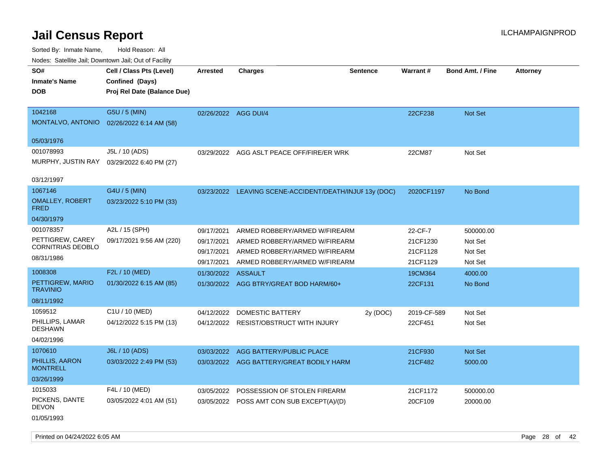| Nodes. Salenne Jan, Downlown Jan, Out of Facility |                             |                      |                                                         |                 |             |                         |                 |
|---------------------------------------------------|-----------------------------|----------------------|---------------------------------------------------------|-----------------|-------------|-------------------------|-----------------|
| SO#                                               | Cell / Class Pts (Level)    | Arrested             | <b>Charges</b>                                          | <b>Sentence</b> | Warrant#    | <b>Bond Amt. / Fine</b> | <b>Attorney</b> |
| <b>Inmate's Name</b>                              | Confined (Days)             |                      |                                                         |                 |             |                         |                 |
| <b>DOB</b>                                        | Proj Rel Date (Balance Due) |                      |                                                         |                 |             |                         |                 |
|                                                   |                             |                      |                                                         |                 |             |                         |                 |
| 1042168                                           | G5U / 5 (MIN)               | 02/26/2022 AGG DUI/4 |                                                         |                 | 22CF238     | <b>Not Set</b>          |                 |
| MONTALVO, ANTONIO                                 | 02/26/2022 6:14 AM (58)     |                      |                                                         |                 |             |                         |                 |
|                                                   |                             |                      |                                                         |                 |             |                         |                 |
| 05/03/1976                                        |                             |                      |                                                         |                 |             |                         |                 |
| 001078993                                         | J5L / 10 (ADS)              |                      | 03/29/2022 AGG ASLT PEACE OFF/FIRE/ER WRK               |                 | 22CM87      | Not Set                 |                 |
| MURPHY, JUSTIN RAY                                | 03/29/2022 6:40 PM (27)     |                      |                                                         |                 |             |                         |                 |
|                                                   |                             |                      |                                                         |                 |             |                         |                 |
| 03/12/1997                                        |                             |                      |                                                         |                 |             |                         |                 |
| 1067146                                           | G4U / 5 (MIN)               |                      | 03/23/2022 LEAVING SCENE-ACCIDENT/DEATH/INJUF 13y (DOC) |                 | 2020CF1197  | No Bond                 |                 |
| <b>OMALLEY, ROBERT</b><br><b>FRED</b>             | 03/23/2022 5:10 PM (33)     |                      |                                                         |                 |             |                         |                 |
| 04/30/1979                                        |                             |                      |                                                         |                 |             |                         |                 |
| 001078357                                         | A2L / 15 (SPH)              | 09/17/2021           | ARMED ROBBERY/ARMED W/FIREARM                           |                 | 22-CF-7     | 500000.00               |                 |
| PETTIGREW, CAREY                                  | 09/17/2021 9:56 AM (220)    | 09/17/2021           | ARMED ROBBERY/ARMED W/FIREARM                           |                 | 21CF1230    | Not Set                 |                 |
| CORNITRIAS DEOBLO                                 |                             | 09/17/2021           | ARMED ROBBERY/ARMED W/FIREARM                           |                 | 21CF1128    | Not Set                 |                 |
| 08/31/1986                                        |                             | 09/17/2021           | ARMED ROBBERY/ARMED W/FIREARM                           |                 | 21CF1129    | Not Set                 |                 |
| 1008308                                           | F2L / 10 (MED)              | 01/30/2022 ASSAULT   |                                                         |                 | 19CM364     | 4000.00                 |                 |
| PETTIGREW, MARIO                                  | 01/30/2022 6:15 AM (85)     |                      | 01/30/2022 AGG BTRY/GREAT BOD HARM/60+                  |                 | 22CF131     | No Bond                 |                 |
| <b>TRAVINIO</b>                                   |                             |                      |                                                         |                 |             |                         |                 |
| 08/11/1992                                        |                             |                      |                                                         |                 |             |                         |                 |
| 1059512                                           | C1U / 10 (MED)              | 04/12/2022           | <b>DOMESTIC BATTERY</b>                                 | 2y (DOC)        | 2019-CF-589 | Not Set                 |                 |
| PHILLIPS, LAMAR                                   | 04/12/2022 5:15 PM (13)     | 04/12/2022           | RESIST/OBSTRUCT WITH INJURY                             |                 | 22CF451     | Not Set                 |                 |
| <b>DESHAWN</b>                                    |                             |                      |                                                         |                 |             |                         |                 |
| 04/02/1996                                        |                             |                      |                                                         |                 |             |                         |                 |
| 1070610                                           | J6L / 10 (ADS)              | 03/03/2022           | AGG BATTERY/PUBLIC PLACE                                |                 | 21CF930     | <b>Not Set</b>          |                 |
| PHILLIS, AARON<br><b>MONTRELL</b>                 | 03/03/2022 2:49 PM (53)     |                      | 03/03/2022 AGG BATTERY/GREAT BODILY HARM                |                 | 21CF482     | 5000.00                 |                 |
| 03/26/1999                                        |                             |                      |                                                         |                 |             |                         |                 |
| 1015033                                           | F4L / 10 (MED)              | 03/05/2022           | POSSESSION OF STOLEN FIREARM                            |                 | 21CF1172    | 500000.00               |                 |
| PICKENS, DANTE<br><b>DEVON</b>                    | 03/05/2022 4:01 AM (51)     |                      | 03/05/2022 POSS AMT CON SUB EXCEPT(A)/(D)               |                 | 20CF109     | 20000.00                |                 |
| 01/05/1993                                        |                             |                      |                                                         |                 |             |                         |                 |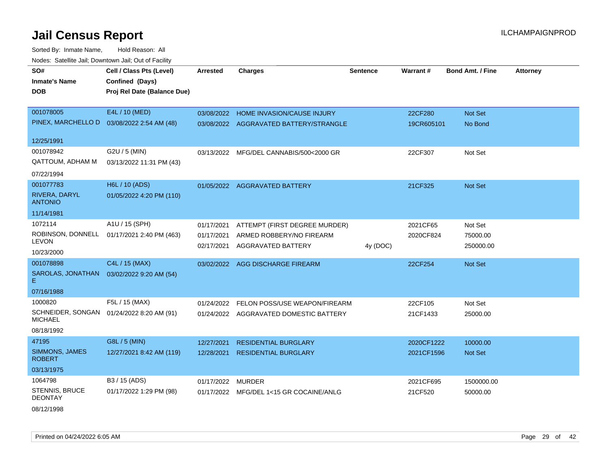Sorted By: Inmate Name, Hold Reason: All Nodes: Satellite Jail; Downtown Jail; Out of Facility

| SO#                                | Cell / Class Pts (Level)                       | <b>Arrested</b> | <b>Charges</b>                          | <b>Sentence</b> | Warrant#   | <b>Bond Amt. / Fine</b> | <b>Attorney</b> |
|------------------------------------|------------------------------------------------|-----------------|-----------------------------------------|-----------------|------------|-------------------------|-----------------|
| <b>Inmate's Name</b><br><b>DOB</b> | Confined (Days)<br>Proj Rel Date (Balance Due) |                 |                                         |                 |            |                         |                 |
|                                    |                                                |                 |                                         |                 |            |                         |                 |
| 001078005                          | E4L / 10 (MED)                                 | 03/08/2022      | HOME INVASION/CAUSE INJURY              |                 | 22CF280    | Not Set                 |                 |
| PINEX, MARCHELLO D                 | 03/08/2022 2:54 AM (48)                        |                 | 03/08/2022 AGGRAVATED BATTERY/STRANGLE  |                 | 19CR605101 | No Bond                 |                 |
| 12/25/1991                         |                                                |                 |                                         |                 |            |                         |                 |
| 001078942                          | G2U / 5 (MIN)                                  |                 | 03/13/2022 MFG/DEL CANNABIS/500<2000 GR |                 | 22CF307    | Not Set                 |                 |
| <b>QATTOUM, ADHAM M</b>            | 03/13/2022 11:31 PM (43)                       |                 |                                         |                 |            |                         |                 |
| 07/22/1994                         |                                                |                 |                                         |                 |            |                         |                 |
| 001077783                          | H6L / 10 (ADS)                                 |                 | 01/05/2022 AGGRAVATED BATTERY           |                 | 21CF325    | <b>Not Set</b>          |                 |
| RIVERA, DARYL<br><b>ANTONIO</b>    | 01/05/2022 4:20 PM (110)                       |                 |                                         |                 |            |                         |                 |
| 11/14/1981                         |                                                |                 |                                         |                 |            |                         |                 |
| 1072114                            | A1U / 15 (SPH)                                 | 01/17/2021      | ATTEMPT (FIRST DEGREE MURDER)           |                 | 2021CF65   | Not Set                 |                 |
| ROBINSON, DONNELL                  | 01/17/2021 2:40 PM (463)                       | 01/17/2021      | ARMED ROBBERY/NO FIREARM                |                 | 2020CF824  | 75000.00                |                 |
| LEVON                              |                                                | 02/17/2021      | AGGRAVATED BATTERY                      | 4y (DOC)        |            | 250000.00               |                 |
| 10/23/2000                         |                                                |                 |                                         |                 |            |                         |                 |
| 001078898                          | C4L / 15 (MAX)                                 | 03/02/2022      | AGG DISCHARGE FIREARM                   |                 | 22CF254    | Not Set                 |                 |
| SAROLAS, JONATHAN<br>Е.            | 03/02/2022 9:20 AM (54)                        |                 |                                         |                 |            |                         |                 |
| 07/16/1988                         |                                                |                 |                                         |                 |            |                         |                 |
| 1000820                            | F5L / 15 (MAX)                                 | 01/24/2022      | FELON POSS/USE WEAPON/FIREARM           |                 | 22CF105    | Not Set                 |                 |
| <b>MICHAEL</b>                     | SCHNEIDER, SONGAN 01/24/2022 8:20 AM (91)      |                 | 01/24/2022 AGGRAVATED DOMESTIC BATTERY  |                 | 21CF1433   | 25000.00                |                 |
| 08/18/1992                         |                                                |                 |                                         |                 |            |                         |                 |
| 47195                              | G8L / 5 (MIN)                                  | 12/27/2021      | <b>RESIDENTIAL BURGLARY</b>             |                 | 2020CF1222 | 10000.00                |                 |
| SIMMONS, JAMES<br><b>ROBERT</b>    | 12/27/2021 8:42 AM (119)                       | 12/28/2021      | <b>RESIDENTIAL BURGLARY</b>             |                 | 2021CF1596 | <b>Not Set</b>          |                 |
| 03/13/1975                         |                                                |                 |                                         |                 |            |                         |                 |
| 1064798                            | B3 / 15 (ADS)                                  | 01/17/2022      | MURDER                                  |                 | 2021CF695  | 1500000.00              |                 |
| STENNIS, BRUCE<br><b>DEONTAY</b>   | 01/17/2022 1:29 PM (98)                        |                 | 01/17/2022 MFG/DEL 1<15 GR COCAINE/ANLG |                 | 21CF520    | 50000.00                |                 |

08/12/1998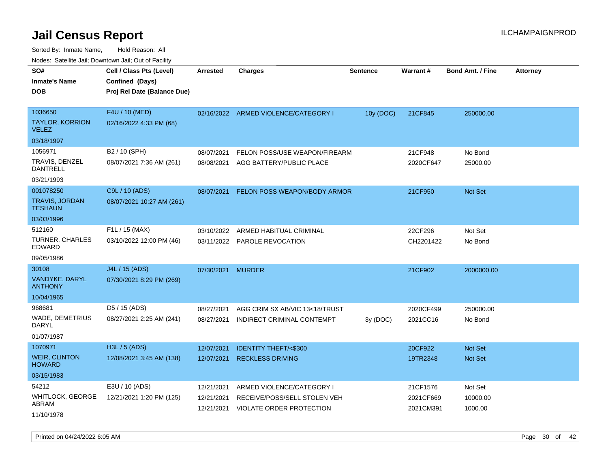Sorted By: Inmate Name, Hold Reason: All Nodes: Satellite Jail; Downtown Jail; Out of Facility

| rougs. Calcing Jan, Downtown Jan, Out of Facility |                                                                            |                          |                                                              |                 |                        |                         |                 |
|---------------------------------------------------|----------------------------------------------------------------------------|--------------------------|--------------------------------------------------------------|-----------------|------------------------|-------------------------|-----------------|
| SO#<br><b>Inmate's Name</b><br><b>DOB</b>         | Cell / Class Pts (Level)<br>Confined (Days)<br>Proj Rel Date (Balance Due) | <b>Arrested</b>          | <b>Charges</b>                                               | <b>Sentence</b> | Warrant#               | <b>Bond Amt. / Fine</b> | <b>Attorney</b> |
| 1036650<br><b>TAYLOR, KORRION</b><br><b>VELEZ</b> | F4U / 10 (MED)<br>02/16/2022 4:33 PM (68)                                  |                          | 02/16/2022 ARMED VIOLENCE/CATEGORY I                         | 10y (DOC)       | 21CF845                | 250000.00               |                 |
| 03/18/1997                                        |                                                                            |                          |                                                              |                 |                        |                         |                 |
| 1056971<br>TRAVIS, DENZEL<br><b>DANTRELL</b>      | B2 / 10 (SPH)<br>08/07/2021 7:36 AM (261)                                  | 08/07/2021<br>08/08/2021 | FELON POSS/USE WEAPON/FIREARM<br>AGG BATTERY/PUBLIC PLACE    |                 | 21CF948<br>2020CF647   | No Bond<br>25000.00     |                 |
| 03/21/1993                                        |                                                                            |                          |                                                              |                 |                        |                         |                 |
| 001078250<br>TRAVIS, JORDAN<br><b>TESHAUN</b>     | C9L / 10 (ADS)<br>08/07/2021 10:27 AM (261)                                | 08/07/2021               | FELON POSS WEAPON/BODY ARMOR                                 |                 | 21CF950                | Not Set                 |                 |
| 03/03/1996                                        |                                                                            |                          |                                                              |                 |                        |                         |                 |
| 512160<br>TURNER, CHARLES<br>EDWARD               | F1L / 15 (MAX)<br>03/10/2022 12:00 PM (46)                                 | 03/10/2022               | ARMED HABITUAL CRIMINAL<br>03/11/2022 PAROLE REVOCATION      |                 | 22CF296<br>CH2201422   | Not Set<br>No Bond      |                 |
| 09/05/1986                                        |                                                                            |                          |                                                              |                 |                        |                         |                 |
| 30108<br><b>VANDYKE, DARYL</b><br><b>ANTHONY</b>  | J4L / 15 (ADS)<br>07/30/2021 8:29 PM (269)                                 | 07/30/2021 MURDER        |                                                              |                 | 21CF902                | 2000000.00              |                 |
| 10/04/1965                                        |                                                                            |                          |                                                              |                 |                        |                         |                 |
| 968681<br>WADE, DEMETRIUS<br>DARYL<br>01/07/1987  | D5 / 15 (ADS)<br>08/27/2021 2:25 AM (241)                                  | 08/27/2021<br>08/27/2021 | AGG CRIM SX AB/VIC 13<18/TRUST<br>INDIRECT CRIMINAL CONTEMPT | 3y (DOC)        | 2020CF499<br>2021CC16  | 250000.00<br>No Bond    |                 |
| 1070971                                           | H3L / 5 (ADS)                                                              | 12/07/2021               | <b>IDENTITY THEFT/&lt;\$300</b>                              |                 | 20CF922                | <b>Not Set</b>          |                 |
| <b>WEIR, CLINTON</b><br><b>HOWARD</b>             | 12/08/2021 3:45 AM (138)                                                   | 12/07/2021               | <b>RECKLESS DRIVING</b>                                      |                 | 19TR2348               | <b>Not Set</b>          |                 |
| 03/15/1983                                        |                                                                            |                          |                                                              |                 |                        |                         |                 |
| 54212                                             | E3U / 10 (ADS)                                                             | 12/21/2021               | ARMED VIOLENCE/CATEGORY I                                    |                 | 21CF1576               | Not Set                 |                 |
| <b>WHITLOCK, GEORGE</b><br>ABRAM<br>11/10/1978    | 12/21/2021 1:20 PM (125)                                                   | 12/21/2021<br>12/21/2021 | RECEIVE/POSS/SELL STOLEN VEH<br>VIOLATE ORDER PROTECTION     |                 | 2021CF669<br>2021CM391 | 10000.00<br>1000.00     |                 |

Printed on 04/24/2022 6:05 AM Page 30 of 42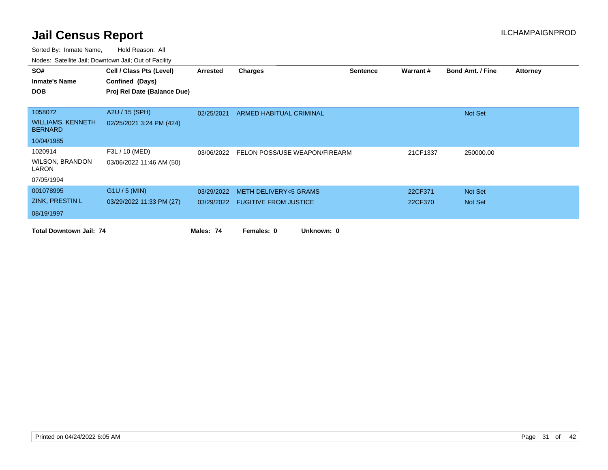| SO#                                        | Cell / Class Pts (Level)    | Arrested   | Charges                                  | <b>Sentence</b> | Warrant # | <b>Bond Amt. / Fine</b> | <b>Attorney</b> |
|--------------------------------------------|-----------------------------|------------|------------------------------------------|-----------------|-----------|-------------------------|-----------------|
| <b>Inmate's Name</b>                       | Confined (Days)             |            |                                          |                 |           |                         |                 |
| <b>DOB</b>                                 | Proj Rel Date (Balance Due) |            |                                          |                 |           |                         |                 |
|                                            |                             |            |                                          |                 |           |                         |                 |
| 1058072                                    | A2U / 15 (SPH)              | 02/25/2021 | <b>ARMED HABITUAL CRIMINAL</b>           |                 |           | Not Set                 |                 |
| <b>WILLIAMS, KENNETH</b><br><b>BERNARD</b> | 02/25/2021 3:24 PM (424)    |            |                                          |                 |           |                         |                 |
| 10/04/1985                                 |                             |            |                                          |                 |           |                         |                 |
| 1020914                                    | F3L / 10 (MED)              |            | 03/06/2022 FELON POSS/USE WEAPON/FIREARM |                 | 21CF1337  | 250000.00               |                 |
| <b>WILSON, BRANDON</b><br>LARON            | 03/06/2022 11:46 AM (50)    |            |                                          |                 |           |                         |                 |
| 07/05/1994                                 |                             |            |                                          |                 |           |                         |                 |
| 001078995                                  | $G1U / 5$ (MIN)             | 03/29/2022 | <b>METH DELIVERY&lt;5 GRAMS</b>          |                 | 22CF371   | Not Set                 |                 |
| ZINK, PRESTIN L                            | 03/29/2022 11:33 PM (27)    |            | 03/29/2022 FUGITIVE FROM JUSTICE         |                 | 22CF370   | Not Set                 |                 |
| 08/19/1997                                 |                             |            |                                          |                 |           |                         |                 |
| <b>Total Downtown Jail: 74</b>             |                             | Males: 74  | Females: 0<br>Unknown: 0                 |                 |           |                         |                 |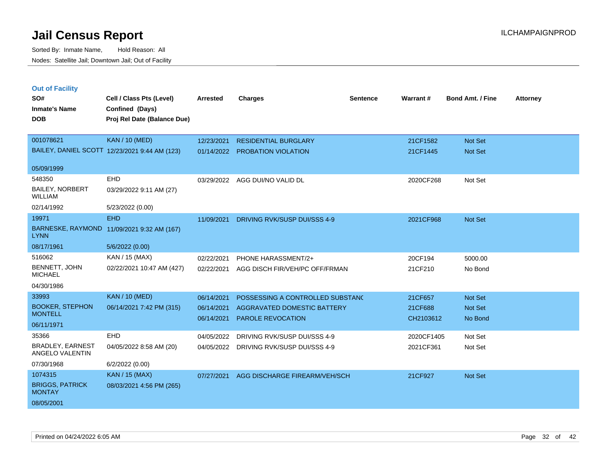| <b>Out of Facility</b><br>SO#<br><b>Inmate's Name</b><br><b>DOB</b> | Cell / Class Pts (Level)<br>Confined (Days)<br>Proj Rel Date (Balance Due) | <b>Arrested</b>          | <b>Charges</b>                                          | <b>Sentence</b> | Warrant#             | <b>Bond Amt. / Fine</b> | <b>Attorney</b> |
|---------------------------------------------------------------------|----------------------------------------------------------------------------|--------------------------|---------------------------------------------------------|-----------------|----------------------|-------------------------|-----------------|
| 001078621                                                           | <b>KAN / 10 (MED)</b>                                                      | 12/23/2021               | <b>RESIDENTIAL BURGLARY</b>                             |                 | 21CF1582             | Not Set                 |                 |
|                                                                     | BAILEY, DANIEL SCOTT 12/23/2021 9:44 AM (123)                              | 01/14/2022               | <b>PROBATION VIOLATION</b>                              |                 | 21CF1445             | Not Set                 |                 |
| 05/09/1999                                                          |                                                                            |                          |                                                         |                 |                      |                         |                 |
| 548350<br><b>BAILEY, NORBERT</b><br><b>WILLIAM</b>                  | EHD<br>03/29/2022 9:11 AM (27)                                             | 03/29/2022               | AGG DUI/NO VALID DL                                     |                 | 2020CF268            | Not Set                 |                 |
| 02/14/1992                                                          | 5/23/2022 (0.00)                                                           |                          |                                                         |                 |                      |                         |                 |
| 19971                                                               | <b>EHD</b>                                                                 | 11/09/2021               | DRIVING RVK/SUSP DUI/SSS 4-9                            |                 | 2021CF968            | Not Set                 |                 |
| <b>LYNN</b>                                                         | BARNESKE, RAYMOND 11/09/2021 9:32 AM (167)                                 |                          |                                                         |                 |                      |                         |                 |
| 08/17/1961                                                          | 5/6/2022 (0.00)                                                            |                          |                                                         |                 |                      |                         |                 |
| 516062                                                              | KAN / 15 (MAX)                                                             | 02/22/2021               | PHONE HARASSMENT/2+                                     |                 | 20CF194              | 5000.00                 |                 |
| BENNETT, JOHN<br><b>MICHAEL</b>                                     | 02/22/2021 10:47 AM (427)                                                  | 02/22/2021               | AGG DISCH FIR/VEH/PC OFF/FRMAN                          |                 | 21CF210              | No Bond                 |                 |
| 04/30/1986                                                          |                                                                            |                          |                                                         |                 |                      |                         |                 |
| 33993                                                               | <b>KAN / 10 (MED)</b>                                                      | 06/14/2021               | POSSESSING A CONTROLLED SUBSTANC                        |                 | 21CF657              | Not Set                 |                 |
| <b>BOOKER, STEPHON</b><br><b>MONTELL</b>                            | 06/14/2021 7:42 PM (315)                                                   | 06/14/2021<br>06/14/2021 | AGGRAVATED DOMESTIC BATTERY<br><b>PAROLE REVOCATION</b> |                 | 21CF688<br>CH2103612 | Not Set<br>No Bond      |                 |
| 06/11/1971                                                          |                                                                            |                          |                                                         |                 |                      |                         |                 |
| 35366                                                               | EHD                                                                        | 04/05/2022               | DRIVING RVK/SUSP DUI/SSS 4-9                            |                 | 2020CF1405           | Not Set                 |                 |
| <b>BRADLEY, EARNEST</b><br>ANGELO VALENTIN                          | 04/05/2022 8:58 AM (20)                                                    | 04/05/2022               | DRIVING RVK/SUSP DUI/SSS 4-9                            |                 | 2021CF361            | Not Set                 |                 |
| 07/30/1968                                                          | 6/2/2022 (0.00)                                                            |                          |                                                         |                 |                      |                         |                 |
| 1074315                                                             | <b>KAN / 15 (MAX)</b>                                                      | 07/27/2021               | AGG DISCHARGE FIREARM/VEH/SCH                           |                 | 21CF927              | Not Set                 |                 |
| <b>BRIGGS, PATRICK</b><br><b>MONTAY</b>                             | 08/03/2021 4:56 PM (265)                                                   |                          |                                                         |                 |                      |                         |                 |
| 08/05/2001                                                          |                                                                            |                          |                                                         |                 |                      |                         |                 |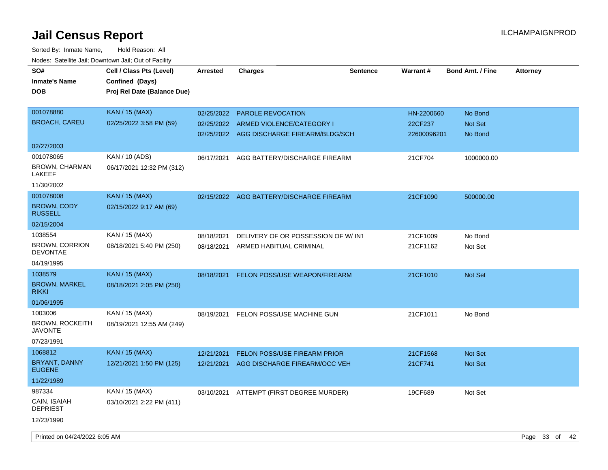| SO#<br><b>Inmate's Name</b><br><b>DOB</b> | Cell / Class Pts (Level)<br>Confined (Days)<br>Proj Rel Date (Balance Due) | <b>Arrested</b> | <b>Charges</b>                            | <b>Sentence</b> | Warrant#    | <b>Bond Amt. / Fine</b> | <b>Attorney</b> |  |
|-------------------------------------------|----------------------------------------------------------------------------|-----------------|-------------------------------------------|-----------------|-------------|-------------------------|-----------------|--|
| 001078880                                 | <b>KAN</b> / 15 (MAX)                                                      | 02/25/2022      | <b>PAROLE REVOCATION</b>                  |                 | HN-2200660  | No Bond                 |                 |  |
| <b>BROACH, CAREU</b>                      | 02/25/2022 3:58 PM (59)                                                    | 02/25/2022      | ARMED VIOLENCE/CATEGORY I                 |                 | 22CF237     | <b>Not Set</b>          |                 |  |
|                                           |                                                                            |                 | 02/25/2022 AGG DISCHARGE FIREARM/BLDG/SCH |                 | 22600096201 | No Bond                 |                 |  |
| 02/27/2003                                |                                                                            |                 |                                           |                 |             |                         |                 |  |
| 001078065                                 | KAN / 10 (ADS)                                                             | 06/17/2021      | AGG BATTERY/DISCHARGE FIREARM             |                 | 21CF704     | 1000000.00              |                 |  |
| <b>BROWN, CHARMAN</b><br>LAKEEF           | 06/17/2021 12:32 PM (312)                                                  |                 |                                           |                 |             |                         |                 |  |
| 11/30/2002                                |                                                                            |                 |                                           |                 |             |                         |                 |  |
| 001078008                                 | <b>KAN / 15 (MAX)</b>                                                      |                 | 02/15/2022 AGG BATTERY/DISCHARGE FIREARM  |                 | 21CF1090    | 500000.00               |                 |  |
| <b>BROWN, CODY</b><br><b>RUSSELL</b>      | 02/15/2022 9:17 AM (69)                                                    |                 |                                           |                 |             |                         |                 |  |
| 02/15/2004                                |                                                                            |                 |                                           |                 |             |                         |                 |  |
| 1038554                                   | KAN / 15 (MAX)                                                             | 08/18/2021      | DELIVERY OF OR POSSESSION OF W/INT        |                 | 21CF1009    | No Bond                 |                 |  |
| <b>BROWN, CORRION</b><br><b>DEVONTAE</b>  | 08/18/2021 5:40 PM (250)                                                   | 08/18/2021      | ARMED HABITUAL CRIMINAL                   |                 | 21CF1162    | Not Set                 |                 |  |
| 04/19/1995                                |                                                                            |                 |                                           |                 |             |                         |                 |  |
| 1038579                                   | <b>KAN</b> / 15 (MAX)                                                      | 08/18/2021      | <b>FELON POSS/USE WEAPON/FIREARM</b>      |                 | 21CF1010    | <b>Not Set</b>          |                 |  |
| <b>BROWN, MARKEL</b><br><b>RIKKI</b>      | 08/18/2021 2:05 PM (250)                                                   |                 |                                           |                 |             |                         |                 |  |
| 01/06/1995                                |                                                                            |                 |                                           |                 |             |                         |                 |  |
| 1003006                                   | KAN / 15 (MAX)                                                             | 08/19/2021      | FELON POSS/USE MACHINE GUN                |                 | 21CF1011    | No Bond                 |                 |  |
| <b>BROWN, ROCKEITH</b><br>JAVONTE         | 08/19/2021 12:55 AM (249)                                                  |                 |                                           |                 |             |                         |                 |  |
| 07/23/1991                                |                                                                            |                 |                                           |                 |             |                         |                 |  |
| 1068812                                   | KAN / 15 (MAX)                                                             | 12/21/2021      | FELON POSS/USE FIREARM PRIOR              |                 | 21CF1568    | <b>Not Set</b>          |                 |  |
| BRYANT, DANNY<br><b>EUGENE</b>            | 12/21/2021 1:50 PM (125)                                                   | 12/21/2021      | AGG DISCHARGE FIREARM/OCC VEH             |                 | 21CF741     | <b>Not Set</b>          |                 |  |
| 11/22/1989                                |                                                                            |                 |                                           |                 |             |                         |                 |  |
| 987334                                    | KAN / 15 (MAX)                                                             |                 | 03/10/2021 ATTEMPT (FIRST DEGREE MURDER)  |                 | 19CF689     | Not Set                 |                 |  |
| CAIN, ISAIAH<br><b>DEPRIEST</b>           | 03/10/2021 2:22 PM (411)                                                   |                 |                                           |                 |             |                         |                 |  |
| 12/23/1990                                |                                                                            |                 |                                           |                 |             |                         |                 |  |
| Printed on 04/24/2022 6:05 AM             |                                                                            |                 |                                           |                 |             |                         | Page 33 of 42   |  |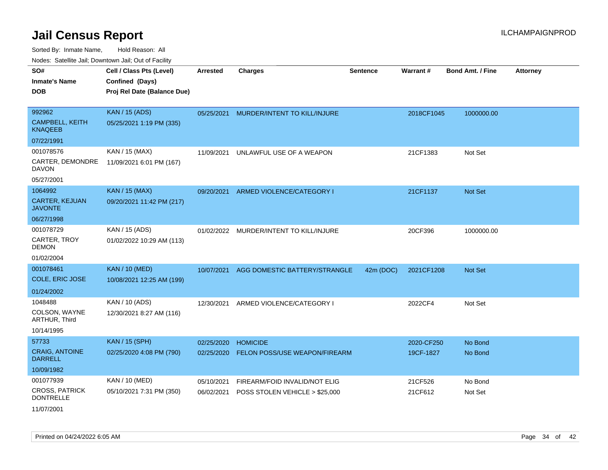| Noues. Sateme Jan, Downtown Jan, Out or Facility |                             |                 |                                |                 |            |                         |                 |
|--------------------------------------------------|-----------------------------|-----------------|--------------------------------|-----------------|------------|-------------------------|-----------------|
| SO#                                              | Cell / Class Pts (Level)    | <b>Arrested</b> | <b>Charges</b>                 | <b>Sentence</b> | Warrant#   | <b>Bond Amt. / Fine</b> | <b>Attorney</b> |
| <b>Inmate's Name</b>                             | Confined (Days)             |                 |                                |                 |            |                         |                 |
| <b>DOB</b>                                       | Proj Rel Date (Balance Due) |                 |                                |                 |            |                         |                 |
|                                                  |                             |                 |                                |                 |            |                         |                 |
| 992962                                           | <b>KAN / 15 (ADS)</b>       | 05/25/2021      | MURDER/INTENT TO KILL/INJURE   |                 | 2018CF1045 | 1000000.00              |                 |
| <b>CAMPBELL, KEITH</b><br><b>KNAQEEB</b>         | 05/25/2021 1:19 PM (335)    |                 |                                |                 |            |                         |                 |
| 07/22/1991                                       |                             |                 |                                |                 |            |                         |                 |
| 001078576                                        | KAN / 15 (MAX)              | 11/09/2021      | UNLAWFUL USE OF A WEAPON       |                 | 21CF1383   | Not Set                 |                 |
| CARTER, DEMONDRE<br>DAVON                        | 11/09/2021 6:01 PM (167)    |                 |                                |                 |            |                         |                 |
| 05/27/2001                                       |                             |                 |                                |                 |            |                         |                 |
| 1064992                                          | <b>KAN / 15 (MAX)</b>       | 09/20/2021      | ARMED VIOLENCE/CATEGORY I      |                 | 21CF1137   | Not Set                 |                 |
| <b>CARTER, KEJUAN</b><br><b>JAVONTE</b>          | 09/20/2021 11:42 PM (217)   |                 |                                |                 |            |                         |                 |
| 06/27/1998                                       |                             |                 |                                |                 |            |                         |                 |
| 001078729                                        | KAN / 15 (ADS)              | 01/02/2022      | MURDER/INTENT TO KILL/INJURE   |                 | 20CF396    | 1000000.00              |                 |
| CARTER, TROY<br><b>DEMON</b>                     | 01/02/2022 10:29 AM (113)   |                 |                                |                 |            |                         |                 |
| 01/02/2004                                       |                             |                 |                                |                 |            |                         |                 |
| 001078461                                        | <b>KAN / 10 (MED)</b>       | 10/07/2021      | AGG DOMESTIC BATTERY/STRANGLE  | 42m (DOC)       | 2021CF1208 | <b>Not Set</b>          |                 |
| COLE, ERIC JOSE                                  | 10/08/2021 12:25 AM (199)   |                 |                                |                 |            |                         |                 |
| 01/24/2002                                       |                             |                 |                                |                 |            |                         |                 |
| 1048488                                          | KAN / 10 (ADS)              | 12/30/2021      | ARMED VIOLENCE/CATEGORY I      |                 | 2022CF4    | Not Set                 |                 |
| COLSON, WAYNE<br>ARTHUR, Third                   | 12/30/2021 8:27 AM (116)    |                 |                                |                 |            |                         |                 |
| 10/14/1995                                       |                             |                 |                                |                 |            |                         |                 |
| 57733                                            | <b>KAN / 15 (SPH)</b>       | 02/25/2020      | <b>HOMICIDE</b>                |                 | 2020-CF250 | No Bond                 |                 |
| <b>CRAIG, ANTOINE</b><br><b>DARRELL</b>          | 02/25/2020 4:08 PM (790)    | 02/25/2020      | FELON POSS/USE WEAPON/FIREARM  |                 | 19CF-1827  | No Bond                 |                 |
| 10/09/1982                                       |                             |                 |                                |                 |            |                         |                 |
| 001077939                                        | KAN / 10 (MED)              | 05/10/2021      | FIREARM/FOID INVALID/NOT ELIG  |                 | 21CF526    | No Bond                 |                 |
| <b>CROSS, PATRICK</b><br><b>DONTRELLE</b>        | 05/10/2021 7:31 PM (350)    | 06/02/2021      | POSS STOLEN VEHICLE > \$25,000 |                 | 21CF612    | Not Set                 |                 |
| 11/07/2001                                       |                             |                 |                                |                 |            |                         |                 |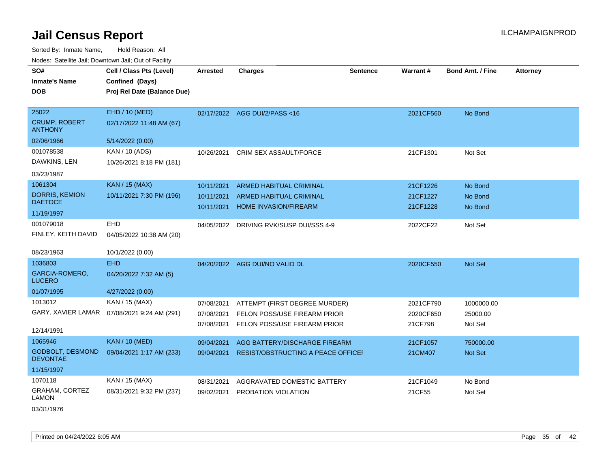Sorted By: Inmate Name, Hold Reason: All Nodes: Satellite Jail; Downtown Jail; Out of Facility

| SO#<br><b>Inmate's Name</b><br><b>DOB</b>              | Cell / Class Pts (Level)<br>Confined (Days)<br>Proj Rel Date (Balance Due) | <b>Arrested</b>                        | <b>Charges</b>                                                                                | <b>Sentence</b> | Warrant#                          | <b>Bond Amt. / Fine</b>           | <b>Attorney</b> |
|--------------------------------------------------------|----------------------------------------------------------------------------|----------------------------------------|-----------------------------------------------------------------------------------------------|-----------------|-----------------------------------|-----------------------------------|-----------------|
| 25022<br><b>CRUMP, ROBERT</b><br><b>ANTHONY</b>        | EHD / 10 (MED)<br>02/17/2022 11:48 AM (67)                                 |                                        | 02/17/2022 AGG DUI/2/PASS<16                                                                  |                 | 2021CF560                         | No Bond                           |                 |
| 02/06/1966                                             | 5/14/2022 (0.00)                                                           |                                        |                                                                                               |                 |                                   |                                   |                 |
| 001078538<br>DAWKINS, LEN<br>03/23/1987                | KAN / 10 (ADS)<br>10/26/2021 8:18 PM (181)                                 | 10/26/2021                             | CRIM SEX ASSAULT/FORCE                                                                        |                 | 21CF1301                          | Not Set                           |                 |
| 1061304                                                | <b>KAN / 15 (MAX)</b>                                                      | 10/11/2021                             | <b>ARMED HABITUAL CRIMINAL</b>                                                                |                 | 21CF1226                          | No Bond                           |                 |
| <b>DORRIS, KEMION</b><br><b>DAETOCE</b>                | 10/11/2021 7:30 PM (196)                                                   | 10/11/2021                             | ARMED HABITUAL CRIMINAL<br><b>HOME INVASION/FIREARM</b>                                       |                 | 21CF1227                          | No Bond                           |                 |
| 11/19/1997                                             |                                                                            | 10/11/2021                             |                                                                                               |                 | 21CF1228                          | No Bond                           |                 |
| 001079018<br>FINLEY, KEITH DAVID<br>08/23/1963         | EHD<br>04/05/2022 10:38 AM (20)                                            |                                        | 04/05/2022 DRIVING RVK/SUSP DUI/SSS 4-9                                                       |                 | 2022CF22                          | Not Set                           |                 |
| 1036803                                                | 10/1/2022 (0.00)<br><b>EHD</b>                                             |                                        |                                                                                               |                 |                                   |                                   |                 |
| GARCIA-ROMERO,<br><b>LUCERO</b>                        | 04/20/2022 7:32 AM (5)                                                     |                                        | 04/20/2022 AGG DUI/NO VALID DL                                                                |                 | 2020CF550                         | Not Set                           |                 |
| 01/07/1995                                             | 4/27/2022 (0.00)                                                           |                                        |                                                                                               |                 |                                   |                                   |                 |
| 1013012<br>GARY, XAVIER LAMAR<br>12/14/1991            | KAN / 15 (MAX)<br>07/08/2021 9:24 AM (291)                                 | 07/08/2021<br>07/08/2021<br>07/08/2021 | ATTEMPT (FIRST DEGREE MURDER)<br>FELON POSS/USE FIREARM PRIOR<br>FELON POSS/USE FIREARM PRIOR |                 | 2021CF790<br>2020CF650<br>21CF798 | 1000000.00<br>25000.00<br>Not Set |                 |
| 1065946                                                | <b>KAN / 10 (MED)</b>                                                      | 09/04/2021                             | AGG BATTERY/DISCHARGE FIREARM                                                                 |                 | 21CF1057                          | 750000.00                         |                 |
| GODBOLT, DESMOND<br><b>DEVONTAE</b>                    | 09/04/2021 1:17 AM (233)                                                   | 09/04/2021                             | RESIST/OBSTRUCTING A PEACE OFFICEF                                                            |                 | 21CM407                           | Not Set                           |                 |
| 11/15/1997                                             |                                                                            |                                        |                                                                                               |                 |                                   |                                   |                 |
| 1070118<br><b>GRAHAM, CORTEZ</b><br>LAMON<br>001011000 | KAN / 15 (MAX)<br>08/31/2021 9:32 PM (237)                                 | 08/31/2021<br>09/02/2021               | AGGRAVATED DOMESTIC BATTERY<br>PROBATION VIOLATION                                            |                 | 21CF1049<br>21CF55                | No Bond<br>Not Set                |                 |

03/31/1976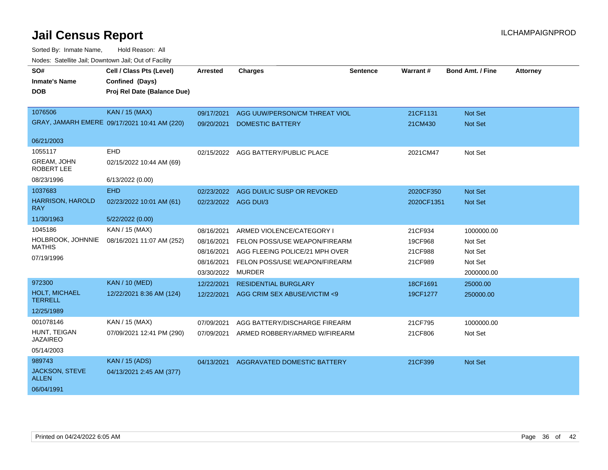| SO#                                   | Cell / Class Pts (Level)                     | <b>Arrested</b>      | <b>Charges</b>                 | <b>Sentence</b> | Warrant#   | <b>Bond Amt. / Fine</b> | <b>Attorney</b> |
|---------------------------------------|----------------------------------------------|----------------------|--------------------------------|-----------------|------------|-------------------------|-----------------|
| <b>Inmate's Name</b>                  | Confined (Days)                              |                      |                                |                 |            |                         |                 |
| <b>DOB</b>                            | Proj Rel Date (Balance Due)                  |                      |                                |                 |            |                         |                 |
|                                       |                                              |                      |                                |                 |            |                         |                 |
| 1076506                               | <b>KAN / 15 (MAX)</b>                        | 09/17/2021           | AGG UUW/PERSON/CM THREAT VIOL  |                 | 21CF1131   | <b>Not Set</b>          |                 |
|                                       | GRAY, JAMARH EMERE 09/17/2021 10:41 AM (220) | 09/20/2021           | <b>DOMESTIC BATTERY</b>        |                 | 21CM430    | Not Set                 |                 |
| 06/21/2003                            |                                              |                      |                                |                 |            |                         |                 |
| 1055117                               | EHD                                          | 02/15/2022           | AGG BATTERY/PUBLIC PLACE       |                 | 2021CM47   | Not Set                 |                 |
| <b>GREAM, JOHN</b><br>ROBERT LEE      | 02/15/2022 10:44 AM (69)                     |                      |                                |                 |            |                         |                 |
| 08/23/1996                            | 6/13/2022 (0.00)                             |                      |                                |                 |            |                         |                 |
| 1037683                               | <b>EHD</b>                                   | 02/23/2022           | AGG DUI/LIC SUSP OR REVOKED    |                 | 2020CF350  | <b>Not Set</b>          |                 |
| <b>HARRISON, HAROLD</b><br><b>RAY</b> | 02/23/2022 10:01 AM (61)                     | 02/23/2022 AGG DUI/3 |                                |                 | 2020CF1351 | <b>Not Set</b>          |                 |
| 11/30/1963                            | 5/22/2022 (0.00)                             |                      |                                |                 |            |                         |                 |
| 1045186                               | <b>KAN / 15 (MAX)</b>                        | 08/16/2021           | ARMED VIOLENCE/CATEGORY I      |                 | 21CF934    | 1000000.00              |                 |
| HOLBROOK, JOHNNIE                     | 08/16/2021 11:07 AM (252)                    | 08/16/2021           | FELON POSS/USE WEAPON/FIREARM  |                 | 19CF968    | Not Set                 |                 |
| <b>MATHIS</b>                         |                                              | 08/16/2021           | AGG FLEEING POLICE/21 MPH OVER |                 | 21CF988    | Not Set                 |                 |
| 07/19/1996                            |                                              | 08/16/2021           | FELON POSS/USE WEAPON/FIREARM  |                 | 21CF989    | Not Set                 |                 |
|                                       |                                              | 03/30/2022           | <b>MURDER</b>                  |                 |            | 2000000.00              |                 |
| 972300                                | <b>KAN / 10 (MED)</b>                        | 12/22/2021           | <b>RESIDENTIAL BURGLARY</b>    |                 | 18CF1691   | 25000.00                |                 |
| HOLT, MICHAEL<br><b>TERRELL</b>       | 12/22/2021 8:36 AM (124)                     | 12/22/2021           | AGG CRIM SEX ABUSE/VICTIM <9   |                 | 19CF1277   | 250000.00               |                 |
| 12/25/1989                            |                                              |                      |                                |                 |            |                         |                 |
| 001078146                             | KAN / 15 (MAX)                               | 07/09/2021           | AGG BATTERY/DISCHARGE FIREARM  |                 | 21CF795    | 1000000.00              |                 |
| HUNT, TEIGAN<br><b>JAZAIREO</b>       | 07/09/2021 12:41 PM (290)                    | 07/09/2021           | ARMED ROBBERY/ARMED W/FIREARM  |                 | 21CF806    | Not Set                 |                 |
| 05/14/2003                            |                                              |                      |                                |                 |            |                         |                 |
| 989743                                | <b>KAN</b> / 15 (ADS)                        | 04/13/2021           | AGGRAVATED DOMESTIC BATTERY    |                 | 21CF399    | Not Set                 |                 |
| <b>JACKSON, STEVE</b><br><b>ALLEN</b> | 04/13/2021 2:45 AM (377)                     |                      |                                |                 |            |                         |                 |
| 06/04/1991                            |                                              |                      |                                |                 |            |                         |                 |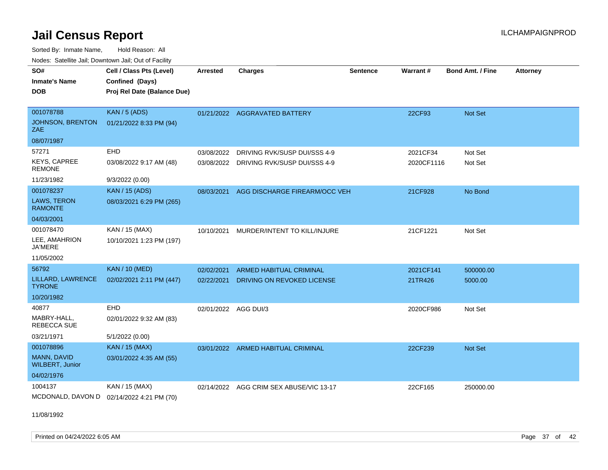Sorted By: Inmate Name, Hold Reason: All Nodes: Satellite Jail; Downtown Jail; Out of Facility

| SO#<br><b>Inmate's Name</b><br><b>DOB</b> | Cell / Class Pts (Level)<br>Confined (Days)<br>Proj Rel Date (Balance Due) | <b>Arrested</b> | Charges                                 | <b>Sentence</b> | Warrant#   | <b>Bond Amt. / Fine</b> | <b>Attorney</b> |
|-------------------------------------------|----------------------------------------------------------------------------|-----------------|-----------------------------------------|-----------------|------------|-------------------------|-----------------|
| 001078788                                 | KAN / 5 (ADS)                                                              |                 | 01/21/2022 AGGRAVATED BATTERY           |                 | 22CF93     | Not Set                 |                 |
| JOHNSON, BRENTON<br>ZAE                   | 01/21/2022 8:33 PM (94)                                                    |                 |                                         |                 |            |                         |                 |
| 08/07/1987                                |                                                                            |                 |                                         |                 |            |                         |                 |
| 57271                                     | EHD                                                                        | 03/08/2022      | DRIVING RVK/SUSP DUI/SSS 4-9            |                 | 2021CF34   | Not Set                 |                 |
| <b>KEYS, CAPREE</b><br><b>REMONE</b>      | 03/08/2022 9:17 AM (48)                                                    |                 | 03/08/2022 DRIVING RVK/SUSP DUI/SSS 4-9 |                 | 2020CF1116 | Not Set                 |                 |
| 11/23/1982                                | 9/3/2022 (0.00)                                                            |                 |                                         |                 |            |                         |                 |
| 001078237                                 | <b>KAN</b> / 15 (ADS)                                                      | 08/03/2021      | AGG DISCHARGE FIREARM/OCC VEH           |                 | 21CF928    | No Bond                 |                 |
| LAWS, TERON<br><b>RAMONTE</b>             | 08/03/2021 6:29 PM (265)                                                   |                 |                                         |                 |            |                         |                 |
| 04/03/2001                                |                                                                            |                 |                                         |                 |            |                         |                 |
| 001078470                                 | KAN / 15 (MAX)                                                             | 10/10/2021      | MURDER/INTENT TO KILL/INJURE            |                 | 21CF1221   | Not Set                 |                 |
| LEE, AMAHRION<br><b>JA'MERE</b>           | 10/10/2021 1:23 PM (197)                                                   |                 |                                         |                 |            |                         |                 |
| 11/05/2002                                |                                                                            |                 |                                         |                 |            |                         |                 |
| 56792                                     | <b>KAN / 10 (MED)</b>                                                      | 02/02/2021      | <b>ARMED HABITUAL CRIMINAL</b>          |                 | 2021CF141  | 500000.00               |                 |
| LILLARD, LAWRENCE<br><b>TYRONE</b>        | 02/02/2021 2:11 PM (447)                                                   | 02/22/2021      | <b>DRIVING ON REVOKED LICENSE</b>       |                 | 21TR426    | 5000.00                 |                 |
| 10/20/1982                                |                                                                            |                 |                                         |                 |            |                         |                 |
| 40877                                     | EHD                                                                        |                 | 02/01/2022 AGG DUI/3                    |                 | 2020CF986  | Not Set                 |                 |
| MABRY-HALL.<br>REBECCA SUE                | 02/01/2022 9:32 AM (83)                                                    |                 |                                         |                 |            |                         |                 |
| 03/21/1971                                | 5/1/2022 (0.00)                                                            |                 |                                         |                 |            |                         |                 |
| 001078896                                 | <b>KAN / 15 (MAX)</b>                                                      |                 | 03/01/2022 ARMED HABITUAL CRIMINAL      |                 | 22CF239    | Not Set                 |                 |
| MANN, DAVID<br><b>WILBERT, Junior</b>     | 03/01/2022 4:35 AM (55)                                                    |                 |                                         |                 |            |                         |                 |
| 04/02/1976                                |                                                                            |                 |                                         |                 |            |                         |                 |
| 1004137                                   | KAN / 15 (MAX)                                                             | 02/14/2022      | AGG CRIM SEX ABUSE/VIC 13-17            |                 | 22CF165    | 250000.00               |                 |
| MCDONALD, DAVON D                         | 02/14/2022 4:21 PM (70)                                                    |                 |                                         |                 |            |                         |                 |

11/08/1992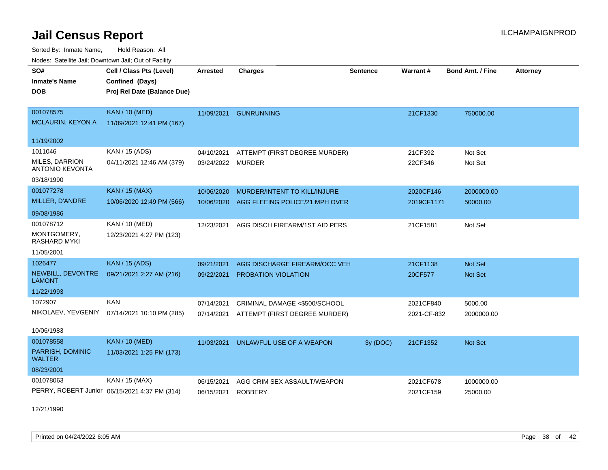Sorted By: Inmate Name, Hold Reason: All Nodes: Satellite Jail; Downtown Jail; Out of Facility

| voues. Salemie Jan, Downlown Jan, Out of Facility |                                               |                 |                                |                 |             |                         |                 |
|---------------------------------------------------|-----------------------------------------------|-----------------|--------------------------------|-----------------|-------------|-------------------------|-----------------|
| SO#                                               | Cell / Class Pts (Level)                      | <b>Arrested</b> | <b>Charges</b>                 | <b>Sentence</b> | Warrant#    | <b>Bond Amt. / Fine</b> | <b>Attorney</b> |
| <b>Inmate's Name</b>                              | Confined (Days)                               |                 |                                |                 |             |                         |                 |
| DOB                                               | Proj Rel Date (Balance Due)                   |                 |                                |                 |             |                         |                 |
|                                                   |                                               |                 |                                |                 |             |                         |                 |
| 001078575                                         | <b>KAN / 10 (MED)</b>                         | 11/09/2021      | <b>GUNRUNNING</b>              |                 | 21CF1330    | 750000.00               |                 |
| <b>MCLAURIN, KEYON A</b>                          | 11/09/2021 12:41 PM (167)                     |                 |                                |                 |             |                         |                 |
| 11/19/2002                                        |                                               |                 |                                |                 |             |                         |                 |
| 1011046                                           | KAN / 15 (ADS)                                | 04/10/2021      | ATTEMPT (FIRST DEGREE MURDER)  |                 | 21CF392     | Not Set                 |                 |
| MILES, DARRION                                    | 04/11/2021 12:46 AM (379)                     | 03/24/2022      | <b>MURDER</b>                  |                 | 22CF346     | Not Set                 |                 |
| <b>ANTONIO KEVONTA</b>                            |                                               |                 |                                |                 |             |                         |                 |
| 03/18/1990                                        |                                               |                 |                                |                 |             |                         |                 |
| 001077278                                         | <b>KAN / 15 (MAX)</b>                         | 10/06/2020      | MURDER/INTENT TO KILL/INJURE   |                 | 2020CF146   | 2000000.00              |                 |
| MILLER, D'ANDRE                                   | 10/06/2020 12:49 PM (566)                     | 10/06/2020      | AGG FLEEING POLICE/21 MPH OVER |                 | 2019CF1171  | 50000.00                |                 |
| 09/08/1986                                        |                                               |                 |                                |                 |             |                         |                 |
| 001078712                                         | KAN / 10 (MED)                                | 12/23/2021      | AGG DISCH FIREARM/1ST AID PERS |                 | 21CF1581    | Not Set                 |                 |
| MONTGOMERY,<br>RASHARD MYKI                       | 12/23/2021 4:27 PM (123)                      |                 |                                |                 |             |                         |                 |
| 11/05/2001                                        |                                               |                 |                                |                 |             |                         |                 |
| 1026477                                           | <b>KAN / 15 (ADS)</b>                         | 09/21/2021      | AGG DISCHARGE FIREARM/OCC VEH  |                 | 21CF1138    | <b>Not Set</b>          |                 |
| NEWBILL, DEVONTRE<br><b>LAMONT</b>                | 09/21/2021 2:27 AM (216)                      | 09/22/2021      | PROBATION VIOLATION            |                 | 20CF577     | Not Set                 |                 |
| 11/22/1993                                        |                                               |                 |                                |                 |             |                         |                 |
| 1072907                                           | <b>KAN</b>                                    | 07/14/2021      | CRIMINAL DAMAGE <\$500/SCHOOL  |                 | 2021CF840   | 5000.00                 |                 |
| NIKOLAEV, YEVGENIY                                | 07/14/2021 10:10 PM (285)                     | 07/14/2021      | ATTEMPT (FIRST DEGREE MURDER)  |                 | 2021-CF-832 | 2000000.00              |                 |
|                                                   |                                               |                 |                                |                 |             |                         |                 |
| 10/06/1983                                        |                                               |                 |                                |                 |             |                         |                 |
| 001078558                                         | <b>KAN / 10 (MED)</b>                         | 11/03/2021      | UNLAWFUL USE OF A WEAPON       | 3y (DOC)        | 21CF1352    | <b>Not Set</b>          |                 |
| PARRISH, DOMINIC<br><b>WALTER</b>                 | 11/03/2021 1:25 PM (173)                      |                 |                                |                 |             |                         |                 |
| 08/23/2001                                        |                                               |                 |                                |                 |             |                         |                 |
| 001078063                                         | KAN / 15 (MAX)                                | 06/15/2021      | AGG CRIM SEX ASSAULT/WEAPON    |                 | 2021CF678   | 1000000.00              |                 |
|                                                   | PERRY, ROBERT Junior 06/15/2021 4:37 PM (314) | 06/15/2021      | <b>ROBBERY</b>                 |                 | 2021CF159   | 25000.00                |                 |

12/21/1990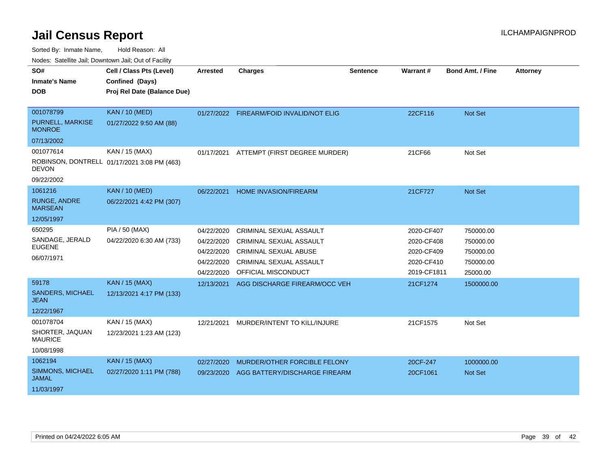Sorted By: Inmate Name, Hold Reason: All

Nodes: Satellite Jail; Downtown Jail; Out of Facility

| SO#                                      | Cell / Class Pts (Level)                    | <b>Arrested</b> | <b>Charges</b>                           | <b>Sentence</b> | Warrant#    | <b>Bond Amt. / Fine</b> | <b>Attorney</b> |
|------------------------------------------|---------------------------------------------|-----------------|------------------------------------------|-----------------|-------------|-------------------------|-----------------|
| <b>Inmate's Name</b>                     | Confined (Days)                             |                 |                                          |                 |             |                         |                 |
| <b>DOB</b>                               | Proj Rel Date (Balance Due)                 |                 |                                          |                 |             |                         |                 |
|                                          |                                             |                 |                                          |                 |             |                         |                 |
| 001078799                                | <b>KAN / 10 (MED)</b>                       |                 | 01/27/2022 FIREARM/FOID INVALID/NOT ELIG |                 | 22CF116     | Not Set                 |                 |
| <b>PURNELL, MARKISE</b><br><b>MONROE</b> | 01/27/2022 9:50 AM (88)                     |                 |                                          |                 |             |                         |                 |
| 07/13/2002                               |                                             |                 |                                          |                 |             |                         |                 |
| 001077614                                | KAN / 15 (MAX)                              | 01/17/2021      | ATTEMPT (FIRST DEGREE MURDER)            |                 | 21CF66      | Not Set                 |                 |
| <b>DEVON</b>                             | ROBINSON, DONTRELL 01/17/2021 3:08 PM (463) |                 |                                          |                 |             |                         |                 |
| 09/22/2002                               |                                             |                 |                                          |                 |             |                         |                 |
| 1061216                                  | <b>KAN / 10 (MED)</b>                       | 06/22/2021      | HOME INVASION/FIREARM                    |                 | 21CF727     | Not Set                 |                 |
| <b>RUNGE, ANDRE</b><br><b>MARSEAN</b>    | 06/22/2021 4:42 PM (307)                    |                 |                                          |                 |             |                         |                 |
| 12/05/1997                               |                                             |                 |                                          |                 |             |                         |                 |
| 650295                                   | PIA / 50 (MAX)                              | 04/22/2020      | <b>CRIMINAL SEXUAL ASSAULT</b>           |                 | 2020-CF407  | 750000.00               |                 |
| SANDAGE, JERALD                          | 04/22/2020 6:30 AM (733)                    | 04/22/2020      | <b>CRIMINAL SEXUAL ASSAULT</b>           |                 | 2020-CF408  | 750000.00               |                 |
| <b>EUGENE</b>                            |                                             | 04/22/2020      | CRIMINAL SEXUAL ABUSE                    |                 | 2020-CF409  | 750000.00               |                 |
| 06/07/1971                               |                                             | 04/22/2020      | <b>CRIMINAL SEXUAL ASSAULT</b>           |                 | 2020-CF410  | 750000.00               |                 |
|                                          |                                             | 04/22/2020      | OFFICIAL MISCONDUCT                      |                 | 2019-CF1811 | 25000.00                |                 |
| 59178                                    | <b>KAN / 15 (MAX)</b>                       | 12/13/2021      | AGG DISCHARGE FIREARM/OCC VEH            |                 | 21CF1274    | 1500000.00              |                 |
| <b>SANDERS, MICHAEL</b><br><b>JEAN</b>   | 12/13/2021 4:17 PM (133)                    |                 |                                          |                 |             |                         |                 |
| 12/22/1967                               |                                             |                 |                                          |                 |             |                         |                 |
| 001078704                                | KAN / 15 (MAX)                              | 12/21/2021      | MURDER/INTENT TO KILL/INJURE             |                 | 21CF1575    | Not Set                 |                 |
| SHORTER, JAQUAN<br><b>MAURICE</b>        | 12/23/2021 1:23 AM (123)                    |                 |                                          |                 |             |                         |                 |
| 10/08/1998                               |                                             |                 |                                          |                 |             |                         |                 |
| 1062194                                  | <b>KAN / 15 (MAX)</b>                       | 02/27/2020      | MURDER/OTHER FORCIBLE FELONY             |                 | 20CF-247    | 1000000.00              |                 |
| SIMMONS, MICHAEL<br><b>JAMAL</b>         | 02/27/2020 1:11 PM (788)                    | 09/23/2020      | AGG BATTERY/DISCHARGE FIREARM            |                 | 20CF1061    | <b>Not Set</b>          |                 |
| 11/03/1997                               |                                             |                 |                                          |                 |             |                         |                 |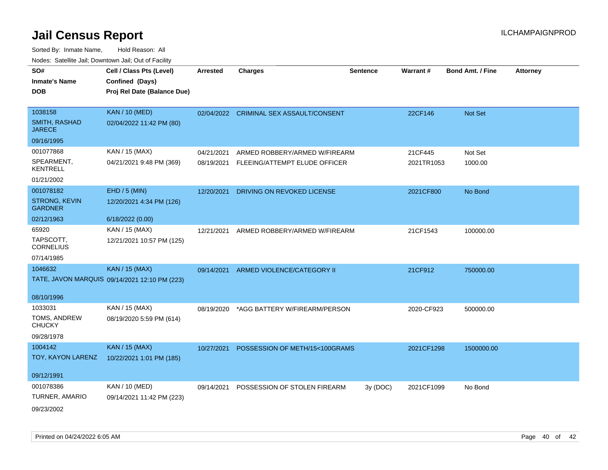| SO#<br><b>Inmate's Name</b><br><b>DOB</b> | Cell / Class Pts (Level)<br>Confined (Days)<br>Proj Rel Date (Balance Due) | <b>Arrested</b> | <b>Charges</b>                          | <b>Sentence</b> | Warrant#   | <b>Bond Amt. / Fine</b> | <b>Attorney</b> |
|-------------------------------------------|----------------------------------------------------------------------------|-----------------|-----------------------------------------|-----------------|------------|-------------------------|-----------------|
| 1038158                                   | <b>KAN / 10 (MED)</b>                                                      |                 | 02/04/2022 CRIMINAL SEX ASSAULT/CONSENT |                 | 22CF146    | Not Set                 |                 |
| <b>SMITH, RASHAD</b><br><b>JARECE</b>     | 02/04/2022 11:42 PM (80)                                                   |                 |                                         |                 |            |                         |                 |
| 09/16/1995                                |                                                                            |                 |                                         |                 |            |                         |                 |
| 001077868                                 | KAN / 15 (MAX)                                                             | 04/21/2021      | ARMED ROBBERY/ARMED W/FIREARM           |                 | 21CF445    | Not Set                 |                 |
| SPEARMENT,<br><b>KENTRELL</b>             | 04/21/2021 9:48 PM (369)                                                   | 08/19/2021      | FLEEING/ATTEMPT ELUDE OFFICER           |                 | 2021TR1053 | 1000.00                 |                 |
| 01/21/2002                                |                                                                            |                 |                                         |                 |            |                         |                 |
| 001078182                                 | $EHD / 5$ (MIN)                                                            | 12/20/2021      | DRIVING ON REVOKED LICENSE              |                 | 2021CF800  | No Bond                 |                 |
| STRONG, KEVIN<br><b>GARDNER</b>           | 12/20/2021 4:34 PM (126)                                                   |                 |                                         |                 |            |                         |                 |
| 02/12/1963                                | 6/18/2022 (0.00)                                                           |                 |                                         |                 |            |                         |                 |
| 65920                                     | KAN / 15 (MAX)                                                             | 12/21/2021      | ARMED ROBBERY/ARMED W/FIREARM           |                 | 21CF1543   | 100000.00               |                 |
| TAPSCOTT,<br><b>CORNELIUS</b>             | 12/21/2021 10:57 PM (125)                                                  |                 |                                         |                 |            |                         |                 |
| 07/14/1985                                |                                                                            |                 |                                         |                 |            |                         |                 |
| 1046632                                   | <b>KAN / 15 (MAX)</b>                                                      | 09/14/2021      | ARMED VIOLENCE/CATEGORY II              |                 | 21CF912    | 750000.00               |                 |
|                                           | TATE, JAVON MARQUIS 09/14/2021 12:10 PM (223)                              |                 |                                         |                 |            |                         |                 |
| 08/10/1996                                |                                                                            |                 |                                         |                 |            |                         |                 |
| 1033031                                   | KAN / 15 (MAX)                                                             | 08/19/2020      | *AGG BATTERY W/FIREARM/PERSON           |                 | 2020-CF923 | 500000.00               |                 |
| TOMS, ANDREW<br><b>CHUCKY</b>             | 08/19/2020 5:59 PM (614)                                                   |                 |                                         |                 |            |                         |                 |
| 09/28/1978                                |                                                                            |                 |                                         |                 |            |                         |                 |
| 1004142                                   | <b>KAN / 15 (MAX)</b>                                                      | 10/27/2021      | POSSESSION OF METH/15<100GRAMS          |                 | 2021CF1298 | 1500000.00              |                 |
| TOY, KAYON LARENZ                         | 10/22/2021 1:01 PM (185)                                                   |                 |                                         |                 |            |                         |                 |
| 09/12/1991                                |                                                                            |                 |                                         |                 |            |                         |                 |
| 001078386                                 | KAN / 10 (MED)                                                             | 09/14/2021      | POSSESSION OF STOLEN FIREARM            | 3y(DOC)         | 2021CF1099 | No Bond                 |                 |
| TURNER, AMARIO                            | 09/14/2021 11:42 PM (223)                                                  |                 |                                         |                 |            |                         |                 |
| 09/23/2002                                |                                                                            |                 |                                         |                 |            |                         |                 |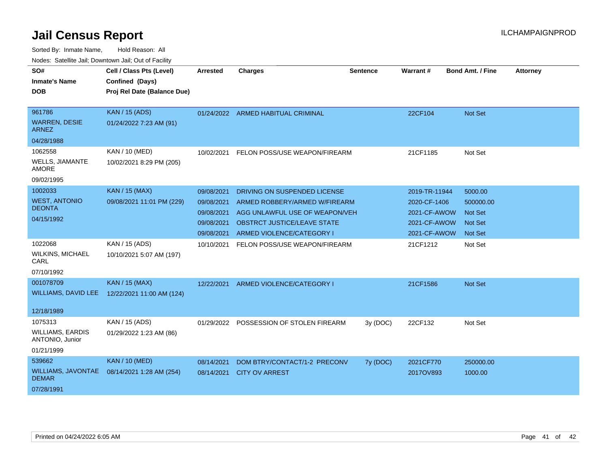| SO#<br><b>Inmate's Name</b><br><b>DOB</b>  | Cell / Class Pts (Level)<br>Confined (Days)<br>Proj Rel Date (Balance Due) | Arrested   | <b>Charges</b>                          | <b>Sentence</b> | Warrant#      | <b>Bond Amt. / Fine</b> | <b>Attorney</b> |
|--------------------------------------------|----------------------------------------------------------------------------|------------|-----------------------------------------|-----------------|---------------|-------------------------|-----------------|
| 961786                                     | <b>KAN / 15 (ADS)</b>                                                      |            | 01/24/2022 ARMED HABITUAL CRIMINAL      |                 | 22CF104       | <b>Not Set</b>          |                 |
| <b>WARREN, DESIE</b><br><b>ARNEZ</b>       | 01/24/2022 7:23 AM (91)                                                    |            |                                         |                 |               |                         |                 |
| 04/28/1988                                 |                                                                            |            |                                         |                 |               |                         |                 |
| 1062558                                    | <b>KAN / 10 (MED)</b>                                                      | 10/02/2021 | FELON POSS/USE WEAPON/FIREARM           |                 | 21CF1185      | Not Set                 |                 |
| WELLS, JIAMANTE<br><b>AMORE</b>            | 10/02/2021 8:29 PM (205)                                                   |            |                                         |                 |               |                         |                 |
| 09/02/1995                                 |                                                                            |            |                                         |                 |               |                         |                 |
| 1002033                                    | <b>KAN / 15 (MAX)</b>                                                      | 09/08/2021 | DRIVING ON SUSPENDED LICENSE            |                 | 2019-TR-11944 | 5000.00                 |                 |
| <b>WEST, ANTONIO</b>                       | 09/08/2021 11:01 PM (229)                                                  | 09/08/2021 | ARMED ROBBERY/ARMED W/FIREARM           |                 | 2020-CF-1406  | 500000.00               |                 |
| <b>DEONTA</b>                              |                                                                            | 09/08/2021 | AGG UNLAWFUL USE OF WEAPON/VEH          |                 | 2021-CF-AWOW  | <b>Not Set</b>          |                 |
| 04/15/1992                                 |                                                                            | 09/08/2021 | <b>OBSTRCT JUSTICE/LEAVE STATE</b>      |                 | 2021-CF-AWOW  | <b>Not Set</b>          |                 |
|                                            |                                                                            | 09/08/2021 | ARMED VIOLENCE/CATEGORY I               |                 | 2021-CF-AWOW  | Not Set                 |                 |
| 1022068                                    | KAN / 15 (ADS)                                                             | 10/10/2021 | FELON POSS/USE WEAPON/FIREARM           |                 | 21CF1212      | Not Set                 |                 |
| <b>WILKINS, MICHAEL</b><br>CARL            | 10/10/2021 5:07 AM (197)                                                   |            |                                         |                 |               |                         |                 |
| 07/10/1992                                 |                                                                            |            |                                         |                 |               |                         |                 |
| 001078709                                  | <b>KAN / 15 (MAX)</b>                                                      | 12/22/2021 | ARMED VIOLENCE/CATEGORY I               |                 | 21CF1586      | <b>Not Set</b>          |                 |
| <b>WILLIAMS, DAVID LEE</b>                 | 12/22/2021 11:00 AM (124)                                                  |            |                                         |                 |               |                         |                 |
| 12/18/1989                                 |                                                                            |            |                                         |                 |               |                         |                 |
| 1075313                                    | KAN / 15 (ADS)                                                             |            | 01/29/2022 POSSESSION OF STOLEN FIREARM | 3y (DOC)        | 22CF132       | Not Set                 |                 |
| <b>WILLIAMS, EARDIS</b><br>ANTONIO, Junior | 01/29/2022 1:23 AM (86)                                                    |            |                                         |                 |               |                         |                 |
| 01/21/1999                                 |                                                                            |            |                                         |                 |               |                         |                 |
| 539662                                     | <b>KAN / 10 (MED)</b>                                                      | 08/14/2021 | DOM BTRY/CONTACT/1-2 PRECONV            | 7y (DOC)        | 2021CF770     | 250000.00               |                 |
| WILLIAMS, JAVONTAE<br><b>DEMAR</b>         | 08/14/2021 1:28 AM (254)                                                   | 08/14/2021 | <b>CITY OV ARREST</b>                   |                 | 2017OV893     | 1000.00                 |                 |
| 07/28/1991                                 |                                                                            |            |                                         |                 |               |                         |                 |